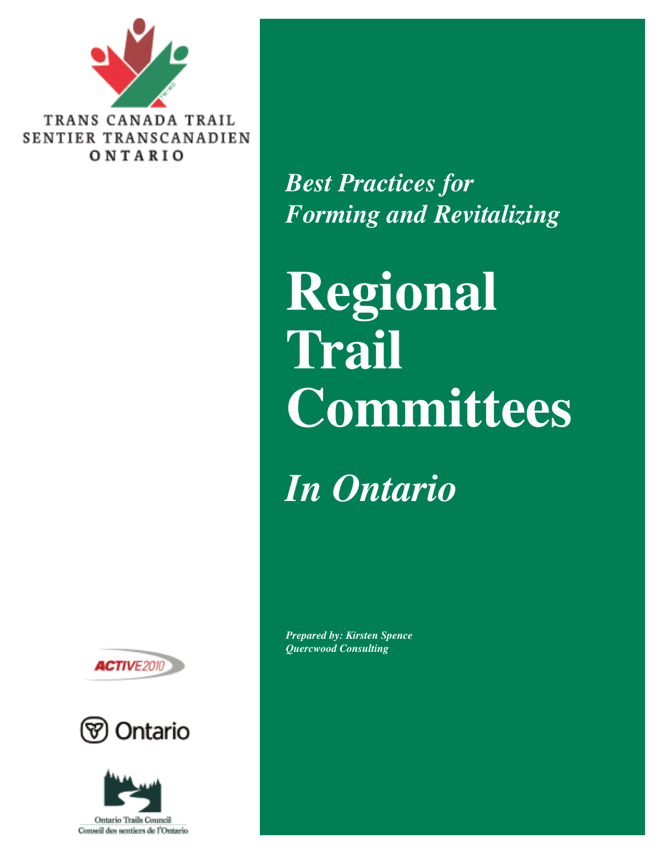

SENTIER TRANSCANADIEN ONTARIO

> **Best Practices for Forming and Revitalizing**

Regional Trail Committees **In Ontario** 

**Prepared by: Kirsten Spence Ouercwood Consulting** 

**ACTIVE2010** 



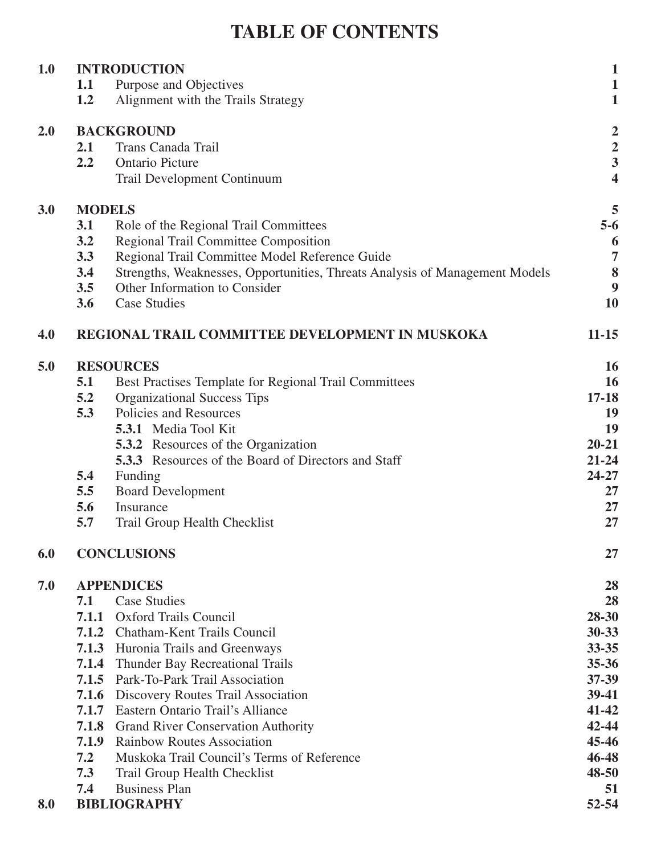#### **TABLE OF CONTENTS**

| 1.0 |                | <b>INTRODUCTION</b>                                                         | 1                       |
|-----|----------------|-----------------------------------------------------------------------------|-------------------------|
|     | 1.1            | Purpose and Objectives                                                      | $\mathbf{1}$            |
|     | 1.2            | Alignment with the Trails Strategy                                          | $\mathbf{1}$            |
| 2.0 |                | <b>BACKGROUND</b>                                                           | $\overline{2}$          |
|     | 2.1            | Trans Canada Trail                                                          | $\frac{2}{3}$           |
|     | 2.2            | <b>Ontario Picture</b>                                                      |                         |
|     |                | Trail Development Continuum                                                 | $\overline{\mathbf{4}}$ |
| 3.0 | <b>MODELS</b>  |                                                                             | $\overline{5}$          |
|     | 3.1            | Role of the Regional Trail Committees                                       | $5-6$                   |
|     | 3.2            | Regional Trail Committee Composition                                        | 6                       |
|     | 3.3            | Regional Trail Committee Model Reference Guide                              | $\overline{7}$          |
|     | 3.4            | Strengths, Weaknesses, Opportunities, Threats Analysis of Management Models | 8                       |
|     | 3.5            | Other Information to Consider                                               | 9                       |
|     | 3.6            | <b>Case Studies</b>                                                         | 10                      |
| 4.0 |                | REGIONAL TRAIL COMMITTEE DEVELOPMENT IN MUSKOKA                             | $11 - 15$               |
| 5.0 |                | <b>RESOURCES</b>                                                            | <b>16</b>               |
|     | 5.1            | Best Practises Template for Regional Trail Committees                       | 16                      |
|     | 5.2            | <b>Organizational Success Tips</b>                                          | $17 - 18$               |
|     | 5.3            | Policies and Resources                                                      | 19                      |
|     |                | 5.3.1 Media Tool Kit                                                        | 19                      |
|     |                | <b>5.3.2</b> Resources of the Organization                                  | $20 - 21$               |
|     |                | <b>5.3.3</b> Resources of the Board of Directors and Staff                  | $21 - 24$               |
|     | 5.4            | Funding                                                                     | $24 - 27$               |
|     | 5.5            | <b>Board Development</b>                                                    | 27                      |
|     | 5.6            | Insurance                                                                   | 27                      |
|     | 5.7            | Trail Group Health Checklist                                                | 27                      |
| 6.0 |                | <b>CONCLUSIONS</b>                                                          | 27                      |
| 7.0 |                | <b>APPENDICES</b>                                                           | 28                      |
|     | 7.1            | <b>Case Studies</b>                                                         | 28                      |
|     | 7.1.1          | <b>Oxford Trails Council</b>                                                | 28-30                   |
|     | 7.1.2          | <b>Chatham-Kent Trails Council</b>                                          | 30-33                   |
|     | 7.1.3          | Huronia Trails and Greenways                                                | $33 - 35$               |
|     | 7.1.4          | <b>Thunder Bay Recreational Trails</b>                                      | $35 - 36$               |
|     | 7.1.5          | Park-To-Park Trail Association                                              | 37-39<br>39-41          |
|     | 7.1.6<br>7.1.7 | Discovery Routes Trail Association<br>Eastern Ontario Trail's Alliance      | 41-42                   |
|     | 7.1.8          | <b>Grand River Conservation Authority</b>                                   | 42-44                   |
|     | 7.1.9          | <b>Rainbow Routes Association</b>                                           | 45-46                   |
|     | 7.2            | Muskoka Trail Council's Terms of Reference                                  | 46-48                   |
|     | 7.3            | <b>Trail Group Health Checklist</b>                                         | 48-50                   |
|     | 7.4            | <b>Business Plan</b>                                                        | 51                      |
| 8.0 |                | <b>BIBLIOGRAPHY</b>                                                         | 52-54                   |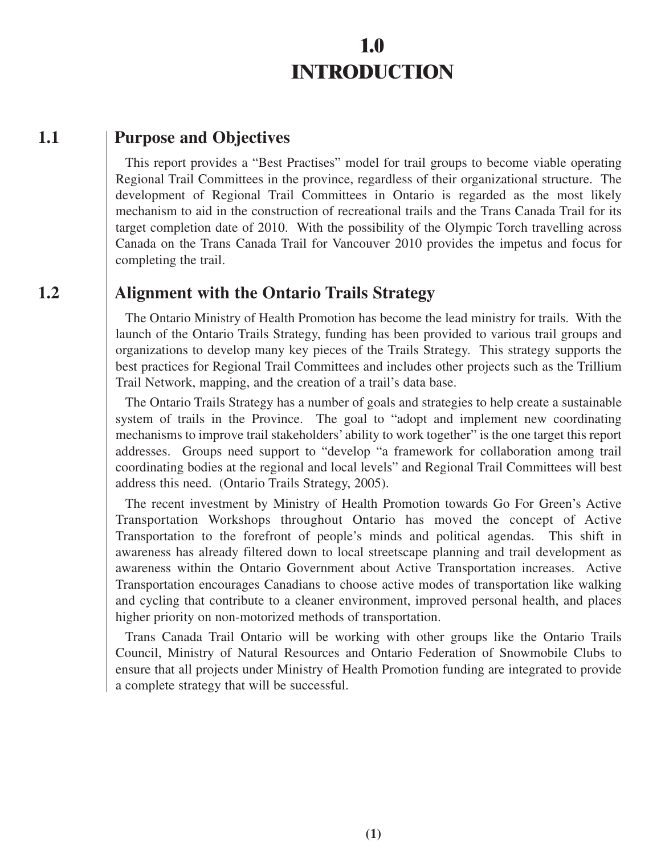#### **1.0 INTRODUCTION**

#### **1.1 Purpose and Objectives**

This report provides a "Best Practises" model for trail groups to become viable operating Regional Trail Committees in the province, regardless of their organizational structure. The development of Regional Trail Committees in Ontario is regarded as the most likely mechanism to aid in the construction of recreational trails and the Trans Canada Trail for its target completion date of 2010. With the possibility of the Olympic Torch travelling across Canada on the Trans Canada Trail for Vancouver 2010 provides the impetus and focus for completing the trail.

#### **1.2 Alignment with the Ontario Trails Strategy**

The Ontario Ministry of Health Promotion has become the lead ministry for trails. With the launch of the Ontario Trails Strategy, funding has been provided to various trail groups and organizations to develop many key pieces of the Trails Strategy. This strategy supports the best practices for Regional Trail Committees and includes other projects such as the Trillium Trail Network, mapping, and the creation of a trail's data base.

The Ontario Trails Strategy has a number of goals and strategies to help create a sustainable system of trails in the Province. The goal to "adopt and implement new coordinating mechanisms to improve trail stakeholders' ability to work together" is the one target this report addresses. Groups need support to "develop "a framework for collaboration among trail coordinating bodies at the regional and local levels" and Regional Trail Committees will best address this need. (Ontario Trails Strategy, 2005).

The recent investment by Ministry of Health Promotion towards Go For Green's Active Transportation Workshops throughout Ontario has moved the concept of Active Transportation to the forefront of people's minds and political agendas. This shift in awareness has already filtered down to local streetscape planning and trail development as awareness within the Ontario Government about Active Transportation increases. Active Transportation encourages Canadians to choose active modes of transportation like walking and cycling that contribute to a cleaner environment, improved personal health, and places higher priority on non-motorized methods of transportation.

Trans Canada Trail Ontario will be working with other groups like the Ontario Trails Council, Ministry of Natural Resources and Ontario Federation of Snowmobile Clubs to ensure that all projects under Ministry of Health Promotion funding are integrated to provide a complete strategy that will be successful.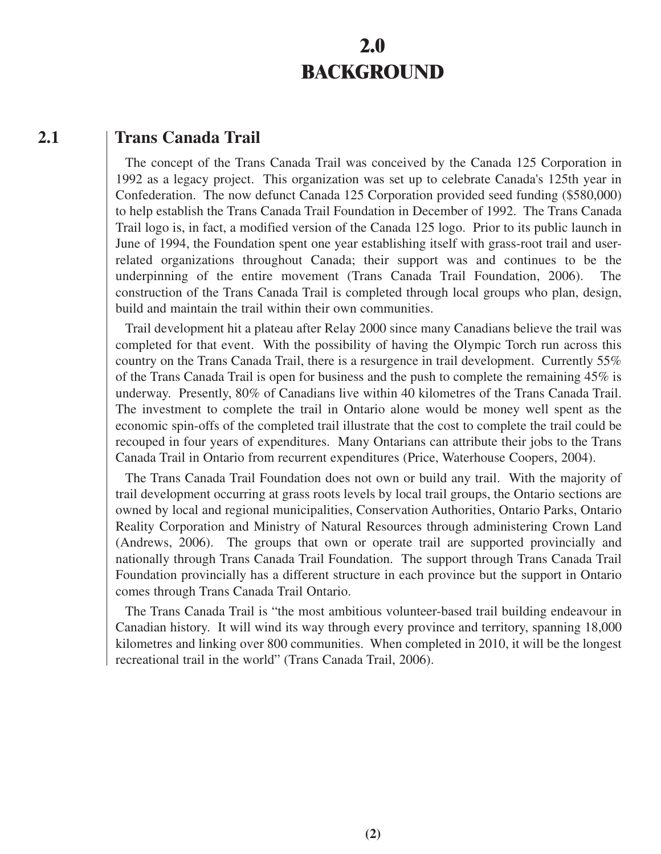#### **2.0 BACKGROUND**

#### **2.1 Trans Canada Trail**

The concept of the Trans Canada Trail was conceived by the Canada 125 Corporation in 1992 as a legacy project. This organization was set up to celebrate Canada's 125th year in Confederation. The now defunct Canada 125 Corporation provided seed funding (\$580,000) to help establish the Trans Canada Trail Foundation in December of 1992. The Trans Canada Trail logo is, in fact, a modified version of the Canada 125 logo. Prior to its public launch in June of 1994, the Foundation spent one year establishing itself with grass-root trail and userrelated organizations throughout Canada; their support was and continues to be the underpinning of the entire movement (Trans Canada Trail Foundation, 2006). The construction of the Trans Canada Trail is completed through local groups who plan, design, build and maintain the trail within their own communities.

Trail development hit a plateau after Relay 2000 since many Canadians believe the trail was completed for that event. With the possibility of having the Olympic Torch run across this country on the Trans Canada Trail, there is a resurgence in trail development. Currently 55% of the Trans Canada Trail is open for business and the push to complete the remaining 45% is underway. Presently, 80% of Canadians live within 40 kilometres of the Trans Canada Trail. The investment to complete the trail in Ontario alone would be money well spent as the economic spin-offs of the completed trail illustrate that the cost to complete the trail could be recouped in four years of expenditures. Many Ontarians can attribute their jobs to the Trans Canada Trail in Ontario from recurrent expenditures (Price, Waterhouse Coopers, 2004).

The Trans Canada Trail Foundation does not own or build any trail. With the majority of trail development occurring at grass roots levels by local trail groups, the Ontario sections are owned by local and regional municipalities, Conservation Authorities, Ontario Parks, Ontario Reality Corporation and Ministry of Natural Resources through administering Crown Land (Andrews, 2006). The groups that own or operate trail are supported provincially and nationally through Trans Canada Trail Foundation. The support through Trans Canada Trail Foundation provincially has a different structure in each province but the support in Ontario comes through Trans Canada Trail Ontario.

The Trans Canada Trail is "the most ambitious volunteer-based trail building endeavour in Canadian history. It will wind its way through every province and territory, spanning 18,000 kilometres and linking over 800 communities. When completed in 2010, it will be the longest recreational trail in the world" (Trans Canada Trail, 2006).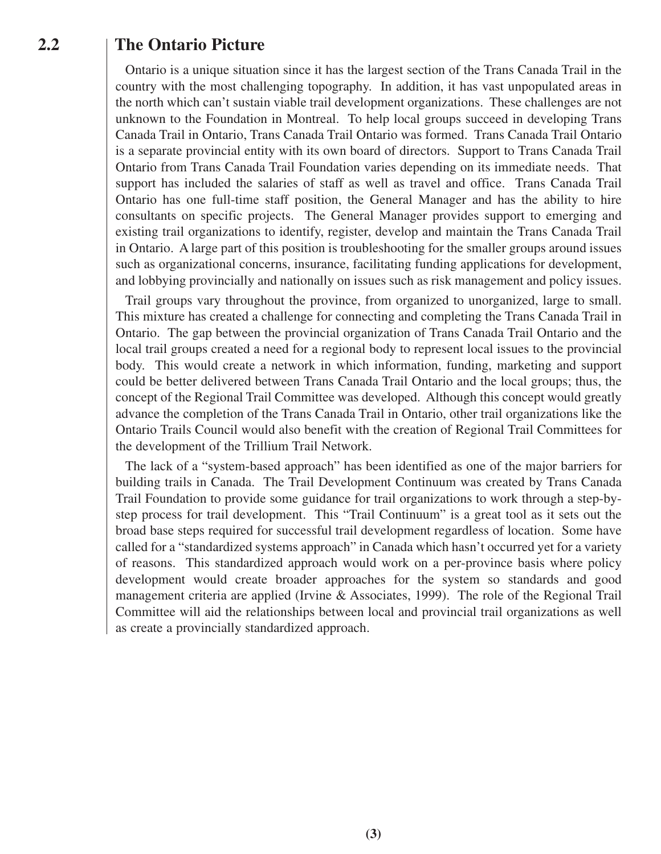#### **2.2 The Ontario Picture**

Ontario is a unique situation since it has the largest section of the Trans Canada Trail in the country with the most challenging topography. In addition, it has vast unpopulated areas in the north which can't sustain viable trail development organizations. These challenges are not unknown to the Foundation in Montreal. To help local groups succeed in developing Trans Canada Trail in Ontario, Trans Canada Trail Ontario was formed. Trans Canada Trail Ontario is a separate provincial entity with its own board of directors. Support to Trans Canada Trail Ontario from Trans Canada Trail Foundation varies depending on its immediate needs. That support has included the salaries of staff as well as travel and office. Trans Canada Trail Ontario has one full-time staff position, the General Manager and has the ability to hire consultants on specific projects. The General Manager provides support to emerging and existing trail organizations to identify, register, develop and maintain the Trans Canada Trail in Ontario. A large part of this position is troubleshooting for the smaller groups around issues such as organizational concerns, insurance, facilitating funding applications for development, and lobbying provincially and nationally on issues such as risk management and policy issues.

Trail groups vary throughout the province, from organized to unorganized, large to small. This mixture has created a challenge for connecting and completing the Trans Canada Trail in Ontario. The gap between the provincial organization of Trans Canada Trail Ontario and the local trail groups created a need for a regional body to represent local issues to the provincial body. This would create a network in which information, funding, marketing and support could be better delivered between Trans Canada Trail Ontario and the local groups; thus, the concept of the Regional Trail Committee was developed. Although this concept would greatly advance the completion of the Trans Canada Trail in Ontario, other trail organizations like the Ontario Trails Council would also benefit with the creation of Regional Trail Committees for the development of the Trillium Trail Network.

The lack of a "system-based approach" has been identified as one of the major barriers for building trails in Canada. The Trail Development Continuum was created by Trans Canada Trail Foundation to provide some guidance for trail organizations to work through a step-bystep process for trail development. This "Trail Continuum" is a great tool as it sets out the broad base steps required for successful trail development regardless of location. Some have called for a "standardized systems approach" in Canada which hasn't occurred yet for a variety of reasons. This standardized approach would work on a per-province basis where policy development would create broader approaches for the system so standards and good management criteria are applied (Irvine & Associates, 1999). The role of the Regional Trail Committee will aid the relationships between local and provincial trail organizations as well as create a provincially standardized approach.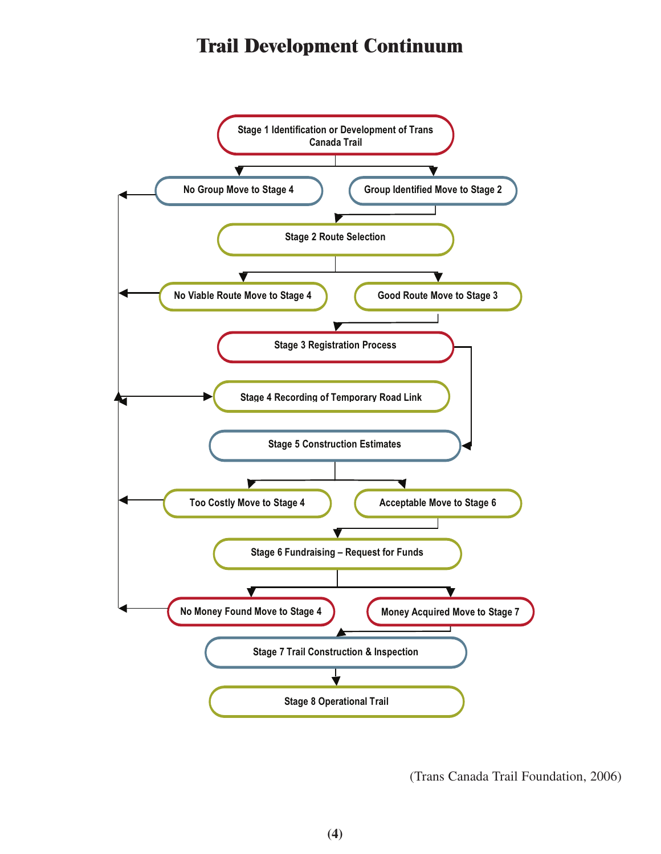#### **Trail Development Continuum**



(Trans Canada Trail Foundation, 2006)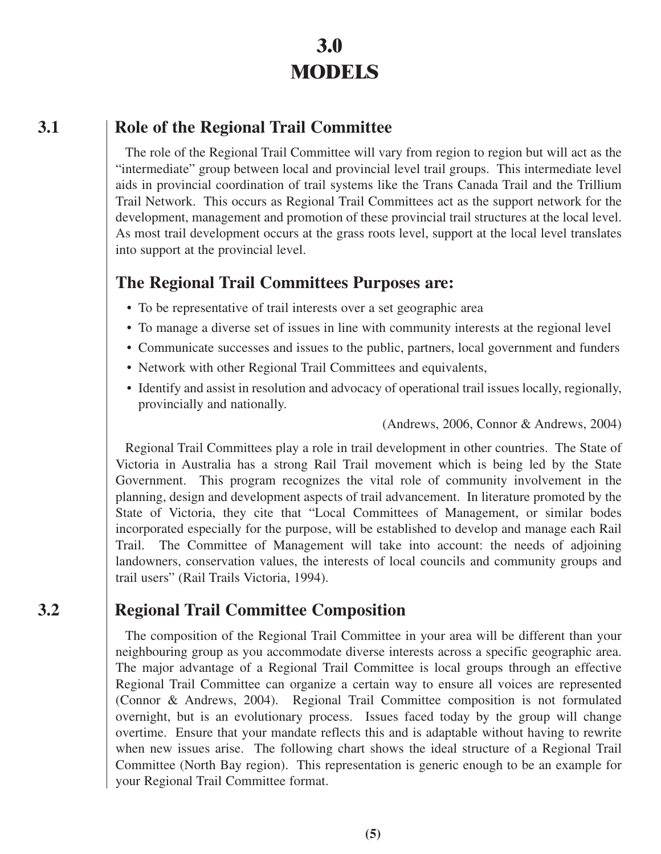#### **3.1 Role of the Regional Trail Committee**

The role of the Regional Trail Committee will vary from region to region but will act as the "intermediate" group between local and provincial level trail groups. This intermediate level aids in provincial coordination of trail systems like the Trans Canada Trail and the Trillium Trail Network. This occurs as Regional Trail Committees act as the support network for the development, management and promotion of these provincial trail structures at the local level. As most trail development occurs at the grass roots level, support at the local level translates into support at the provincial level.

#### **The Regional Trail Committees Purposes are:**

- To be representative of trail interests over a set geographic area
- To manage a diverse set of issues in line with community interests at the regional level
- Communicate successes and issues to the public, partners, local government and funders
- Network with other Regional Trail Committees and equivalents,
- Identify and assist in resolution and advocacy of operational trail issues locally, regionally, • provincially and nationally.

(Andrews, 2006, Connor & Andrews, 2004)

Regional Trail Committees play a role in trail development in other countries. The State of Victoria in Australia has a strong Rail Trail movement which is being led by the State Government. This program recognizes the vital role of community involvement in the planning, design and development aspects of trail advancement. In literature promoted by the State of Victoria, they cite that "Local Committees of Management, or similar bodes incorporated especially for the purpose, will be established to develop and manage each Rail Trail. The Committee of Management will take into account: the needs of adjoining landowners, conservation values, the interests of local councils and community groups and trail users" (Rail Trails Victoria, 1994).

#### **3.2 Regional Trail Committee Composition**

The composition of the Regional Trail Committee in your area will be different than your neighbouring group as you accommodate diverse interests across a specific geographic area. The major advantage of a Regional Trail Committee is local groups through an effective Regional Trail Committee can organize a certain way to ensure all voices are represented (Connor & Andrews, 2004). Regional Trail Committee composition is not formulated overnight, but is an evolutionary process. Issues faced today by the group will change overtime. Ensure that your mandate reflects this and is adaptable without having to rewrite when new issues arise. The following chart shows the ideal structure of a Regional Trail Committee (North Bay region). This representation is generic enough to be an example for your Regional Trail Committee format.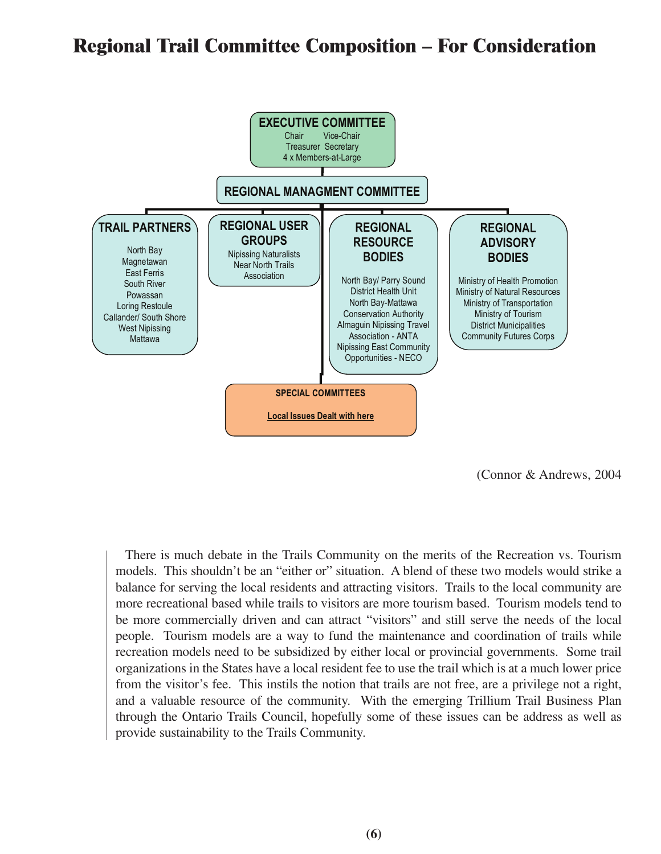#### **Regional Trail Committee Composition – For Consideration**



(Connor & Andrews, 2004

There is much debate in the Trails Community on the merits of the Recreation vs. Tourism models. This shouldn't be an "either or" situation. A blend of these two models would strike a balance for serving the local residents and attracting visitors. Trails to the local community are more recreational based while trails to visitors are more tourism based. Tourism models tend to be more commercially driven and can attract "visitors" and still serve the needs of the local people. Tourism models are a way to fund the maintenance and coordination of trails while recreation models need to be subsidized by either local or provincial governments. Some trail organizations in the States have a local resident fee to use the trail which is at a much lower price from the visitor's fee. This instils the notion that trails are not free, are a privilege not a right, and a valuable resource of the community. With the emerging Trillium Trail Business Plan through the Ontario Trails Council, hopefully some of these issues can be address as well as provide sustainability to the Trails Community.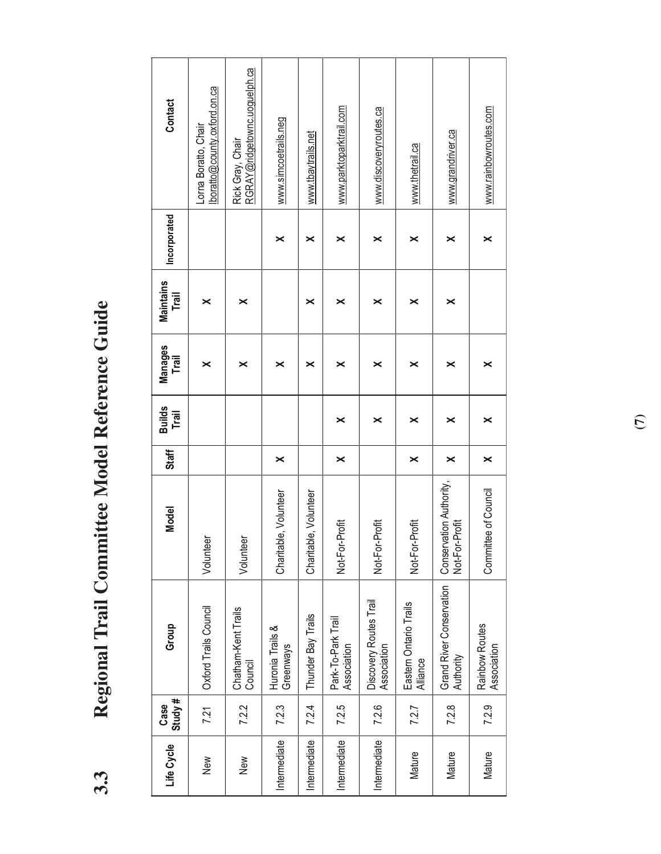Regional Trail Committee Model Reference Guide **3.3 Regional Trail Committee Model Reference Guide**

| Life Cycle    | Study#<br>Case | Group                                 | <b>Model</b>                              | Staff                 | <b>Builds</b><br>Trail | Manages<br>Trail | Maintains<br>Trail | Incorporated          | Contact                                              |
|---------------|----------------|---------------------------------------|-------------------------------------------|-----------------------|------------------------|------------------|--------------------|-----------------------|------------------------------------------------------|
| New           | 7.21           | Oxford Trails Council                 | Volunteer                                 |                       |                        | ×                | ×                  |                       | lboratto@county.oxford.on.ca<br>Lorna Boratto, Chair |
| New           | 7.2.2          | Chatham-Kent Trails<br>Council        | Volunteer                                 |                       |                        | ×                | ×                  |                       | RGRAY@ridgetownc.uoguelph.ca<br>Rick Gray, Chair     |
| Intermediate  | 7.23           | Huronia Trails &<br>Greenways         | Charitable, Volunteer                     | $\times$              |                        | ×                |                    | ×                     | www.simcoetrails.neg                                 |
| Intermediate  | 7.2.4          | Thunder Bay Trails                    | Charitable, Volunteer                     |                       |                        | ×                | ×                  | ×                     | www.tbaytrails.net                                   |
| Intermediate  | 7.2.5          | Park-To-Park Trail<br>Association     | Not-For-Profit                            | $\boldsymbol{\times}$ | $\boldsymbol{\times}$  | ×                | ×                  | ×                     | www.parktoparktrail.com                              |
| Intermediate  | 7.2.6          | Discovery Routes Trail<br>Association | Not-For-Profit                            |                       | ×                      | ×                | ×                  | ×                     | www.discoveryroutes.ca                               |
| <b>Mature</b> | 7.2.7          | Eastern Ontario Trails<br>Alliance    | Not-For-Profit                            | $\times$              | ×                      | ×                | ×                  | ×                     | www.thetrail.ca                                      |
| Mature        | 7.2.8          | Grand River Conservation<br>Authority | Conservation Authority,<br>Not-For-Profit | $\boldsymbol{\times}$ | ×                      | ×                | ×                  | ×                     | www.grandriver.ca                                    |
| Mature        | 7.2.9          | Rainbow Routes<br>Association         | Committee of Council                      | $\boldsymbol{\times}$ | ×                      | ×                |                    | $\boldsymbol{\times}$ | www.rainbowroutes.com                                |

3.3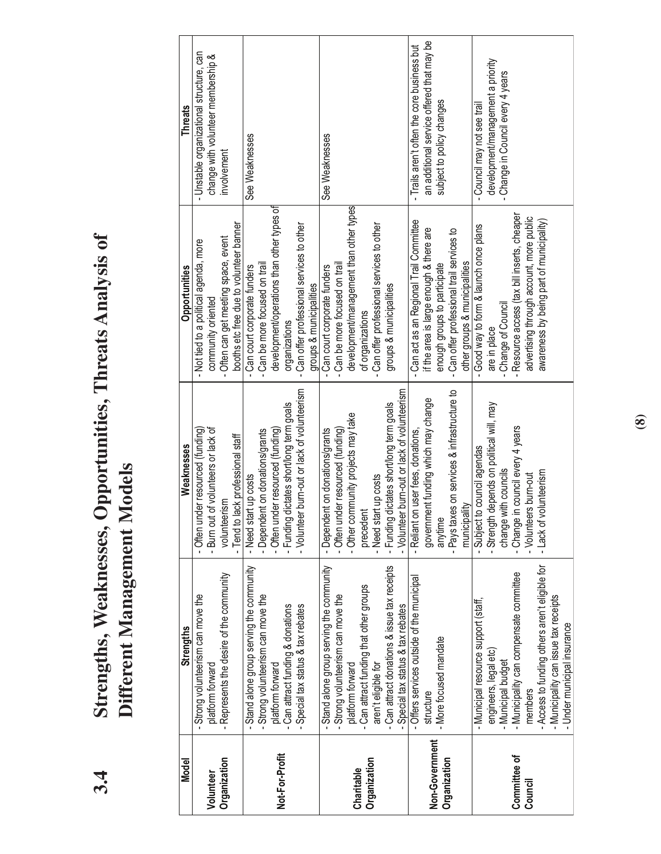## Strengths, Weaknesses, Opportunities, Threats Analysis of **3.4 Strengths, Weaknesses, Opportunities, Threats Analysis of Different Management Models W** $3.4$

| <b>Model</b>   | <b>Strengths</b>                               | Weaknesses                                   | <b>Opportunities</b>                       | <b>Threats</b>                              |
|----------------|------------------------------------------------|----------------------------------------------|--------------------------------------------|---------------------------------------------|
|                | Strong volunteerism can move the               | - Often under resourced (funding)            | - Not tied to a political agenda, more     | - Unstable organizational structure, can    |
| Volunteer      | platform forward                               | - Burn out of volunteers or lack of          | community oriented                         | change with volunteer membership &          |
| Organization   | Represents the desire of the community         | volunteerism                                 | Often can get meeting space, event         | involvement                                 |
|                |                                                | - Tend to lack professional staff            | booths etc free due to volunteer banner    |                                             |
|                | Stand alone group serving the community        | - Need start up costs                        | Can court corporate funders                | See Weaknesses                              |
|                | Strong volunteerism can move the               | - Dependent on donations/grants              | Can be more focused on trail               |                                             |
| Not-For-Profit | platform forward                               | - Often under resourced (funding)            | development/operations than other types of |                                             |
|                | - Can attract funding & donations              | - Funding dictates short/long term goals     | organizations                              |                                             |
|                | Special tax status & tax rebates               | - Volunteer burn-out or lack of volunteerism | Can offer professional services to other   |                                             |
|                |                                                |                                              | groups & municipalities                    |                                             |
|                | Stand alone group serving the community        | - Dependent on donations/grants              | Can court corporate funders                | See Weaknesses                              |
|                | Strong volunteerism can move the               | - Often under resourced (funding)            | Can be more focused on trail               |                                             |
| Charitable     | platform forward                               | - Other community projects may take          | development/management than other types    |                                             |
|                | - Can attract funding that other groups        | precedent                                    | of organizations                           |                                             |
| Organization   | aren't eligible for                            | - Need start up costs                        | Can offer professional services to other   |                                             |
|                | - Can attract donations & issue tax receipts   | - Funding dictates short/long term goals     | groups & municipalities                    |                                             |
|                | Special tax status & tax rebates               | - Volunteer burn-out or lack of volunteerism |                                            |                                             |
|                | - Offers services outside of the municipal     | - Reliant on user fees, donations,           | - Can act as an Regional Trail Committee   | - Trails aren't often the core business but |
| Non-Government | structure                                      | government funding which may change          | if the area is large enough & there are    | an additional service offered that may be   |
|                | - More focused mandate                         | anytime                                      | enough groups to participate               | subject to policy changes                   |
| Organization   |                                                | - Pays taxes on services & infrastructure to | Can offer professional trail services to   |                                             |
|                |                                                | municipality                                 | other groups & municipalities              |                                             |
|                | - Municipal resource support (staff,           | - Subject to council agendas                 | Good way to form & launch once plans       | Council may not see trail                   |
|                | engineers, legal etc)                          | - Strength depends on political will, may    | are in place                               | development/management a priority           |
|                | - Municipal budget                             | change with councils                         | - Change of Council                        | Change in Council every 4 years             |
| Committee of   | - Municipality can compensate committee        | in council every 4 years<br>- Change         | Resource access (tax bill inserts, cheaper |                                             |
| Council        | members                                        | - Volunteers bum-out                         | advertising through account, more public   |                                             |
|                | - Access to funding others aren't eligible for | volunteerism<br>- Lack of                    | awareness by being part of municipality)   |                                             |
|                | - Municipality can issue tax receipts          |                                              |                                            |                                             |
|                | - Under municipal insurance                    |                                              |                                            |                                             |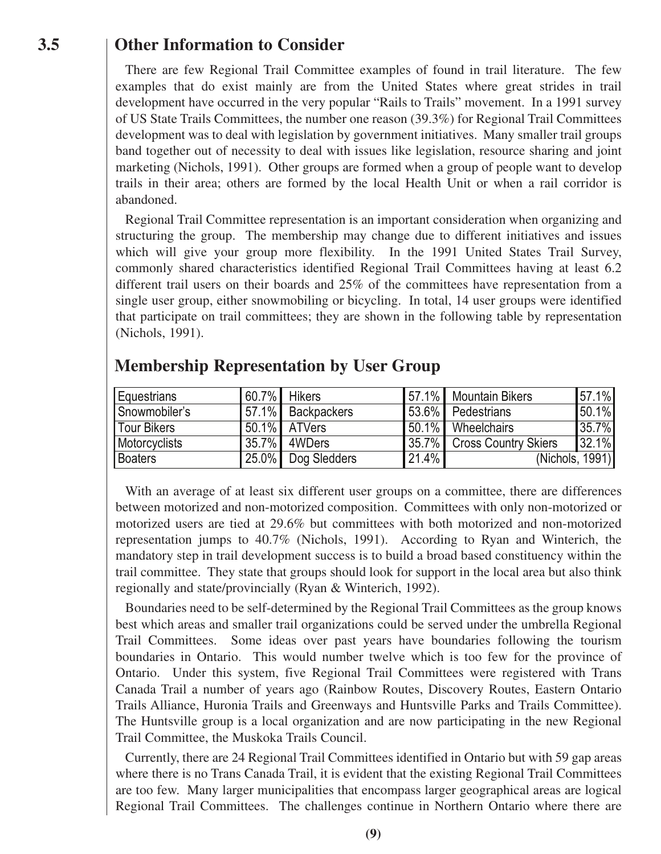#### **3.5 Other Information to Consider**

There are few Regional Trail Committee examples of found in trail literature. The few examples that do exist mainly are from the United States where great strides in trail development have occurred in the very popular "Rails to Trails" movement. In a 1991 survey of US State Trails Committees, the number one reason (39.3%) for Regional Trail Committees development was to deal with legislation by government initiatives. Many smaller trail groups band together out of necessity to deal with issues like legislation, resource sharing and joint marketing (Nichols, 1991). Other groups are formed when a group of people want to develop trails in their area; others are formed by the local Health Unit or when a rail corridor is abandoned. **Other Information to Consider**<br>
There are few Regional Trail Committee examples of found in trail literature. The fe<br>
examples that do exist mainly are from the United States where great strictes<br>
examples that do exist **Other Information to Consider**<br>There are few Regional Tail Committee examples of found in trail literature. The free weak results when examples that do exist mainly are from the United States where great strides in trace **Other Information to Consider**<br>
There are few Regional Trail Committee examples of found in trail literature. The fe<br>
Examples that do exist mainly are from the United States where great strictes<br>
development have correc **Other Information to Consider**<br>
There are fow Regional Trail Connitete examples of found in trail literature. The fermely are are fow Regional Trail Connitete examples that do exist mainly are from the United States wher There are few Regional Trail Committee examples of found in trail literature. The framewords that do exist mainly are from the United States where great strickes in fristens and the exceptorent have occurred in the very p

Regional Trail Committee representation is an important consideration when organizing and structuring the group. The membership may change due to different initiatives and issues which will give your group more flexibility. In the 1991 United States Trail Survey, commonly shared characteristics identified Regional Trail Committees having at least 6.2 different trail users on their boards and 25% of the committees have representation from a single user group, either snowmobiling or bicycling. In total, 14 user groups were identified that participate on trail committees; they are shown in the following table by representation (Nichols, 1991).

| <b>Equestrians</b> |          | 60.7% Hikers       |           | 57.1%   Mountain Bikers    | 57.1% |
|--------------------|----------|--------------------|-----------|----------------------------|-------|
| Snowmobiler's      | $57.1\%$ | <b>Backpackers</b> | $153.6\%$ | Pedestrians                | 50.1% |
| Tour Bikers        |          | 50.1% ATVers       | $50.1\%$  | Wheelchairs                | 35.7% |
| Motorcyclists      | $35.7\%$ | 4WDers             |           | 35.7% Cross Country Skiers | 32.1% |
| <b>Boaters</b>     | 25.0%    | Dog Sledders       | 21.4%     | (Nichols, 1991)            |       |

#### **Membership Representation by User Group**

With an average of at least six different user groups on a committee, there are differences between motorized and non-motorized composition. Committees with only non-motorized or motorized users are tied at 29.6% but committees with both motorized and non-motorized representation jumps to 40.7% (Nichols, 1991). According to Ryan and Winterich, the mandatory step in trail development success is to build a broad based constituency within the trail committee. They state that groups should look for support in the local area but also think regionally and state/provincially (Ryan & Winterich, 1992).

Boundaries need to be self-determined by the Regional Trail Committees as the group knows best which areas and smaller trail organizations could be served under the umbrella Regional Trail Committees. Some ideas over past years have boundaries following the tourism boundaries in Ontario. This would number twelve which is too few for the province of Ontario. Under this system, five Regional Trail Committees were registered with Trans Canada Trail a number of years ago (Rainbow Routes, Discovery Routes, Eastern Ontario Trails Alliance, Huronia Trails and Greenways and Huntsville Parks and Trails Committee). The Huntsville group is a local organization and are now participating in the new Regional Trail Committee, the Muskoka Trails Council.

Currently, there are 24 Regional Trail Committees identified in Ontario but with 59 gap areas where there is no Trans Canada Trail, it is evident that the existing Regional Trail Committees are too few. Many larger municipalities that encompass larger geographical areas are logical Regional Trail Committees. The challenges continue in Northern Ontario where there are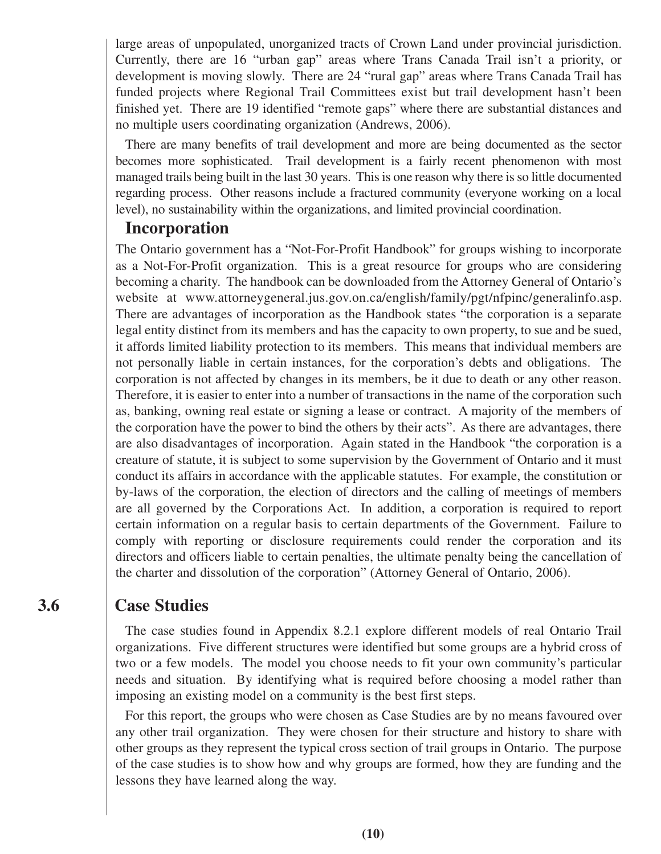large areas of unpopulated, unorganized tracts of Crown Land under provincial jurisdiction. Currently, there are 16 "urban gap" areas where Trans Canada Trail isn't a priority, or development is moving slowly. There are 24 "rural gap" areas where Trans Canada Trail has funded projects where Regional Trail Committees exist but trail development hasn't been finished yet. There are 19 identified "remote gaps" where there are substantial distances and no multiple users coordinating organization (Andrews, 2006).

There are many benefits of trail development and more are being documented as the sector becomes more sophisticated. Trail development is a fairly recent phenomenon with most managed trails being built in the last 30 years. This is one reason why there is so little documented regarding process. Other reasons include a fractured community (everyone working on a local level), no sustainability within the organizations, and limited provincial coordination.

#### **Incorporation**

The Ontario government has a "Not-For-Profit Handbook" for groups wishing to incorporate as a Not-For-Profit organization. This is a great resource for groups who are considering becoming a charity. The handbook can be downloaded from the Attorney General of Ontario's website at www.attorneygeneral.jus.gov.on.ca/english/family/pgt/nfpinc/generalinfo.asp. There are advantages of incorporation as the Handbook states "the corporation is a separate legal entity distinct from its members and has the capacity to own property, to sue and be sued, it affords limited liability protection to its members. This means that individual members are not personally liable in certain instances, for the corporation's debts and obligations. The corporation is not affected by changes in its members, be it due to death or any other reason. Therefore, it is easier to enter into a number of transactions in the name of the corporation such as, banking, owning real estate or signing a lease or contract. A majority of the members of the corporation have the power to bind the others by their acts". As there are advantages, there are also disadvantages of incorporation. Again stated in the Handbook "the corporation is a creature of statute, it is subject to some supervision by the Government of Ontario and it must conduct its affairs in accordance with the applicable statutes. For example, the constitution or by-laws of the corporation, the election of directors and the calling of meetings of members are all governed by the Corporations Act. In addition, a corporation is required to report certain information on a regular basis to certain departments of the Government. Failure to comply with reporting or disclosure requirements could render the corporation and its directors and officers liable to certain penalties, the ultimate penalty being the cancellation of the charter and dissolution of the corporation" (Attorney General of Ontario, 2006).

#### **3.6 Case Studies**

The case studies found in Appendix 8.2.1 explore different models of real Ontario Trail organizations. Five different structures were identified but some groups are a hybrid cross of two or a few models. The model you choose needs to fit your own community's particular needs and situation. By identifying what is required before choosing a model rather than imposing an existing model on a community is the best first steps.

For this report, the groups who were chosen as Case Studies are by no means favoured over any other trail organization. They were chosen for their structure and history to share with other groups as they represent the typical cross section of trail groups in Ontario. The purpose of the case studies is to show how and why groups are formed, how they are funding and the lessons they have learned along the way.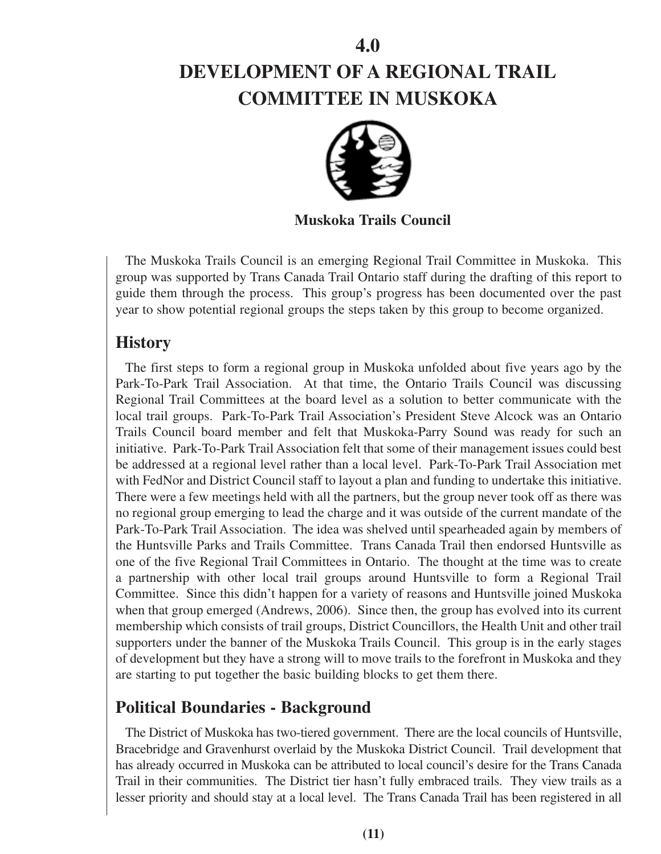#### **DEVELOPMENT OF A REGIONAL TRAIL COMMITTEE IN MUSKOKA**

**4.0**



**Muskoka Trails Council**

The Muskoka Trails Council is an emerging Regional Trail Committee in Muskoka. This group was supported by Trans Canada Trail Ontario staff during the drafting of this report to guide them through the process. This group's progress has been documented over the past year to show potential regional groups the steps taken by this group to become organized.

#### **History**

The first steps to form a regional group in Muskoka unfolded about five years ago by the Park-To-Park Trail Association. At that time, the Ontario Trails Council was discussing Regional Trail Committees at the board level as a solution to better communicate with the local trail groups. Park-To-Park Trail Association's President Steve Alcock was an Ontario Trails Council board member and felt that Muskoka-Parry Sound was ready for such an initiative. Park-To-Park Trail Association felt that some of their management issues could best be addressed at a regional level rather than a local level. Park-To-Park Trail Association met with FedNor and District Council staff to layout a plan and funding to undertake this initiative. There were a few meetings held with all the partners, but the group never took off as there was no regional group emerging to lead the charge and it was outside of the current mandate of the Park-To-Park Trail Association. The idea was shelved until spearheaded again by members of the Huntsville Parks and Trails Committee. Trans Canada Trail then endorsed Huntsville as one of the five Regional Trail Committees in Ontario. The thought at the time was to create a partnership with other local trail groups around Huntsville to form a Regional Trail Committee. Since this didn't happen for a variety of reasons and Huntsville joined Muskoka when that group emerged (Andrews, 2006). Since then, the group has evolved into its current membership which consists of trail groups, District Councillors, the Health Unit and other trail supporters under the banner of the Muskoka Trails Council. This group is in the early stages of development but they have a strong will to move trails to the forefront in Muskoka and they are starting to put together the basic building blocks to get them there.

#### **Political Boundaries - Background**

The District of Muskoka has two-tiered government. There are the local councils of Huntsville, Bracebridge and Gravenhurst overlaid by the Muskoka District Council. Trail development that has already occurred in Muskoka can be attributed to local council's desire for the Trans Canada Trail in their communities. The District tier hasn't fully embraced trails. They view trails as a lesser priority and should stay at a local level. The Trans Canada Trail has been registered in all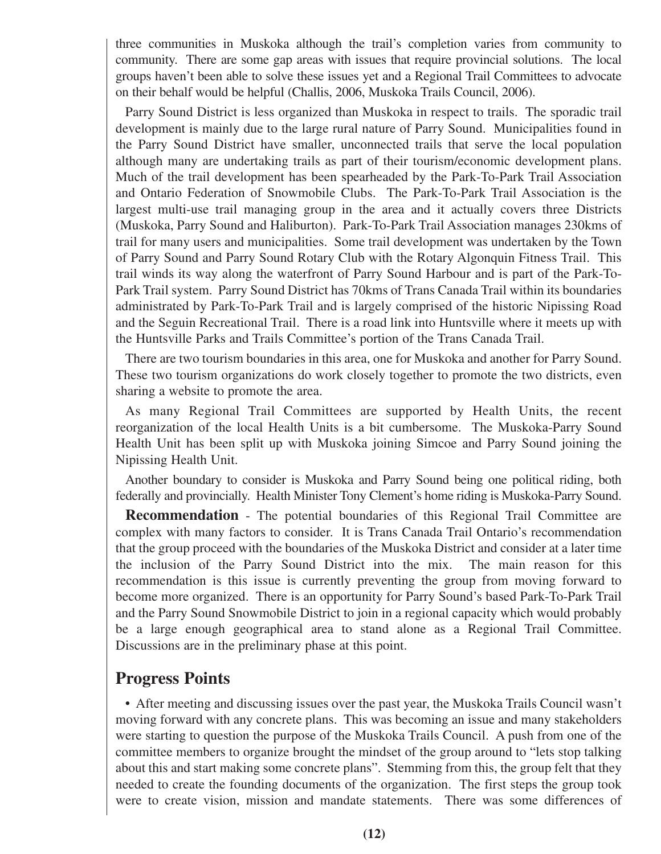three communities in Muskoka although the trail's completion varies from community to community. There are some gap areas with issues that require provincial solutions. The local groups haven't been able to solve these issues yet and a Regional Trail Committees to advocate on their behalf would be helpful (Challis, 2006, Muskoka Trails Council, 2006).

Parry Sound District is less organized than Muskoka in respect to trails. The sporadic trail development is mainly due to the large rural nature of Parry Sound. Municipalities found in the Parry Sound District have smaller, unconnected trails that serve the local population although many are undertaking trails as part of their tourism/economic development plans. Much of the trail development has been spearheaded by the Park-To-Park Trail Association and Ontario Federation of Snowmobile Clubs. The Park-To-Park Trail Association is the largest multi-use trail managing group in the area and it actually covers three Districts (Muskoka, Parry Sound and Haliburton). Park-To-Park Trail Association manages 230kms of trail for many users and municipalities. Some trail development was undertaken by the Town of Parry Sound and Parry Sound Rotary Club with the Rotary Algonquin Fitness Trail. This trail winds its way along the waterfront of Parry Sound Harbour and is part of the Park-To-Park Trail system. Parry Sound District has 70kms of Trans Canada Trail within its boundaries administrated by Park-To-Park Trail and is largely comprised of the historic Nipissing Road and the Seguin Recreational Trail. There is a road link into Huntsville where it meets up with the Huntsville Parks and Trails Committee's portion of the Trans Canada Trail.

There are two tourism boundaries in this area, one for Muskoka and another for Parry Sound. These two tourism organizations do work closely together to promote the two districts, even sharing a website to promote the area.

As many Regional Trail Committees are supported by Health Units, the recent reorganization of the local Health Units is a bit cumbersome. The Muskoka-Parry Sound Health Unit has been split up with Muskoka joining Simcoe and Parry Sound joining the Nipissing Health Unit.

Another boundary to consider is Muskoka and Parry Sound being one political riding, both federally and provincially. Health Minister Tony Clement's home riding is Muskoka-Parry Sound.

**Recommendation** - The potential boundaries of this Regional Trail Committee are complex with many factors to consider. It is Trans Canada Trail Ontario's recommendation that the group proceed with the boundaries of the Muskoka District and consider at a later time the inclusion of the Parry Sound District into the mix. The main reason for this recommendation is this issue is currently preventing the group from moving forward to become more organized. There is an opportunity for Parry Sound's based Park-To-Park Trail and the Parry Sound Snowmobile District to join in a regional capacity which would probably be a large enough geographical area to stand alone as a Regional Trail Committee. Discussions are in the preliminary phase at this point.

#### **Progress Points**

• After meeting and discussing issues over the past year, the Muskoka Trails Council wasn't moving forward with any concrete plans. This was becoming an issue and many stakeholders were starting to question the purpose of the Muskoka Trails Council. A push from one of the committee members to organize brought the mindset of the group around to "lets stop talking about this and start making some concrete plans". Stemming from this, the group felt that they needed to create the founding documents of the organization. The first steps the group took were to create vision, mission and mandate statements. There was some differences of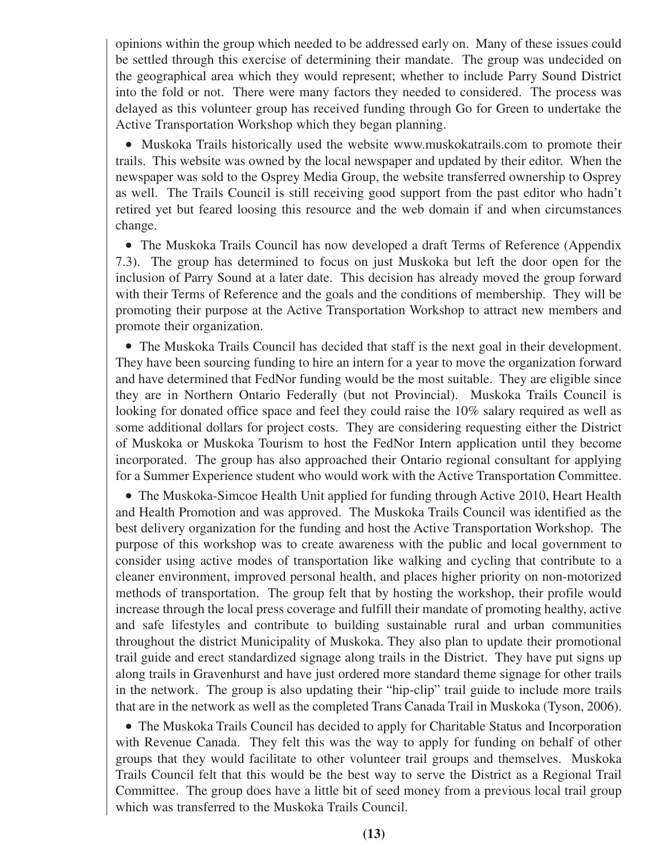opinions within the group which needed to be addressed early on. Many of these issues could be settled through this exercise of determining their mandate. The group was undecided on the geographical area which they would represent; whether to include Parry Sound District into the fold or not. There were many factors they needed to considered. The process was delayed as this volunteer group has received funding through Go for Green to undertake the Active Transportation Workshop which they began planning.

• Muskoka Trails historically used the website www.muskokatrails.com to promote their trails. This website was owned by the local newspaper and updated by their editor. When the newspaper was sold to the Osprey Media Group, the website transferred ownership to Osprey as well. The Trails Council is still receiving good support from the past editor who hadn't retired yet but feared loosing this resource and the web domain if and when circumstances change.

• The Muskoka Trails Council has now developed a draft Terms of Reference (Appendix 7.3). The group has determined to focus on just Muskoka but left the door open for the inclusion of Parry Sound at a later date. This decision has already moved the group forward with their Terms of Reference and the goals and the conditions of membership. They will be promoting their purpose at the Active Transportation Workshop to attract new members and promote their organization.

• The Muskoka Trails Council has decided that staff is the next goal in their development. They have been sourcing funding to hire an intern for a year to move the organization forward and have determined that FedNor funding would be the most suitable. They are eligible since they are in Northern Ontario Federally (but not Provincial). Muskoka Trails Council is looking for donated office space and feel they could raise the 10% salary required as well as some additional dollars for project costs. They are considering requesting either the District of Muskoka or Muskoka Tourism to host the FedNor Intern application until they become incorporated. The group has also approached their Ontario regional consultant for applying for a Summer Experience student who would work with the Active Transportation Committee.

• The Muskoka-Simcoe Health Unit applied for funding through Active 2010, Heart Health and Health Promotion and was approved. The Muskoka Trails Council was identified as the best delivery organization for the funding and host the Active Transportation Workshop. The purpose of this workshop was to create awareness with the public and local government to consider using active modes of transportation like walking and cycling that contribute to a cleaner environment, improved personal health, and places higher priority on non-motorized methods of transportation. The group felt that by hosting the workshop, their profile would increase through the local press coverage and fulfill their mandate of promoting healthy, active and safe lifestyles and contribute to building sustainable rural and urban communities throughout the district Municipality of Muskoka. They also plan to update their promotional trail guide and erect standardized signage along trails in the District. They have put signs up along trails in Gravenhurst and have just ordered more standard theme signage for other trails in the network. The group is also updating their "hip-clip" trail guide to include more trails that are in the network as well as the completed Trans Canada Trail in Muskoka (Tyson, 2006).

• The Muskoka Trails Council has decided to apply for Charitable Status and Incorporation with Revenue Canada. They felt this was the way to apply for funding on behalf of other groups that they would facilitate to other volunteer trail groups and themselves. Muskoka Trails Council felt that this would be the best way to serve the District as a Regional Trail Committee. The group does have a little bit of seed money from a previous local trail group which was transferred to the Muskoka Trails Council.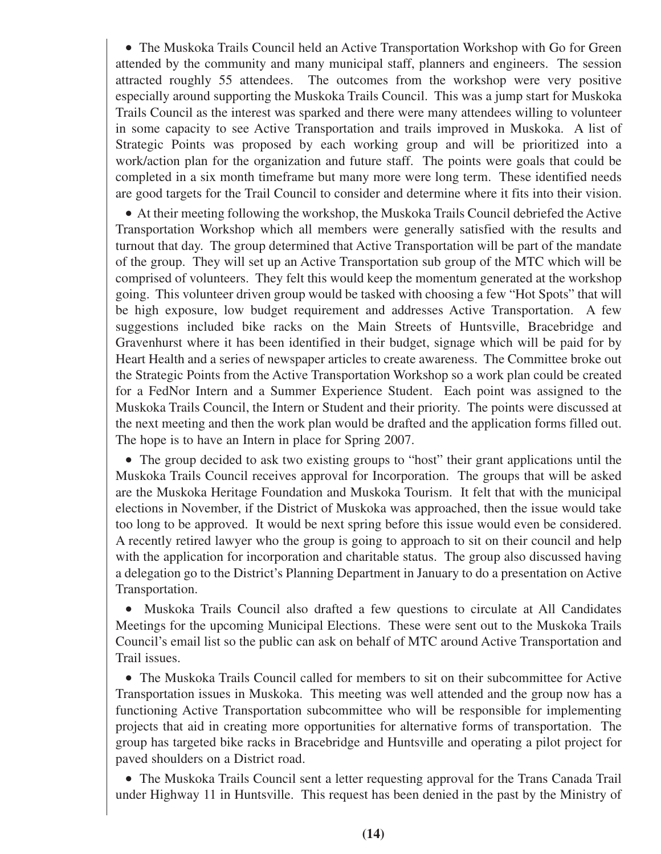• The Muskoka Trails Council held an Active Transportation Workshop with Go for Green attended by the community and many municipal staff, planners and engineers. The session attracted roughly 55 attendees. The outcomes from the workshop were very positive especially around supporting the Muskoka Trails Council. This was a jump start for Muskoka Trails Council as the interest was sparked and there were many attendees willing to volunteer in some capacity to see Active Transportation and trails improved in Muskoka. A list of Strategic Points was proposed by each working group and will be prioritized into a work/action plan for the organization and future staff. The points were goals that could be completed in a six month timeframe but many more were long term. These identified needs are good targets for the Trail Council to consider and determine where it fits into their vision.

• At their meeting following the workshop, the Muskoka Trails Council debriefed the Active Transportation Workshop which all members were generally satisfied with the results and turnout that day. The group determined that Active Transportation will be part of the mandate of the group. They will set up an Active Transportation sub group of the MTC which will be comprised of volunteers. They felt this would keep the momentum generated at the workshop going. This volunteer driven group would be tasked with choosing a few "Hot Spots" that will be high exposure, low budget requirement and addresses Active Transportation. A few suggestions included bike racks on the Main Streets of Huntsville, Bracebridge and Gravenhurst where it has been identified in their budget, signage which will be paid for by Heart Health and a series of newspaper articles to create awareness. The Committee broke out the Strategic Points from the Active Transportation Workshop so a work plan could be created for a FedNor Intern and a Summer Experience Student. Each point was assigned to the Muskoka Trails Council, the Intern or Student and their priority. The points were discussed at the next meeting and then the work plan would be drafted and the application forms filled out. The hope is to have an Intern in place for Spring 2007.

• The group decided to ask two existing groups to "host" their grant applications until the Muskoka Trails Council receives approval for Incorporation. The groups that will be asked are the Muskoka Heritage Foundation and Muskoka Tourism. It felt that with the municipal elections in November, if the District of Muskoka was approached, then the issue would take too long to be approved. It would be next spring before this issue would even be considered. A recently retired lawyer who the group is going to approach to sit on their council and help with the application for incorporation and charitable status. The group also discussed having a delegation go to the District's Planning Department in January to do a presentation on Active Transportation.

• Muskoka Trails Council also drafted a few questions to circulate at All Candidates Meetings for the upcoming Municipal Elections. These were sent out to the Muskoka Trails Council's email list so the public can ask on behalf of MTC around Active Transportation and Trail issues.

• The Muskoka Trails Council called for members to sit on their subcommittee for Active Transportation issues in Muskoka. This meeting was well attended and the group now has a functioning Active Transportation subcommittee who will be responsible for implementing projects that aid in creating more opportunities for alternative forms of transportation. The group has targeted bike racks in Bracebridge and Huntsville and operating a pilot project for paved shoulders on a District road.

• The Muskoka Trails Council sent a letter requesting approval for the Trans Canada Trail under Highway 11 in Huntsville. This request has been denied in the past by the Ministry of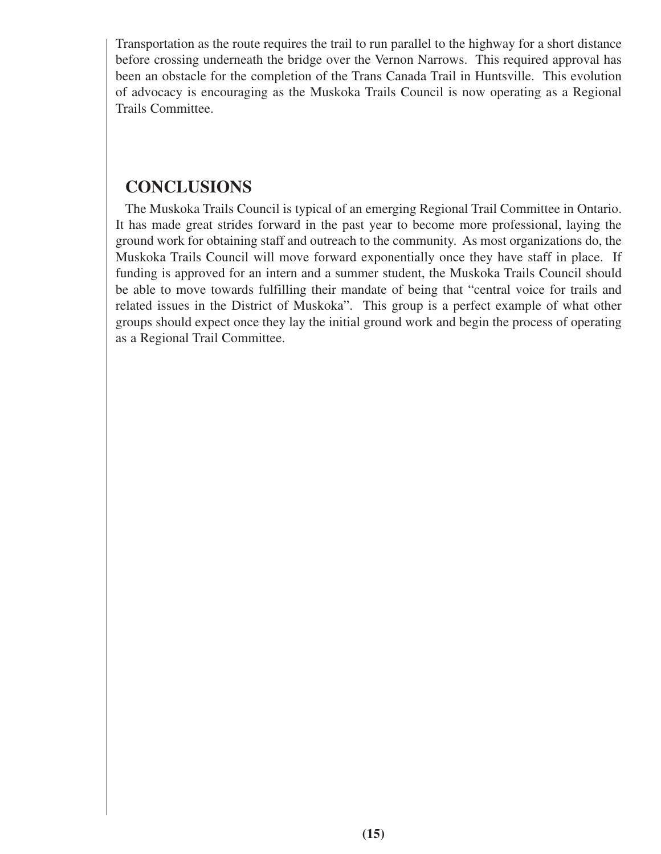Transportation as the route requires the trail to run parallel to the highway for a short distance before crossing underneath the bridge over the Vernon Narrows. This required approval has been an obstacle for the completion of the Trans Canada Trail in Huntsville. This evolution of advocacy is encouraging as the Muskoka Trails Council is now operating as a Regional Trails Committee.

#### **CONCLUSIONS**

The Muskoka Trails Council is typical of an emerging Regional Trail Committee in Ontario. It has made great strides forward in the past year to become more professional, laying the ground work for obtaining staff and outreach to the community. As most organizations do, the Muskoka Trails Council will move forward exponentially once they have staff in place. If funding is approved for an intern and a summer student, the Muskoka Trails Council should be able to move towards fulfilling their mandate of being that "central voice for trails and related issues in the District of Muskoka". This group is a perfect example of what other groups should expect once they lay the initial ground work and begin the process of operating as a Regional Trail Committee.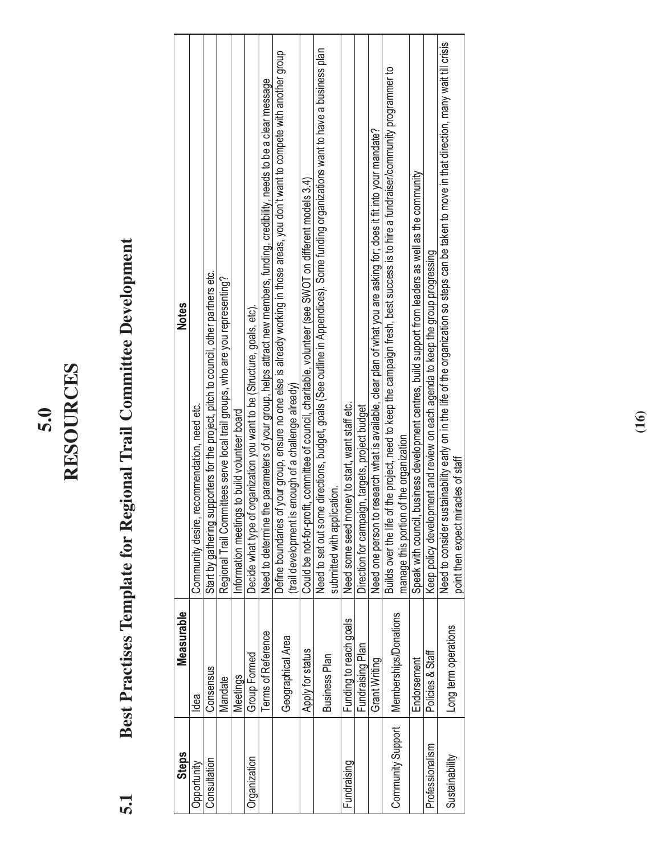### 5.0<br>**RESOURCES RESOURCES**

# Best Practises Template for Regional Trail Committee Development **5.1 Best Practises Template for Regional Trail Committee Development** 5.1

| <b>Steps</b>      | Measurable             | <b>Notes</b>                                                                                                                                                                                   |
|-------------------|------------------------|------------------------------------------------------------------------------------------------------------------------------------------------------------------------------------------------|
| Opportunity       | ldea                   | Community desire, recommendation, need etc.                                                                                                                                                    |
| Consultation      | Consensus              | apporters for the project, pitch to council, other partners etc.<br>Start by gathering su                                                                                                      |
|                   | Mandate                | Regional Trail Committees serve local trail groups, who are you representing?                                                                                                                  |
|                   | Meetings               | Information meetings to build volunteer board                                                                                                                                                  |
| Organization      | Group Formed           | organization you want to be (Structure, goals, etc)<br>Decide what type of                                                                                                                     |
|                   | Terms of Reference     | Need to determine the parameters of your group, helps attract new members, funding, credibility, needs to be a clear message                                                                   |
|                   | Geographical Area      | Define boundaries of your group, ensure no one else is already working in those areas, you don't want to compete with another group<br>enough of a challenge already)<br>(trail development is |
|                   | Apply for status       | Could be not-for-profit, committee of council, charitable, volunteer (see SWOT on different models 3.4)                                                                                        |
|                   | <b>Business Plan</b>   | Need to set out some directions, budget, goals (See outline in Appendices). Some funding organizations want to have a business plan<br>submitted with application.                             |
| Fundraising       | Funding to reach goals | Need some seed money to start, want staff etc.                                                                                                                                                 |
|                   | Fundraising Plan       | gn, targets, project budget<br>Direction for campai                                                                                                                                            |
|                   | Grant Writing          | research what is available, clear plan of what you are asking for; does it fit into your mandate?<br>Need one person to                                                                        |
| Community Support | Memberships/Donations  | Builds over the life of the project, need to keep the campaign fresh, best success is to hire a fundraiser/community programmer to<br>of the organization<br>manage this portion               |
|                   | Endorsement            | ousiness development centres, build support from leaders as well as the community<br>Speak with council,                                                                                       |
| Professionalism   | Policies & Staff       | Keep policy development and review on each agenda to keep the group progressing                                                                                                                |
| Sustainability    | Long term operations   | stainability early on in the life of the organization so steps can be taken to move in that direction, many wait till crisis<br>racles of staff<br>point then expect mi<br>Need to consider su |
|                   |                        |                                                                                                                                                                                                |
|                   |                        | $\mathbf{\widehat{G}}$                                                                                                                                                                         |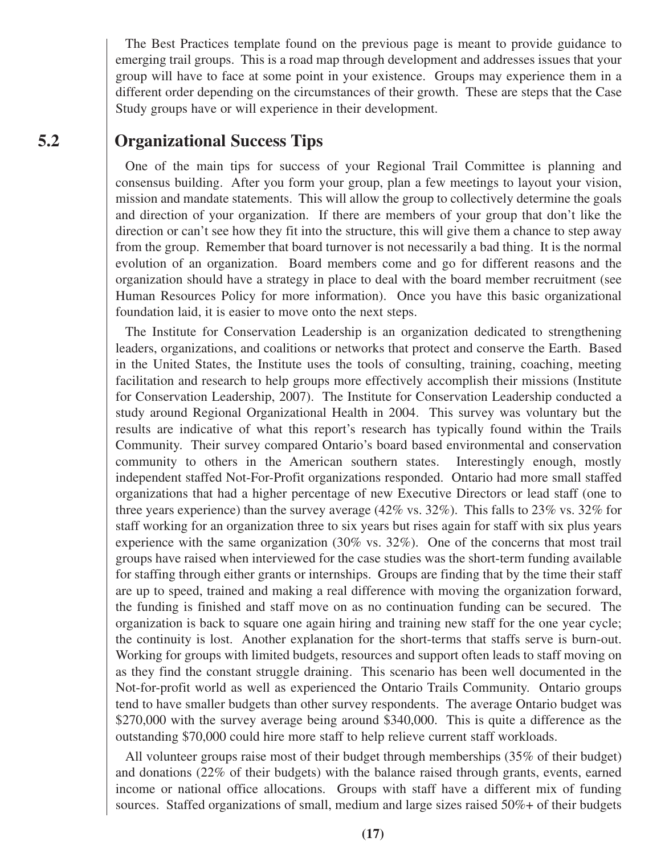The Best Practices template found on the previous page is meant to provide guidance to emerging trail groups. This is a road map through development and addresses issues that your group will have to face at some point in your existence. Groups may experience them in a different order depending on the circumstances of their growth. These are steps that the Case Study groups have or will experience in their development.

#### **5.2 Organizational Success Tips**

One of the main tips for success of your Regional Trail Committee is planning and consensus building. After you form your group, plan a few meetings to layout your vision, mission and mandate statements. This will allow the group to collectively determine the goals and direction of your organization. If there are members of your group that don't like the direction or can't see how they fit into the structure, this will give them a chance to step away from the group. Remember that board turnover is not necessarily a bad thing. It is the normal evolution of an organization. Board members come and go for different reasons and the organization should have a strategy in place to deal with the board member recruitment (see Human Resources Policy for more information). Once you have this basic organizational foundation laid, it is easier to move onto the next steps.

The Institute for Conservation Leadership is an organization dedicated to strengthening leaders, organizations, and coalitions or networks that protect and conserve the Earth. Based in the United States, the Institute uses the tools of consulting, training, coaching, meeting facilitation and research to help groups more effectively accomplish their missions (Institute for Conservation Leadership, 2007). The Institute for Conservation Leadership conducted a study around Regional Organizational Health in 2004. This survey was voluntary but the results are indicative of what this report's research has typically found within the Trails Community. Their survey compared Ontario's board based environmental and conservation community to others in the American southern states. Interestingly enough, mostly independent staffed Not-For-Profit organizations responded. Ontario had more small staffed organizations that had a higher percentage of new Executive Directors or lead staff (one to three years experience) than the survey average (42% vs. 32%). This falls to 23% vs. 32% for staff working for an organization three to six years but rises again for staff with six plus years experience with the same organization (30% vs. 32%). One of the concerns that most trail groups have raised when interviewed for the case studies was the short-term funding available for staffing through either grants or internships. Groups are finding that by the time their staff are up to speed, trained and making a real difference with moving the organization forward, the funding is finished and staff move on as no continuation funding can be secured. The organization is back to square one again hiring and training new staff for the one year cycle; the continuity is lost. Another explanation for the short-terms that staffs serve is burn-out. Working for groups with limited budgets, resources and support often leads to staff moving on as they find the constant struggle draining. This scenario has been well documented in the Not-for-profit world as well as experienced the Ontario Trails Community. Ontario groups tend to have smaller budgets than other survey respondents. The average Ontario budget was \$270,000 with the survey average being around \$340,000. This is quite a difference as the outstanding \$70,000 could hire more staff to help relieve current staff workloads.

All volunteer groups raise most of their budget through memberships (35% of their budget) and donations (22% of their budgets) with the balance raised through grants, events, earned income or national office allocations. Groups with staff have a different mix of funding sources. Staffed organizations of small, medium and large sizes raised 50%+ of their budgets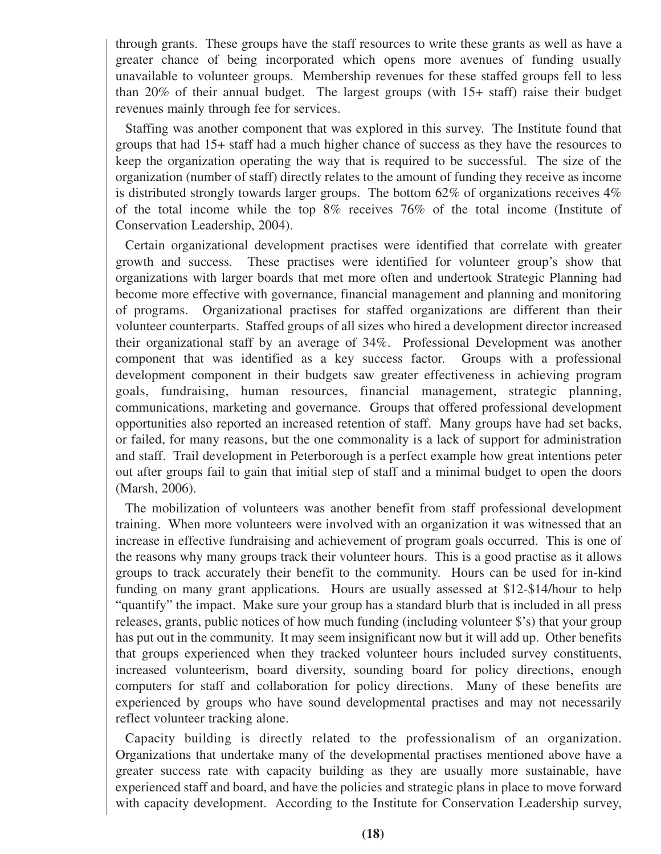through grants. These groups have the staff resources to write these grants as well as have a greater chance of being incorporated which opens more avenues of funding usually unavailable to volunteer groups. Membership revenues for these staffed groups fell to less than 20% of their annual budget. The largest groups (with 15+ staff) raise their budget revenues mainly through fee for services.

Staffing was another component that was explored in this survey. The Institute found that groups that had 15+ staff had a much higher chance of success as they have the resources to keep the organization operating the way that is required to be successful. The size of the organization (number of staff) directly relates to the amount of funding they receive as income is distributed strongly towards larger groups. The bottom 62% of organizations receives 4% of the total income while the top 8% receives 76% of the total income (Institute of Conservation Leadership, 2004).

Certain organizational development practises were identified that correlate with greater growth and success. These practises were identified for volunteer group's show that organizations with larger boards that met more often and undertook Strategic Planning had become more effective with governance, financial management and planning and monitoring of programs. Organizational practises for staffed organizations are different than their volunteer counterparts. Staffed groups of all sizes who hired a development director increased their organizational staff by an average of 34%. Professional Development was another component that was identified as a key success factor. Groups with a professional development component in their budgets saw greater effectiveness in achieving program goals, fundraising, human resources, financial management, strategic planning, communications, marketing and governance. Groups that offered professional development opportunities also reported an increased retention of staff. Many groups have had set backs, or failed, for many reasons, but the one commonality is a lack of support for administration and staff. Trail development in Peterborough is a perfect example how great intentions peter out after groups fail to gain that initial step of staff and a minimal budget to open the doors (Marsh, 2006).

The mobilization of volunteers was another benefit from staff professional development training. When more volunteers were involved with an organization it was witnessed that an increase in effective fundraising and achievement of program goals occurred. This is one of the reasons why many groups track their volunteer hours. This is a good practise as it allows groups to track accurately their benefit to the community. Hours can be used for in-kind funding on many grant applications. Hours are usually assessed at \$12-\$14/hour to help "quantify" the impact. Make sure your group has a standard blurb that is included in all press releases, grants, public notices of how much funding (including volunteer \$'s) that your group has put out in the community. It may seem insignificant now but it will add up. Other benefits that groups experienced when they tracked volunteer hours included survey constituents, increased volunteerism, board diversity, sounding board for policy directions, enough computers for staff and collaboration for policy directions. Many of these benefits are experienced by groups who have sound developmental practises and may not necessarily reflect volunteer tracking alone.

Capacity building is directly related to the professionalism of an organization. Organizations that undertake many of the developmental practises mentioned above have a greater success rate with capacity building as they are usually more sustainable, have experienced staff and board, and have the policies and strategic plans in place to move forward with capacity development. According to the Institute for Conservation Leadership survey,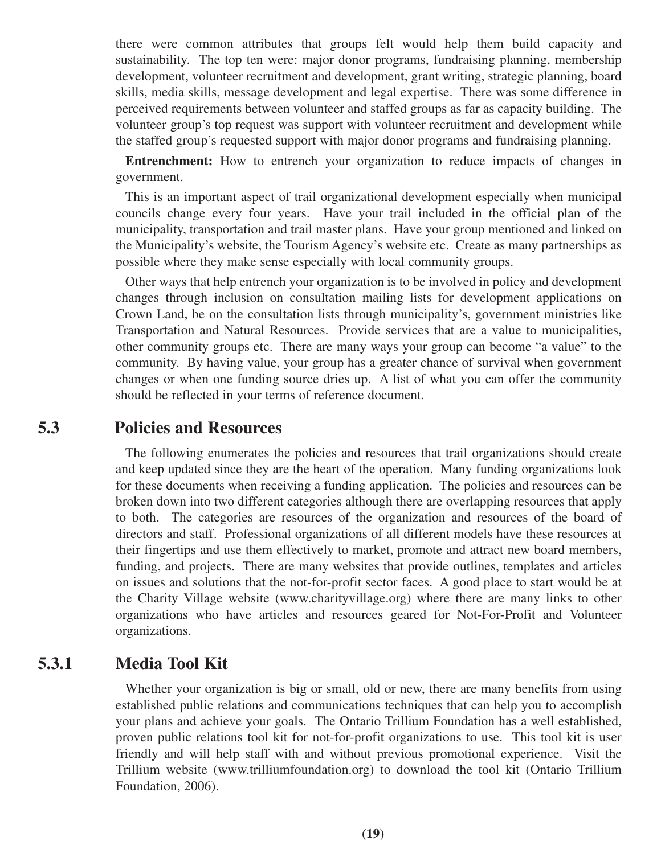there were common attributes that groups felt would help them build capacity and sustainability. The top ten were: major donor programs, fundraising planning, membership development, volunteer recruitment and development, grant writing, strategic planning, board skills, media skills, message development and legal expertise. There was some difference in perceived requirements between volunteer and staffed groups as far as capacity building. The volunteer group's top request was support with volunteer recruitment and development while the staffed group's requested support with major donor programs and fundraising planning.

**Entrenchment:** How to entrench your organization to reduce impacts of changes in government.

This is an important aspect of trail organizational development especially when municipal councils change every four years. Have your trail included in the official plan of the municipality, transportation and trail master plans. Have your group mentioned and linked on the Municipality's website, the Tourism Agency's website etc. Create as many partnerships as possible where they make sense especially with local community groups.

Other ways that help entrench your organization is to be involved in policy and development changes through inclusion on consultation mailing lists for development applications on Crown Land, be on the consultation lists through municipality's, government ministries like Transportation and Natural Resources. Provide services that are a value to municipalities, other community groups etc. There are many ways your group can become "a value" to the community. By having value, your group has a greater chance of survival when government changes or when one funding source dries up. A list of what you can offer the community should be reflected in your terms of reference document.

#### **5.3 Policies and Resources**

The following enumerates the policies and resources that trail organizations should create and keep updated since they are the heart of the operation. Many funding organizations look for these documents when receiving a funding application. The policies and resources can be broken down into two different categories although there are overlapping resources that apply to both. The categories are resources of the organization and resources of the board of directors and staff. Professional organizations of all different models have these resources at their fingertips and use them effectively to market, promote and attract new board members, funding, and projects. There are many websites that provide outlines, templates and articles on issues and solutions that the not-for-profit sector faces. A good place to start would be at the Charity Village website (www.charityvillage.org) where there are many links to other organizations who have articles and resources geared for Not-For-Profit and Volunteer organizations.

#### **5.3.1 Media Tool Kit**

Whether your organization is big or small, old or new, there are many benefits from using established public relations and communications techniques that can help you to accomplish your plans and achieve your goals. The Ontario Trillium Foundation has a well established, proven public relations tool kit for not-for-profit organizations to use. This tool kit is user friendly and will help staff with and without previous promotional experience. Visit the Trillium website (www.trilliumfoundation.org) to download the tool kit (Ontario Trillium Foundation, 2006).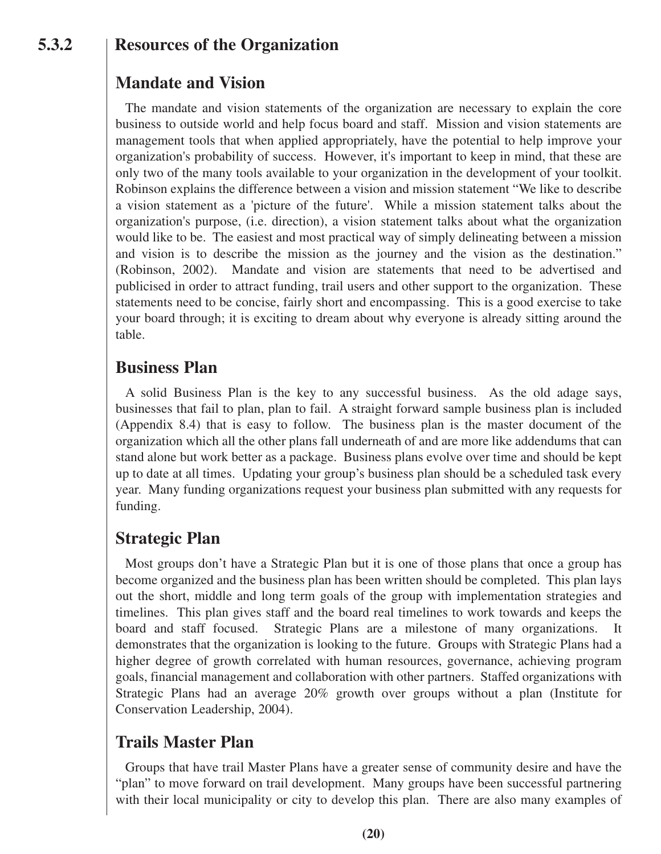#### **5.3.2 Resources of the Organization**

#### **Mandate and Vision**

The mandate and vision statements of the organization are necessary to explain the core business to outside world and help focus board and staff. Mission and vision statements are management tools that when applied appropriately, have the potential to help improve your organization's probability of success. However, it's important to keep in mind, that these are only two of the many tools available to your organization in the development of your toolkit. Robinson explains the difference between a vision and mission statement "We like to describe a vision statement as a 'picture of the future'. While a mission statement talks about the organization's purpose, (i.e. direction), a vision statement talks about what the organization would like to be. The easiest and most practical way of simply delineating between a mission and vision is to describe the mission as the journey and the vision as the destination." (Robinson, 2002). Mandate and vision are statements that need to be advertised and publicised in order to attract funding, trail users and other support to the organization. These statements need to be concise, fairly short and encompassing. This is a good exercise to take your board through; it is exciting to dream about why everyone is already sitting around the table.

#### **Business Plan**

A solid Business Plan is the key to any successful business. As the old adage says, businesses that fail to plan, plan to fail. A straight forward sample business plan is included (Appendix 8.4) that is easy to follow. The business plan is the master document of the organization which all the other plans fall underneath of and are more like addendums that can stand alone but work better as a package. Business plans evolve over time and should be kept up to date at all times. Updating your group's business plan should be a scheduled task every year. Many funding organizations request your business plan submitted with any requests for funding.

#### **Strategic Plan**

Most groups don't have a Strategic Plan but it is one of those plans that once a group has become organized and the business plan has been written should be completed. This plan lays out the short, middle and long term goals of the group with implementation strategies and timelines. This plan gives staff and the board real timelines to work towards and keeps the board and staff focused. Strategic Plans are a milestone of many organizations. It demonstrates that the organization is looking to the future. Groups with Strategic Plans had a higher degree of growth correlated with human resources, governance, achieving program goals, financial management and collaboration with other partners. Staffed organizations with Strategic Plans had an average 20% growth over groups without a plan (Institute for Conservation Leadership, 2004).

#### **Trails Master Plan**

Groups that have trail Master Plans have a greater sense of community desire and have the "plan" to move forward on trail development. Many groups have been successful partnering with their local municipality or city to develop this plan. There are also many examples of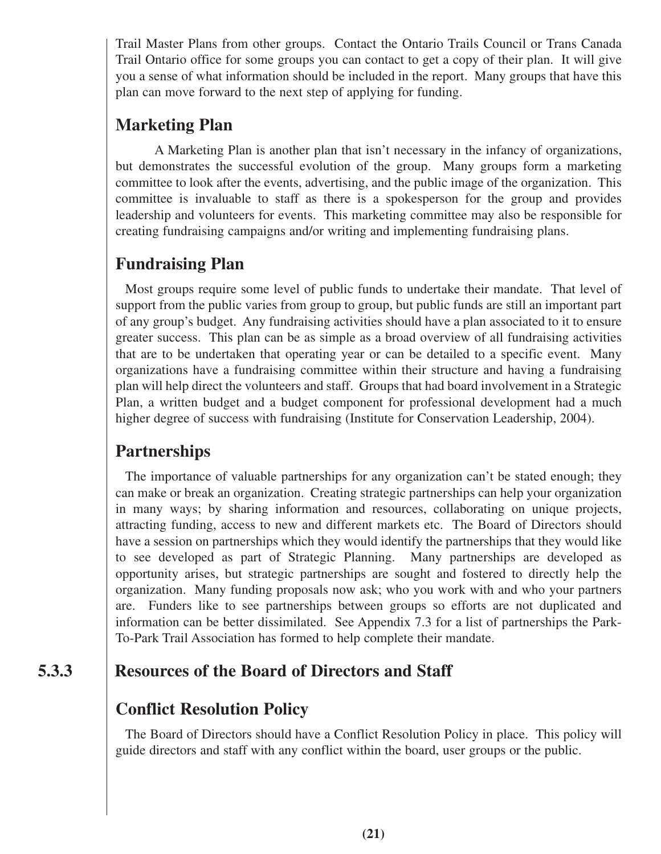Trail Master Plans from other groups. Contact the Ontario Trails Council or Trans Canada Trail Ontario office for some groups you can contact to get a copy of their plan. It will give you a sense of what information should be included in the report. Many groups that have this plan can move forward to the next step of applying for funding.

#### **Marketing Plan**

A Marketing Plan is another plan that isn't necessary in the infancy of organizations, but demonstrates the successful evolution of the group. Many groups form a marketing committee to look after the events, advertising, and the public image of the organization. This committee is invaluable to staff as there is a spokesperson for the group and provides leadership and volunteers for events. This marketing committee may also be responsible for creating fundraising campaigns and/or writing and implementing fundraising plans.

#### **Fundraising Plan**

Most groups require some level of public funds to undertake their mandate. That level of support from the public varies from group to group, but public funds are still an important part of any group's budget. Any fundraising activities should have a plan associated to it to ensure greater success. This plan can be as simple as a broad overview of all fundraising activities that are to be undertaken that operating year or can be detailed to a specific event. Many organizations have a fundraising committee within their structure and having a fundraising plan will help direct the volunteers and staff. Groups that had board involvement in a Strategic Plan, a written budget and a budget component for professional development had a much higher degree of success with fundraising (Institute for Conservation Leadership, 2004).

#### **Partnerships**

The importance of valuable partnerships for any organization can't be stated enough; they can make or break an organization. Creating strategic partnerships can help your organization in many ways; by sharing information and resources, collaborating on unique projects, attracting funding, access to new and different markets etc. The Board of Directors should have a session on partnerships which they would identify the partnerships that they would like to see developed as part of Strategic Planning. Many partnerships are developed as opportunity arises, but strategic partnerships are sought and fostered to directly help the organization. Many funding proposals now ask; who you work with and who your partners are. Funders like to see partnerships between groups so efforts are not duplicated and information can be better dissimilated. See Appendix 7.3 for a list of partnerships the Park-To-Park Trail Association has formed to help complete their mandate.

#### **5.3.3 Resources of the Board of Directors and Staff**

#### **Conflict Resolution Policy**

The Board of Directors should have a Conflict Resolution Policy in place. This policy will guide directors and staff with any conflict within the board, user groups or the public.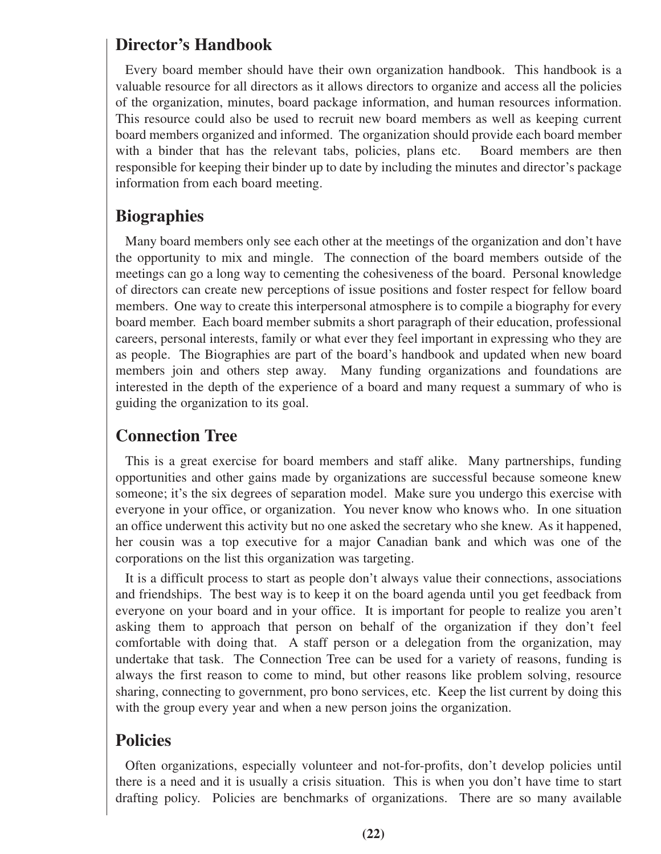#### **Director's Handbook**

Every board member should have their own organization handbook. This handbook is a valuable resource for all directors as it allows directors to organize and access all the policies of the organization, minutes, board package information, and human resources information. This resource could also be used to recruit new board members as well as keeping current board members organized and informed. The organization should provide each board member with a binder that has the relevant tabs, policies, plans etc. Board members are then responsible for keeping their binder up to date by including the minutes and director's package information from each board meeting.

#### **Biographies**

Many board members only see each other at the meetings of the organization and don't have the opportunity to mix and mingle. The connection of the board members outside of the meetings can go a long way to cementing the cohesiveness of the board. Personal knowledge of directors can create new perceptions of issue positions and foster respect for fellow board members. One way to create this interpersonal atmosphere is to compile a biography for every board member. Each board member submits a short paragraph of their education, professional careers, personal interests, family or what ever they feel important in expressing who they are as people. The Biographies are part of the board's handbook and updated when new board members join and others step away. Many funding organizations and foundations are interested in the depth of the experience of a board and many request a summary of who is guiding the organization to its goal.

#### **Connection Tree**

This is a great exercise for board members and staff alike. Many partnerships, funding opportunities and other gains made by organizations are successful because someone knew someone; it's the six degrees of separation model. Make sure you undergo this exercise with everyone in your office, or organization. You never know who knows who. In one situation an office underwent this activity but no one asked the secretary who she knew. As it happened, her cousin was a top executive for a major Canadian bank and which was one of the corporations on the list this organization was targeting.

It is a difficult process to start as people don't always value their connections, associations and friendships. The best way is to keep it on the board agenda until you get feedback from everyone on your board and in your office. It is important for people to realize you aren't asking them to approach that person on behalf of the organization if they don't feel comfortable with doing that. A staff person or a delegation from the organization, may undertake that task. The Connection Tree can be used for a variety of reasons, funding is always the first reason to come to mind, but other reasons like problem solving, resource sharing, connecting to government, pro bono services, etc. Keep the list current by doing this with the group every year and when a new person joins the organization.

#### **Policies**

Often organizations, especially volunteer and not-for-profits, don't develop policies until there is a need and it is usually a crisis situation. This is when you don't have time to start drafting policy. Policies are benchmarks of organizations. There are so many available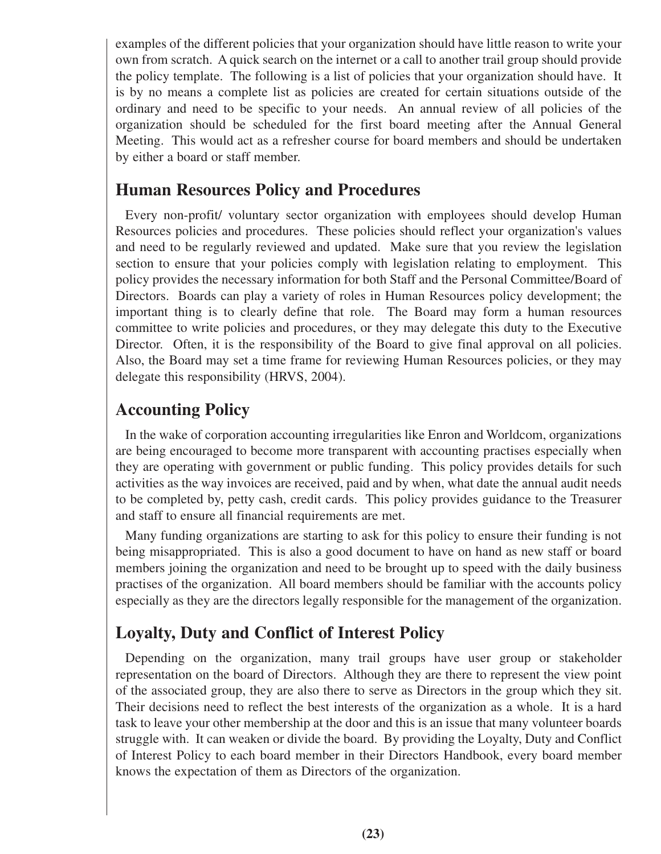examples of the different policies that your organization should have little reason to write your own from scratch. A quick search on the internet or a call to another trail group should provide the policy template. The following is a list of policies that your organization should have. It is by no means a complete list as policies are created for certain situations outside of the ordinary and need to be specific to your needs. An annual review of all policies of the organization should be scheduled for the first board meeting after the Annual General Meeting. This would act as a refresher course for board members and should be undertaken by either a board or staff member.

#### **Human Resources Policy and Procedures**

Every non-profit/ voluntary sector organization with employees should develop Human Resources policies and procedures. These policies should reflect your organization's values and need to be regularly reviewed and updated. Make sure that you review the legislation section to ensure that your policies comply with legislation relating to employment. This policy provides the necessary information for both Staff and the Personal Committee/Board of Directors. Boards can play a variety of roles in Human Resources policy development; the important thing is to clearly define that role. The Board may form a human resources committee to write policies and procedures, or they may delegate this duty to the Executive Director. Often, it is the responsibility of the Board to give final approval on all policies. Also, the Board may set a time frame for reviewing Human Resources policies, or they may delegate this responsibility (HRVS, 2004).

#### **Accounting Policy**

In the wake of corporation accounting irregularities like Enron and Worldcom, organizations are being encouraged to become more transparent with accounting practises especially when they are operating with government or public funding. This policy provides details for such activities as the way invoices are received, paid and by when, what date the annual audit needs to be completed by, petty cash, credit cards. This policy provides guidance to the Treasurer and staff to ensure all financial requirements are met.

Many funding organizations are starting to ask for this policy to ensure their funding is not being misappropriated. This is also a good document to have on hand as new staff or board members joining the organization and need to be brought up to speed with the daily business practises of the organization. All board members should be familiar with the accounts policy especially as they are the directors legally responsible for the management of the organization.

#### **Loyalty, Duty and Conflict of Interest Policy**

Depending on the organization, many trail groups have user group or stakeholder representation on the board of Directors. Although they are there to represent the view point of the associated group, they are also there to serve as Directors in the group which they sit. Their decisions need to reflect the best interests of the organization as a whole. It is a hard task to leave your other membership at the door and this is an issue that many volunteer boards struggle with. It can weaken or divide the board. By providing the Loyalty, Duty and Conflict of Interest Policy to each board member in their Directors Handbook, every board member knows the expectation of them as Directors of the organization.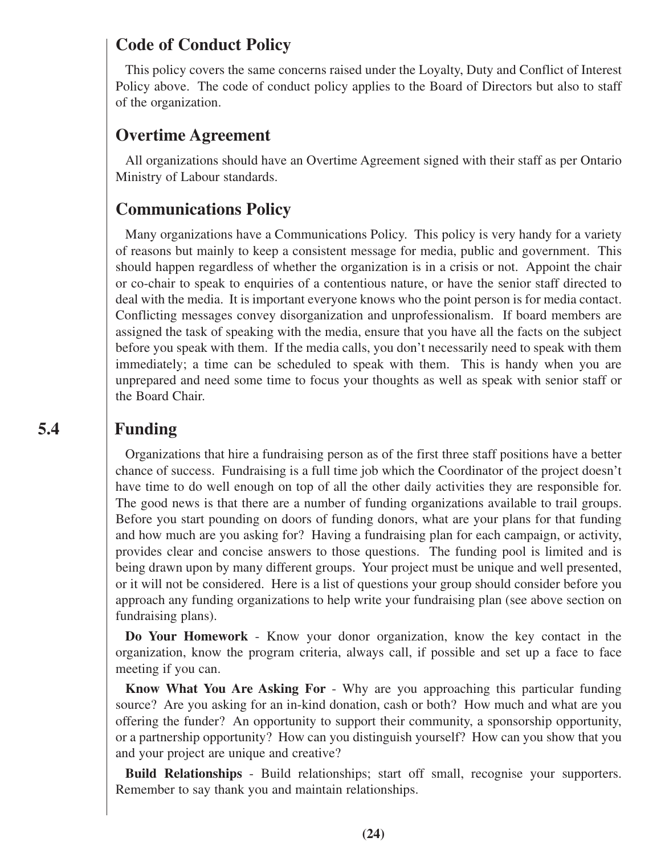#### **Code of Conduct Policy**

This policy covers the same concerns raised under the Loyalty, Duty and Conflict of Interest Policy above. The code of conduct policy applies to the Board of Directors but also to staff of the organization.

#### **Overtime Agreement**

All organizations should have an Overtime Agreement signed with their staff as per Ontario Ministry of Labour standards.

#### **Communications Policy**

Many organizations have a Communications Policy. This policy is very handy for a variety of reasons but mainly to keep a consistent message for media, public and government. This should happen regardless of whether the organization is in a crisis or not. Appoint the chair or co-chair to speak to enquiries of a contentious nature, or have the senior staff directed to deal with the media. It is important everyone knows who the point person is for media contact. Conflicting messages convey disorganization and unprofessionalism. If board members are assigned the task of speaking with the media, ensure that you have all the facts on the subject before you speak with them. If the media calls, you don't necessarily need to speak with them immediately; a time can be scheduled to speak with them. This is handy when you are unprepared and need some time to focus your thoughts as well as speak with senior staff or the Board Chair.

#### **5.4 Funding**

Organizations that hire a fundraising person as of the first three staff positions have a better chance of success. Fundraising is a full time job which the Coordinator of the project doesn't have time to do well enough on top of all the other daily activities they are responsible for. The good news is that there are a number of funding organizations available to trail groups. Before you start pounding on doors of funding donors, what are your plans for that funding and how much are you asking for? Having a fundraising plan for each campaign, or activity, provides clear and concise answers to those questions. The funding pool is limited and is being drawn upon by many different groups. Your project must be unique and well presented, or it will not be considered. Here is a list of questions your group should consider before you approach any funding organizations to help write your fundraising plan (see above section on fundraising plans).

**Do Your Homework** - Know your donor organization, know the key contact in the organization, know the program criteria, always call, if possible and set up a face to face meeting if you can.

**Know What You Are Asking For** - Why are you approaching this particular funding source? Are you asking for an in-kind donation, cash or both? How much and what are you offering the funder? An opportunity to support their community, a sponsorship opportunity, or a partnership opportunity? How can you distinguish yourself? How can you show that you and your project are unique and creative?

**Build Relationships** - Build relationships; start off small, recognise your supporters. Remember to say thank you and maintain relationships.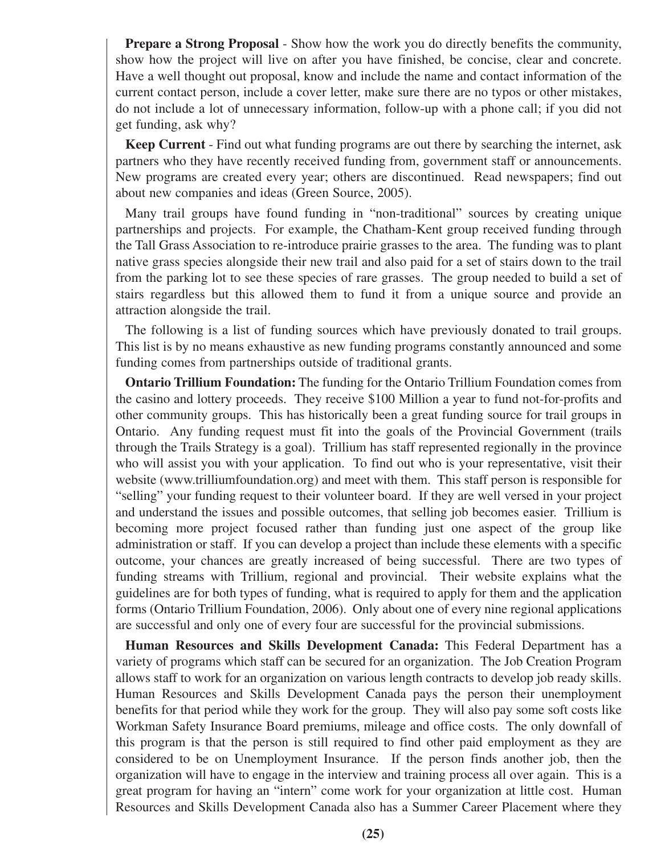**Prepare a Strong Proposal** - Show how the work you do directly benefits the community, show how the project will live on after you have finished, be concise, clear and concrete. Have a well thought out proposal, know and include the name and contact information of the current contact person, include a cover letter, make sure there are no typos or other mistakes, do not include a lot of unnecessary information, follow-up with a phone call; if you did not get funding, ask why?

**Keep Current** - Find out what funding programs are out there by searching the internet, ask partners who they have recently received funding from, government staff or announcements. New programs are created every year; others are discontinued. Read newspapers; find out about new companies and ideas (Green Source, 2005).

Many trail groups have found funding in "non-traditional" sources by creating unique partnerships and projects. For example, the Chatham-Kent group received funding through the Tall Grass Association to re-introduce prairie grasses to the area. The funding was to plant native grass species alongside their new trail and also paid for a set of stairs down to the trail from the parking lot to see these species of rare grasses. The group needed to build a set of stairs regardless but this allowed them to fund it from a unique source and provide an attraction alongside the trail.

The following is a list of funding sources which have previously donated to trail groups. This list is by no means exhaustive as new funding programs constantly announced and some funding comes from partnerships outside of traditional grants.

**Ontario Trillium Foundation:** The funding for the Ontario Trillium Foundation comes from the casino and lottery proceeds. They receive \$100 Million a year to fund not-for-profits and other community groups. This has historically been a great funding source for trail groups in Ontario. Any funding request must fit into the goals of the Provincial Government (trails through the Trails Strategy is a goal). Trillium has staff represented regionally in the province who will assist you with your application. To find out who is your representative, visit their website (www.trilliumfoundation.org) and meet with them. This staff person is responsible for "selling" your funding request to their volunteer board. If they are well versed in your project and understand the issues and possible outcomes, that selling job becomes easier. Trillium is becoming more project focused rather than funding just one aspect of the group like administration or staff. If you can develop a project than include these elements with a specific outcome, your chances are greatly increased of being successful. There are two types of funding streams with Trillium, regional and provincial. Their website explains what the guidelines are for both types of funding, what is required to apply for them and the application forms (Ontario Trillium Foundation, 2006). Only about one of every nine regional applications are successful and only one of every four are successful for the provincial submissions.

**Human Resources and Skills Development Canada:** This Federal Department has a variety of programs which staff can be secured for an organization. The Job Creation Program allows staff to work for an organization on various length contracts to develop job ready skills. Human Resources and Skills Development Canada pays the person their unemployment benefits for that period while they work for the group. They will also pay some soft costs like Workman Safety Insurance Board premiums, mileage and office costs. The only downfall of this program is that the person is still required to find other paid employment as they are considered to be on Unemployment Insurance. If the person finds another job, then the organization will have to engage in the interview and training process all over again. This is a great program for having an "intern" come work for your organization at little cost. Human Resources and Skills Development Canada also has a Summer Career Placement where they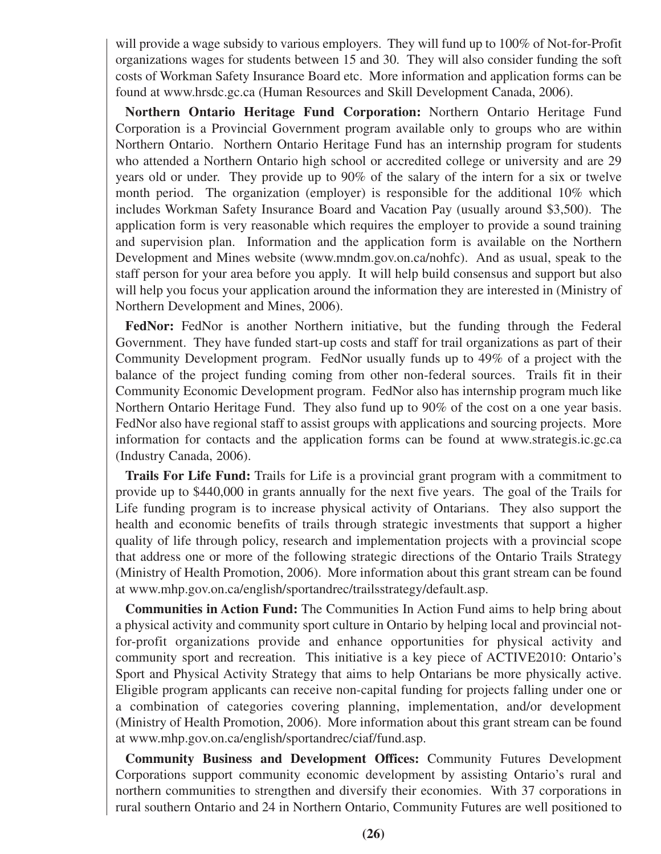will provide a wage subsidy to various employers. They will fund up to 100% of Not-for-Profit organizations wages for students between 15 and 30. They will also consider funding the soft costs of Workman Safety Insurance Board etc. More information and application forms can be found at www.hrsdc.gc.ca (Human Resources and Skill Development Canada, 2006).

**Northern Ontario Heritage Fund Corporation:** Northern Ontario Heritage Fund Corporation is a Provincial Government program available only to groups who are within Northern Ontario. Northern Ontario Heritage Fund has an internship program for students who attended a Northern Ontario high school or accredited college or university and are 29 years old or under. They provide up to 90% of the salary of the intern for a six or twelve month period. The organization (employer) is responsible for the additional 10% which includes Workman Safety Insurance Board and Vacation Pay (usually around \$3,500). The application form is very reasonable which requires the employer to provide a sound training and supervision plan. Information and the application form is available on the Northern Development and Mines website (www.mndm.gov.on.ca/nohfc). And as usual, speak to the staff person for your area before you apply. It will help build consensus and support but also will help you focus your application around the information they are interested in (Ministry of Northern Development and Mines, 2006).

**FedNor:** FedNor is another Northern initiative, but the funding through the Federal Government. They have funded start-up costs and staff for trail organizations as part of their Community Development program. FedNor usually funds up to 49% of a project with the balance of the project funding coming from other non-federal sources. Trails fit in their Community Economic Development program. FedNor also has internship program much like Northern Ontario Heritage Fund. They also fund up to 90% of the cost on a one year basis. FedNor also have regional staff to assist groups with applications and sourcing projects. More information for contacts and the application forms can be found at www.strategis.ic.gc.ca (Industry Canada, 2006).

**Trails For Life Fund:** Trails for Life is a provincial grant program with a commitment to provide up to \$440,000 in grants annually for the next five years. The goal of the Trails for Life funding program is to increase physical activity of Ontarians. They also support the health and economic benefits of trails through strategic investments that support a higher quality of life through policy, research and implementation projects with a provincial scope that address one or more of the following strategic directions of the Ontario Trails Strategy (Ministry of Health Promotion, 2006). More information about this grant stream can be found at www.mhp.gov.on.ca/english/sportandrec/trailsstrategy/default.asp.

**Communities in Action Fund:** The Communities In Action Fund aims to help bring about a physical activity and community sport culture in Ontario by helping local and provincial notfor-profit organizations provide and enhance opportunities for physical activity and community sport and recreation. This initiative is a key piece of ACTIVE2010: Ontario's Sport and Physical Activity Strategy that aims to help Ontarians be more physically active. Eligible program applicants can receive non-capital funding for projects falling under one or a combination of categories covering planning, implementation, and/or development (Ministry of Health Promotion, 2006). More information about this grant stream can be found at www.mhp.gov.on.ca/english/sportandrec/ciaf/fund.asp.

**Community Business and Development Offices:** Community Futures Development Corporations support community economic development by assisting Ontario's rural and northern communities to strengthen and diversify their economies. With 37 corporations in rural southern Ontario and 24 in Northern Ontario, Community Futures are well positioned to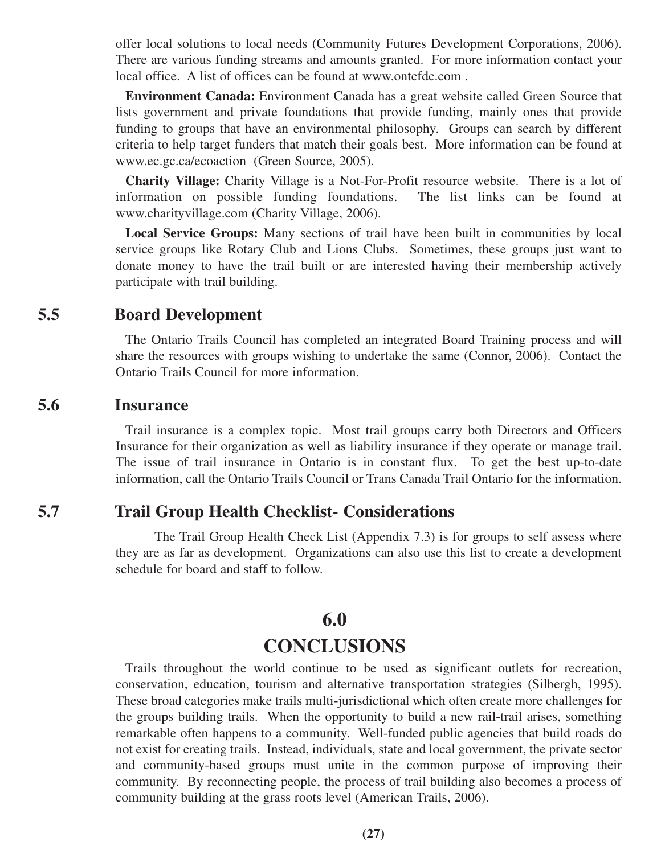offer local solutions to local needs (Community Futures Development Corporations, 2006). There are various funding streams and amounts granted. For more information contact your local office. A list of offices can be found at www.ontcfdc.com.

**Environment Canada:** Environment Canada has a great website called Green Source that lists government and private foundations that provide funding, mainly ones that provide funding to groups that have an environmental philosophy. Groups can search by different criteria to help target funders that match their goals best. More information can be found at www.ec.gc.ca/ecoaction (Green Source, 2005).

**Charity Village:** Charity Village is a Not-For-Profit resource website. There is a lot of information on possible funding foundations. The list links can be found at www.charityvillage.com (Charity Village, 2006).

Local Service Groups: Many sections of trail have been built in communities by local service groups like Rotary Club and Lions Clubs. Sometimes, these groups just want to donate money to have the trail built or are interested having their membership actively participate with trail building.

#### **5.5 Board Development**

The Ontario Trails Council has completed an integrated Board Training process and will share the resources with groups wishing to undertake the same (Connor, 2006). Contact the Ontario Trails Council for more information.

#### **5.6 Insurance**

Trail insurance is a complex topic. Most trail groups carry both Directors and Officers Insurance for their organization as well as liability insurance if they operate or manage trail. The issue of trail insurance in Ontario is in constant flux. To get the best up-to-date information, call the Ontario Trails Council or Trans Canada Trail Ontario for the information.

#### **5.7 Trail Group Health Checklist- Considerations**

The Trail Group Health Check List (Appendix 7.3) is for groups to self assess where they are as far as development. Organizations can also use this list to create a development schedule for board and staff to follow.

#### **6.0 CONCLUSIONS**

Trails throughout the world continue to be used as significant outlets for recreation, conservation, education, tourism and alternative transportation strategies (Silbergh, 1995). These broad categories make trails multi-jurisdictional which often create more challenges for the groups building trails. When the opportunity to build a new rail-trail arises, something remarkable often happens to a community. Well-funded public agencies that build roads do not exist for creating trails. Instead, individuals, state and local government, the private sector and community-based groups must unite in the common purpose of improving their community. By reconnecting people, the process of trail building also becomes a process of community building at the grass roots level (American Trails, 2006).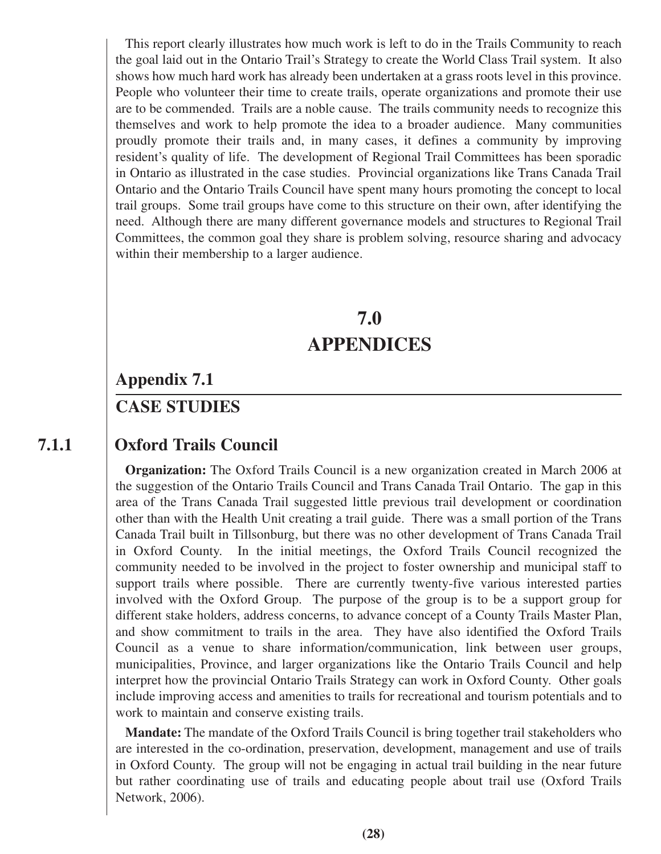This report clearly illustrates how much work is left to do in the Trails Community to reach the goal laid out in the Ontario Trail's Strategy to create the World Class Trail system. It also shows how much hard work has already been undertaken at a grass roots level in this province. People who volunteer their time to create trails, operate organizations and promote their use are to be commended. Trails are a noble cause. The trails community needs to recognize this themselves and work to help promote the idea to a broader audience. Many communities proudly promote their trails and, in many cases, it defines a community by improving resident's quality of life. The development of Regional Trail Committees has been sporadic in Ontario as illustrated in the case studies. Provincial organizations like Trans Canada Trail Ontario and the Ontario Trails Council have spent many hours promoting the concept to local trail groups. Some trail groups have come to this structure on their own, after identifying the need. Although there are many different governance models and structures to Regional Trail Committees, the common goal they share is problem solving, resource sharing and advocacy within their membership to a larger audience.

#### **7.0**

#### **APPENDICES**

#### **Appendix 7.1**

#### **CASE STUDIES**

#### **7.1.1 Oxford Trails Council**

**Organization:** The Oxford Trails Council is a new organization created in March 2006 at the suggestion of the Ontario Trails Council and Trans Canada Trail Ontario. The gap in this area of the Trans Canada Trail suggested little previous trail development or coordination other than with the Health Unit creating a trail guide. There was a small portion of the Trans Canada Trail built in Tillsonburg, but there was no other development of Trans Canada Trail in Oxford County. In the initial meetings, the Oxford Trails Council recognized the community needed to be involved in the project to foster ownership and municipal staff to support trails where possible. There are currently twenty-five various interested parties involved with the Oxford Group. The purpose of the group is to be a support group for different stake holders, address concerns, to advance concept of a County Trails Master Plan, and show commitment to trails in the area. They have also identified the Oxford Trails Council as a venue to share information/communication, link between user groups, municipalities, Province, and larger organizations like the Ontario Trails Council and help interpret how the provincial Ontario Trails Strategy can work in Oxford County. Other goals include improving access and amenities to trails for recreational and tourism potentials and to work to maintain and conserve existing trails.

**Mandate:** The mandate of the Oxford Trails Council is bring together trail stakeholders who are interested in the co-ordination, preservation, development, management and use of trails in Oxford County. The group will not be engaging in actual trail building in the near future but rather coordinating use of trails and educating people about trail use (Oxford Trails Network, 2006).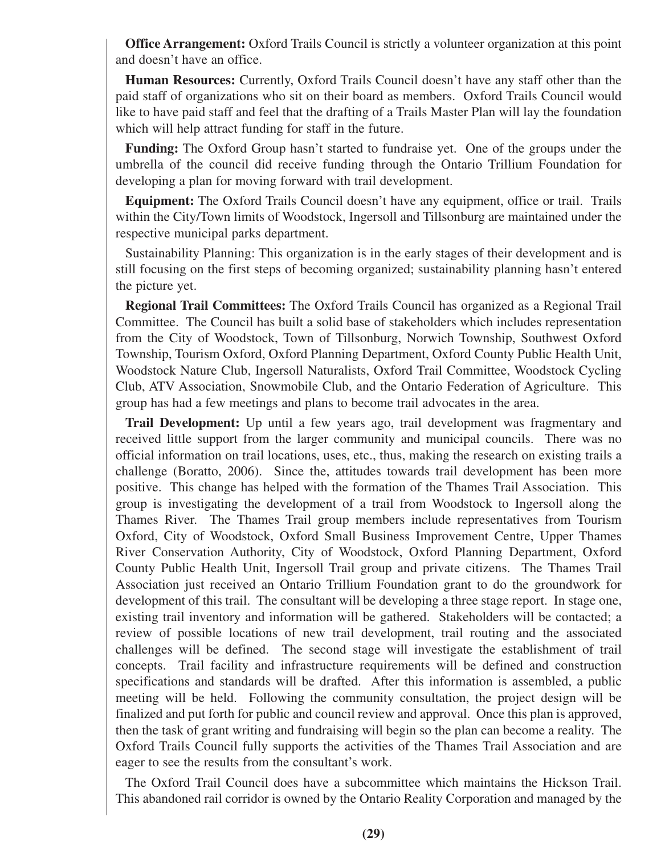**Office Arrangement:** Oxford Trails Council is strictly a volunteer organization at this point and doesn't have an office.

**Human Resources:** Currently, Oxford Trails Council doesn't have any staff other than the paid staff of organizations who sit on their board as members. Oxford Trails Council would like to have paid staff and feel that the drafting of a Trails Master Plan will lay the foundation which will help attract funding for staff in the future.

**Funding:** The Oxford Group hasn't started to fundraise yet. One of the groups under the umbrella of the council did receive funding through the Ontario Trillium Foundation for developing a plan for moving forward with trail development.

**Equipment:** The Oxford Trails Council doesn't have any equipment, office or trail. Trails within the City/Town limits of Woodstock, Ingersoll and Tillsonburg are maintained under the respective municipal parks department.

Sustainability Planning: This organization is in the early stages of their development and is still focusing on the first steps of becoming organized; sustainability planning hasn't entered the picture yet.

**Regional Trail Committees:** The Oxford Trails Council has organized as a Regional Trail Committee. The Council has built a solid base of stakeholders which includes representation from the City of Woodstock, Town of Tillsonburg, Norwich Township, Southwest Oxford Township, Tourism Oxford, Oxford Planning Department, Oxford County Public Health Unit, Woodstock Nature Club, Ingersoll Naturalists, Oxford Trail Committee, Woodstock Cycling Club, ATV Association, Snowmobile Club, and the Ontario Federation of Agriculture. This group has had a few meetings and plans to become trail advocates in the area.

**Trail Development:** Up until a few years ago, trail development was fragmentary and received little support from the larger community and municipal councils. There was no official information on trail locations, uses, etc., thus, making the research on existing trails a challenge (Boratto, 2006). Since the, attitudes towards trail development has been more positive. This change has helped with the formation of the Thames Trail Association. This group is investigating the development of a trail from Woodstock to Ingersoll along the Thames River. The Thames Trail group members include representatives from Tourism Oxford, City of Woodstock, Oxford Small Business Improvement Centre, Upper Thames River Conservation Authority, City of Woodstock, Oxford Planning Department, Oxford County Public Health Unit, Ingersoll Trail group and private citizens. The Thames Trail Association just received an Ontario Trillium Foundation grant to do the groundwork for development of this trail. The consultant will be developing a three stage report. In stage one, existing trail inventory and information will be gathered. Stakeholders will be contacted; a review of possible locations of new trail development, trail routing and the associated challenges will be defined. The second stage will investigate the establishment of trail concepts. Trail facility and infrastructure requirements will be defined and construction specifications and standards will be drafted. After this information is assembled, a public meeting will be held. Following the community consultation, the project design will be finalized and put forth for public and council review and approval. Once this plan is approved, then the task of grant writing and fundraising will begin so the plan can become a reality. The Oxford Trails Council fully supports the activities of the Thames Trail Association and are eager to see the results from the consultant's work.

The Oxford Trail Council does have a subcommittee which maintains the Hickson Trail. This abandoned rail corridor is owned by the Ontario Reality Corporation and managed by the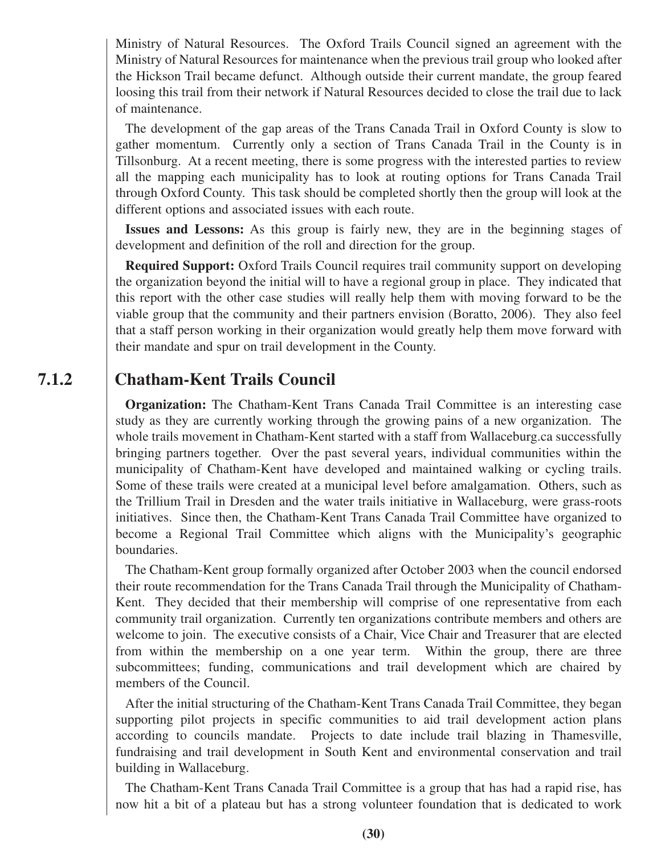Ministry of Natural Resources. The Oxford Trails Council signed an agreement with the Ministry of Natural Resources for maintenance when the previous trail group who looked after the Hickson Trail became defunct. Although outside their current mandate, the group feared loosing this trail from their network if Natural Resources decided to close the trail due to lack of maintenance.

The development of the gap areas of the Trans Canada Trail in Oxford County is slow to gather momentum. Currently only a section of Trans Canada Trail in the County is in Tillsonburg. At a recent meeting, there is some progress with the interested parties to review all the mapping each municipality has to look at routing options for Trans Canada Trail through Oxford County. This task should be completed shortly then the group will look at the different options and associated issues with each route.

**Issues and Lessons:** As this group is fairly new, they are in the beginning stages of development and definition of the roll and direction for the group.

**Required Support:** Oxford Trails Council requires trail community support on developing the organization beyond the initial will to have a regional group in place. They indicated that this report with the other case studies will really help them with moving forward to be the viable group that the community and their partners envision (Boratto, 2006). They also feel that a staff person working in their organization would greatly help them move forward with their mandate and spur on trail development in the County.

#### **7.1.2 Chatham-Kent Trails Council**

**Organization:** The Chatham-Kent Trans Canada Trail Committee is an interesting case study as they are currently working through the growing pains of a new organization. The whole trails movement in Chatham-Kent started with a staff from Wallaceburg.ca successfully bringing partners together. Over the past several years, individual communities within the municipality of Chatham-Kent have developed and maintained walking or cycling trails. Some of these trails were created at a municipal level before amalgamation. Others, such as the Trillium Trail in Dresden and the water trails initiative in Wallaceburg, were grass-roots initiatives. Since then, the Chatham-Kent Trans Canada Trail Committee have organized to become a Regional Trail Committee which aligns with the Municipality's geographic boundaries.

The Chatham-Kent group formally organized after October 2003 when the council endorsed their route recommendation for the Trans Canada Trail through the Municipality of Chatham-Kent. They decided that their membership will comprise of one representative from each community trail organization. Currently ten organizations contribute members and others are welcome to join. The executive consists of a Chair, Vice Chair and Treasurer that are elected from within the membership on a one year term. Within the group, there are three subcommittees; funding, communications and trail development which are chaired by members of the Council.

After the initial structuring of the Chatham-Kent Trans Canada Trail Committee, they began supporting pilot projects in specific communities to aid trail development action plans according to councils mandate. Projects to date include trail blazing in Thamesville, fundraising and trail development in South Kent and environmental conservation and trail building in Wallaceburg.

The Chatham-Kent Trans Canada Trail Committee is a group that has had a rapid rise, has now hit a bit of a plateau but has a strong volunteer foundation that is dedicated to work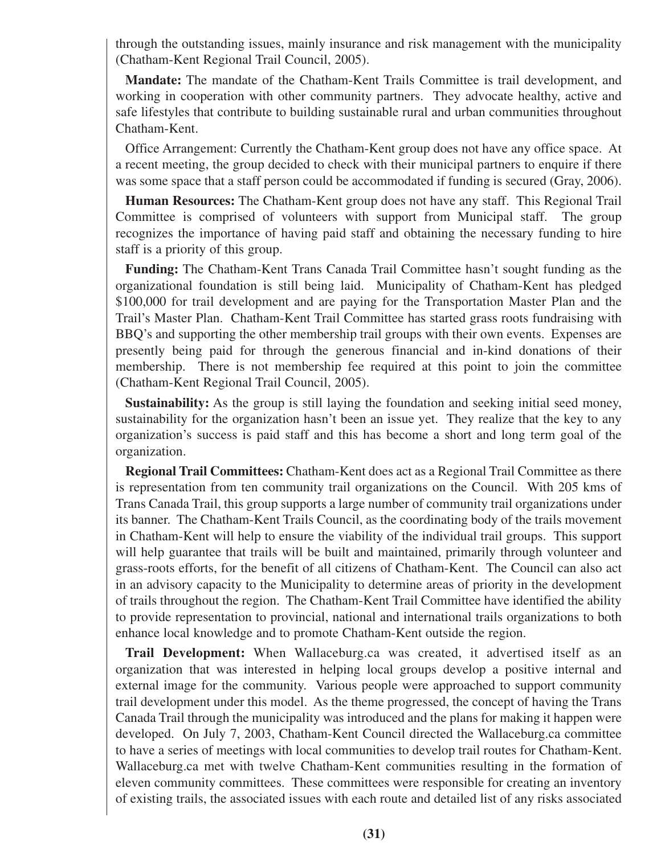through the outstanding issues, mainly insurance and risk management with the municipality (Chatham-Kent Regional Trail Council, 2005).

**Mandate:** The mandate of the Chatham-Kent Trails Committee is trail development, and working in cooperation with other community partners. They advocate healthy, active and safe lifestyles that contribute to building sustainable rural and urban communities throughout Chatham-Kent.

Office Arrangement: Currently the Chatham-Kent group does not have any office space. At a recent meeting, the group decided to check with their municipal partners to enquire if there was some space that a staff person could be accommodated if funding is secured (Gray, 2006).

**Human Resources:** The Chatham-Kent group does not have any staff. This Regional Trail Committee is comprised of volunteers with support from Municipal staff. The group recognizes the importance of having paid staff and obtaining the necessary funding to hire staff is a priority of this group.

**Funding:** The Chatham-Kent Trans Canada Trail Committee hasn't sought funding as the organizational foundation is still being laid. Municipality of Chatham-Kent has pledged \$100,000 for trail development and are paying for the Transportation Master Plan and the Trail's Master Plan. Chatham-Kent Trail Committee has started grass roots fundraising with BBQ's and supporting the other membership trail groups with their own events. Expenses are presently being paid for through the generous financial and in-kind donations of their membership. There is not membership fee required at this point to join the committee (Chatham-Kent Regional Trail Council, 2005).

**Sustainability:** As the group is still laying the foundation and seeking initial seed money, sustainability for the organization hasn't been an issue yet. They realize that the key to any organization's success is paid staff and this has become a short and long term goal of the organization.

**Regional Trail Committees:** Chatham-Kent does act as a Regional Trail Committee as there is representation from ten community trail organizations on the Council. With 205 kms of Trans Canada Trail, this group supports a large number of community trail organizations under its banner. The Chatham-Kent Trails Council, as the coordinating body of the trails movement in Chatham-Kent will help to ensure the viability of the individual trail groups. This support will help guarantee that trails will be built and maintained, primarily through volunteer and grass-roots efforts, for the benefit of all citizens of Chatham-Kent. The Council can also act in an advisory capacity to the Municipality to determine areas of priority in the development of trails throughout the region. The Chatham-Kent Trail Committee have identified the ability to provide representation to provincial, national and international trails organizations to both enhance local knowledge and to promote Chatham-Kent outside the region.

**Trail Development:** When Wallaceburg.ca was created, it advertised itself as an organization that was interested in helping local groups develop a positive internal and external image for the community. Various people were approached to support community trail development under this model. As the theme progressed, the concept of having the Trans Canada Trail through the municipality was introduced and the plans for making it happen were developed. On July 7, 2003, Chatham-Kent Council directed the Wallaceburg.ca committee to have a series of meetings with local communities to develop trail routes for Chatham-Kent. Wallaceburg.ca met with twelve Chatham-Kent communities resulting in the formation of eleven community committees. These committees were responsible for creating an inventory of existing trails, the associated issues with each route and detailed list of any risks associated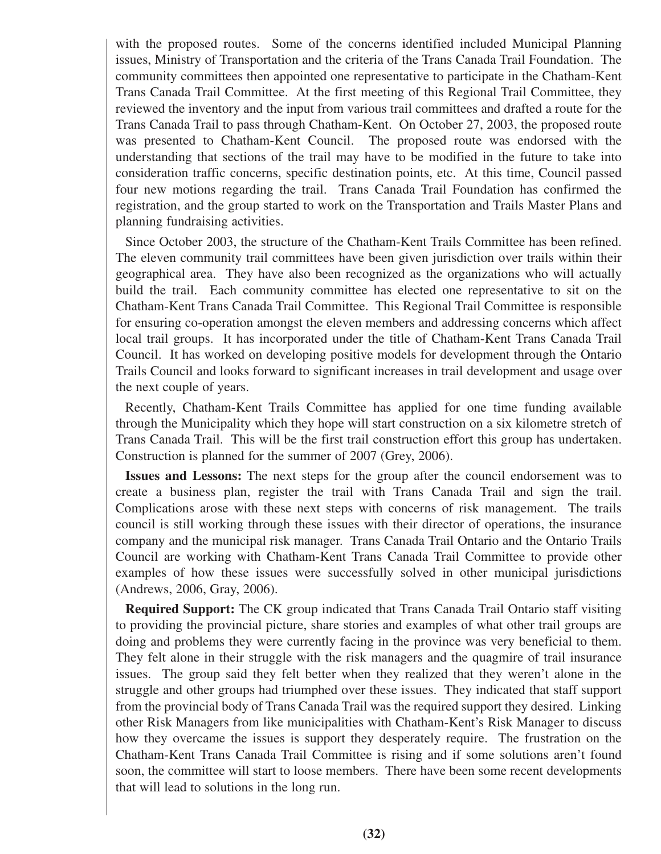with the proposed routes. Some of the concerns identified included Municipal Planning issues, Ministry of Transportation and the criteria of the Trans Canada Trail Foundation. The community committees then appointed one representative to participate in the Chatham-Kent Trans Canada Trail Committee. At the first meeting of this Regional Trail Committee, they reviewed the inventory and the input from various trail committees and drafted a route for the Trans Canada Trail to pass through Chatham-Kent. On October 27, 2003, the proposed route was presented to Chatham-Kent Council. The proposed route was endorsed with the understanding that sections of the trail may have to be modified in the future to take into consideration traffic concerns, specific destination points, etc. At this time, Council passed four new motions regarding the trail. Trans Canada Trail Foundation has confirmed the registration, and the group started to work on the Transportation and Trails Master Plans and planning fundraising activities.

Since October 2003, the structure of the Chatham-Kent Trails Committee has been refined. The eleven community trail committees have been given jurisdiction over trails within their geographical area. They have also been recognized as the organizations who will actually build the trail. Each community committee has elected one representative to sit on the Chatham-Kent Trans Canada Trail Committee. This Regional Trail Committee is responsible for ensuring co-operation amongst the eleven members and addressing concerns which affect local trail groups. It has incorporated under the title of Chatham-Kent Trans Canada Trail Council. It has worked on developing positive models for development through the Ontario Trails Council and looks forward to significant increases in trail development and usage over the next couple of years.

Recently, Chatham-Kent Trails Committee has applied for one time funding available through the Municipality which they hope will start construction on a six kilometre stretch of Trans Canada Trail. This will be the first trail construction effort this group has undertaken. Construction is planned for the summer of 2007 (Grey, 2006).

**Issues and Lessons:** The next steps for the group after the council endorsement was to create a business plan, register the trail with Trans Canada Trail and sign the trail. Complications arose with these next steps with concerns of risk management. The trails council is still working through these issues with their director of operations, the insurance company and the municipal risk manager. Trans Canada Trail Ontario and the Ontario Trails Council are working with Chatham-Kent Trans Canada Trail Committee to provide other examples of how these issues were successfully solved in other municipal jurisdictions (Andrews, 2006, Gray, 2006).

**Required Support:** The CK group indicated that Trans Canada Trail Ontario staff visiting to providing the provincial picture, share stories and examples of what other trail groups are doing and problems they were currently facing in the province was very beneficial to them. They felt alone in their struggle with the risk managers and the quagmire of trail insurance issues. The group said they felt better when they realized that they weren't alone in the struggle and other groups had triumphed over these issues. They indicated that staff support from the provincial body of Trans Canada Trail was the required support they desired. Linking other Risk Managers from like municipalities with Chatham-Kent's Risk Manager to discuss how they overcame the issues is support they desperately require. The frustration on the Chatham-Kent Trans Canada Trail Committee is rising and if some solutions aren't found soon, the committee will start to loose members. There have been some recent developments that will lead to solutions in the long run.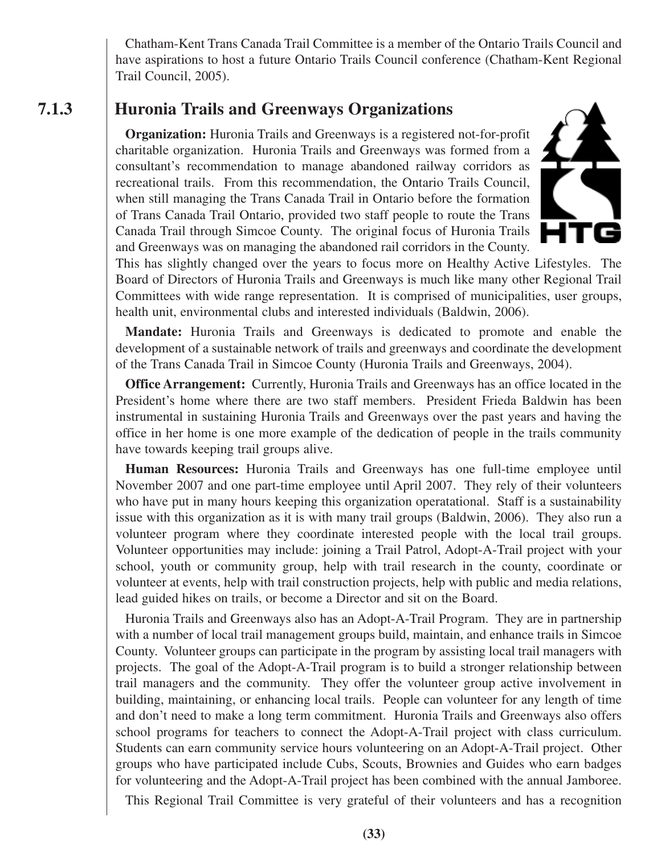Chatham-Kent Trans Canada Trail Committee is a member of the Ontario Trails Council and have aspirations to host a future Ontario Trails Council conference (Chatham-Kent Regional Trail Council, 2005).

#### **7.1.3 Huronia Trails and Greenways Organizations**

**Organization:** Huronia Trails and Greenways is a registered not-for-profit charitable organization. Huronia Trails and Greenways was formed from a consultant's recommendation to manage abandoned railway corridors as recreational trails. From this recommendation, the Ontario Trails Council, when still managing the Trans Canada Trail in Ontario before the formation of Trans Canada Trail Ontario, provided two staff people to route the Trans Canada Trail through Simcoe County. The original focus of Huronia Trails and Greenways was on managing the abandoned rail corridors in the County.



This has slightly changed over the years to focus more on Healthy Active Lifestyles. The Board of Directors of Huronia Trails and Greenways is much like many other Regional Trail Committees with wide range representation. It is comprised of municipalities, user groups, health unit, environmental clubs and interested individuals (Baldwin, 2006).

**Mandate:** Huronia Trails and Greenways is dedicated to promote and enable the development of a sustainable network of trails and greenways and coordinate the development of the Trans Canada Trail in Simcoe County (Huronia Trails and Greenways, 2004).

**Office Arrangement:** Currently, Huronia Trails and Greenways has an office located in the President's home where there are two staff members. President Frieda Baldwin has been instrumental in sustaining Huronia Trails and Greenways over the past years and having the office in her home is one more example of the dedication of people in the trails community have towards keeping trail groups alive.

**Human Resources:** Huronia Trails and Greenways has one full-time employee until November 2007 and one part-time employee until April 2007. They rely of their volunteers who have put in many hours keeping this organization operatational. Staff is a sustainability issue with this organization as it is with many trail groups (Baldwin, 2006). They also run a volunteer program where they coordinate interested people with the local trail groups. Volunteer opportunities may include: joining a Trail Patrol, Adopt-A-Trail project with your school, youth or community group, help with trail research in the county, coordinate or volunteer at events, help with trail construction projects, help with public and media relations, lead guided hikes on trails, or become a Director and sit on the Board.

Huronia Trails and Greenways also has an Adopt-A-Trail Program. They are in partnership with a number of local trail management groups build, maintain, and enhance trails in Simcoe County. Volunteer groups can participate in the program by assisting local trail managers with projects. The goal of the Adopt-A-Trail program is to build a stronger relationship between trail managers and the community. They offer the volunteer group active involvement in building, maintaining, or enhancing local trails. People can volunteer for any length of time and don't need to make a long term commitment. Huronia Trails and Greenways also offers school programs for teachers to connect the Adopt-A-Trail project with class curriculum. Students can earn community service hours volunteering on an Adopt-A-Trail project. Other groups who have participated include Cubs, Scouts, Brownies and Guides who earn badges for volunteering and the Adopt-A-Trail project has been combined with the annual Jamboree.

This Regional Trail Committee is very grateful of their volunteers and has a recognition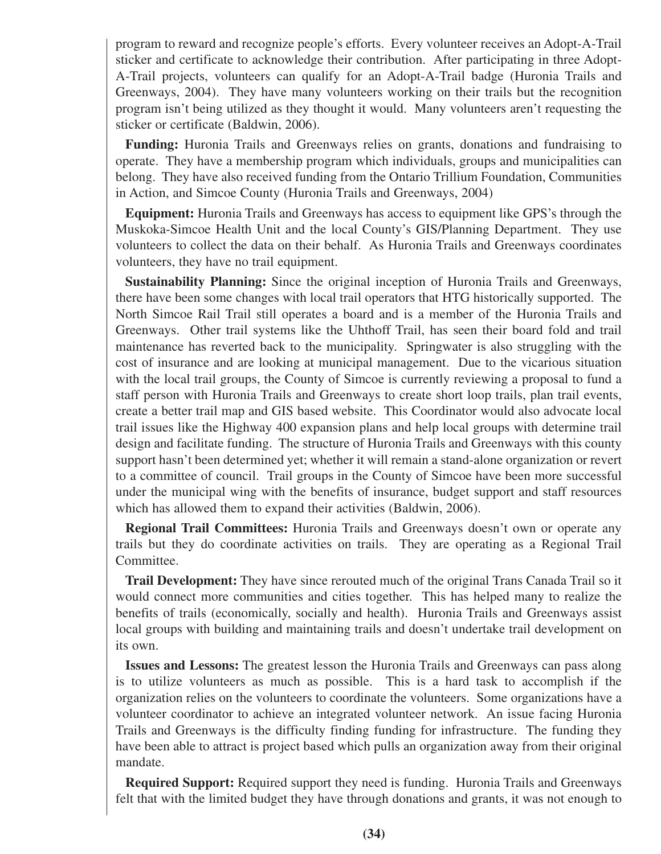program to reward and recognize people's efforts. Every volunteer receives an Adopt-A-Trail sticker and certificate to acknowledge their contribution. After participating in three Adopt-A-Trail projects, volunteers can qualify for an Adopt-A-Trail badge (Huronia Trails and Greenways, 2004). They have many volunteers working on their trails but the recognition program isn't being utilized as they thought it would. Many volunteers aren't requesting the sticker or certificate (Baldwin, 2006).

**Funding:** Huronia Trails and Greenways relies on grants, donations and fundraising to operate. They have a membership program which individuals, groups and municipalities can belong. They have also received funding from the Ontario Trillium Foundation, Communities in Action, and Simcoe County (Huronia Trails and Greenways, 2004)

**Equipment:** Huronia Trails and Greenways has access to equipment like GPS's through the Muskoka-Simcoe Health Unit and the local County's GIS/Planning Department. They use volunteers to collect the data on their behalf. As Huronia Trails and Greenways coordinates volunteers, they have no trail equipment.

**Sustainability Planning:** Since the original inception of Huronia Trails and Greenways, there have been some changes with local trail operators that HTG historically supported. The North Simcoe Rail Trail still operates a board and is a member of the Huronia Trails and Greenways. Other trail systems like the Uhthoff Trail, has seen their board fold and trail maintenance has reverted back to the municipality. Springwater is also struggling with the cost of insurance and are looking at municipal management. Due to the vicarious situation with the local trail groups, the County of Simcoe is currently reviewing a proposal to fund a staff person with Huronia Trails and Greenways to create short loop trails, plan trail events, create a better trail map and GIS based website. This Coordinator would also advocate local trail issues like the Highway 400 expansion plans and help local groups with determine trail design and facilitate funding. The structure of Huronia Trails and Greenways with this county support hasn't been determined yet; whether it will remain a stand-alone organization or revert to a committee of council. Trail groups in the County of Simcoe have been more successful under the municipal wing with the benefits of insurance, budget support and staff resources which has allowed them to expand their activities (Baldwin, 2006).

**Regional Trail Committees:** Huronia Trails and Greenways doesn't own or operate any trails but they do coordinate activities on trails. They are operating as a Regional Trail Committee.

**Trail Development:** They have since rerouted much of the original Trans Canada Trail so it would connect more communities and cities together. This has helped many to realize the benefits of trails (economically, socially and health). Huronia Trails and Greenways assist local groups with building and maintaining trails and doesn't undertake trail development on its own.

**Issues and Lessons:** The greatest lesson the Huronia Trails and Greenways can pass along is to utilize volunteers as much as possible. This is a hard task to accomplish if the organization relies on the volunteers to coordinate the volunteers. Some organizations have a volunteer coordinator to achieve an integrated volunteer network. An issue facing Huronia Trails and Greenways is the difficulty finding funding for infrastructure. The funding they have been able to attract is project based which pulls an organization away from their original mandate.

**Required Support:** Required support they need is funding. Huronia Trails and Greenways felt that with the limited budget they have through donations and grants, it was not enough to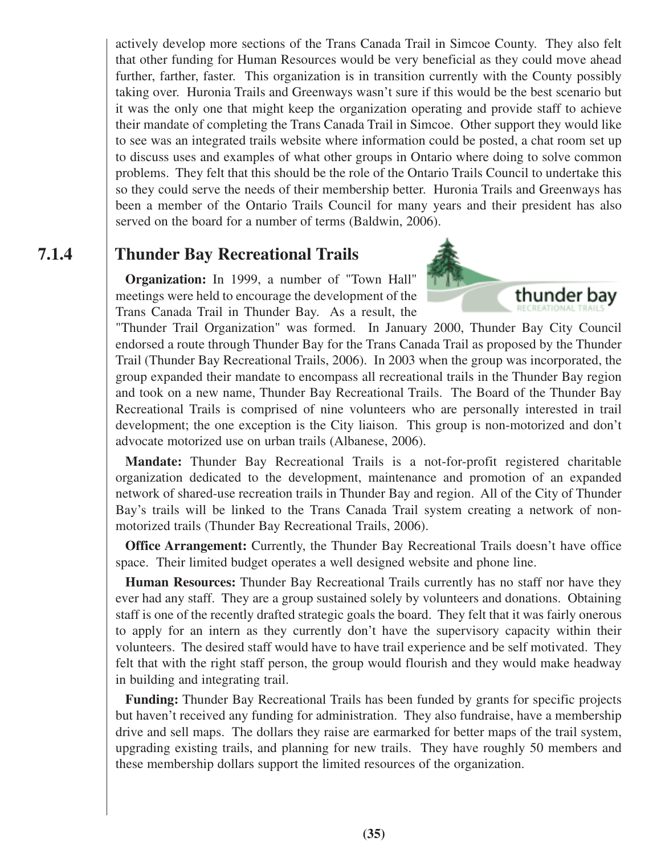actively develop more sections of the Trans Canada Trail in Simcoe County. They also felt that other funding for Human Resources would be very beneficial as they could move ahead further, farther, faster. This organization is in transition currently with the County possibly taking over. Huronia Trails and Greenways wasn't sure if this would be the best scenario but it was the only one that might keep the organization operating and provide staff to achieve their mandate of completing the Trans Canada Trail in Simcoe. Other support they would like to see was an integrated trails website where information could be posted, a chat room set up to discuss uses and examples of what other groups in Ontario where doing to solve common problems. They felt that this should be the role of the Ontario Trails Council to undertake this so they could serve the needs of their membership better. Huronia Trails and Greenways has been a member of the Ontario Trails Council for many years and their president has also served on the board for a number of terms (Baldwin, 2006).

#### **7.1.4 Thunder Bay Recreational Trails**

**Organization:** In 1999, a number of "Town Hall" meetings were held to encourage the development of the Trans Canada Trail in Thunder Bay. As a result, the



"Thunder Trail Organization" was formed. In January 2000, Thunder Bay City Council endorsed a route through Thunder Bay for the Trans Canada Trail as proposed by the Thunder Trail (Thunder Bay Recreational Trails, 2006). In 2003 when the group was incorporated, the group expanded their mandate to encompass all recreational trails in the Thunder Bay region and took on a new name, Thunder Bay Recreational Trails. The Board of the Thunder Bay Recreational Trails is comprised of nine volunteers who are personally interested in trail development; the one exception is the City liaison. This group is non-motorized and don't advocate motorized use on urban trails (Albanese, 2006).

**Mandate:** Thunder Bay Recreational Trails is a not-for-profit registered charitable organization dedicated to the development, maintenance and promotion of an expanded network of shared-use recreation trails in Thunder Bay and region. All of the City of Thunder Bay's trails will be linked to the Trans Canada Trail system creating a network of nonmotorized trails (Thunder Bay Recreational Trails, 2006).

**Office Arrangement:** Currently, the Thunder Bay Recreational Trails doesn't have office space. Their limited budget operates a well designed website and phone line.

**Human Resources:** Thunder Bay Recreational Trails currently has no staff nor have they ever had any staff. They are a group sustained solely by volunteers and donations. Obtaining staff is one of the recently drafted strategic goals the board. They felt that it was fairly onerous to apply for an intern as they currently don't have the supervisory capacity within their volunteers. The desired staff would have to have trail experience and be self motivated. They felt that with the right staff person, the group would flourish and they would make headway in building and integrating trail.

**Funding:** Thunder Bay Recreational Trails has been funded by grants for specific projects but haven't received any funding for administration. They also fundraise, have a membership drive and sell maps. The dollars they raise are earmarked for better maps of the trail system, upgrading existing trails, and planning for new trails. They have roughly 50 members and these membership dollars support the limited resources of the organization.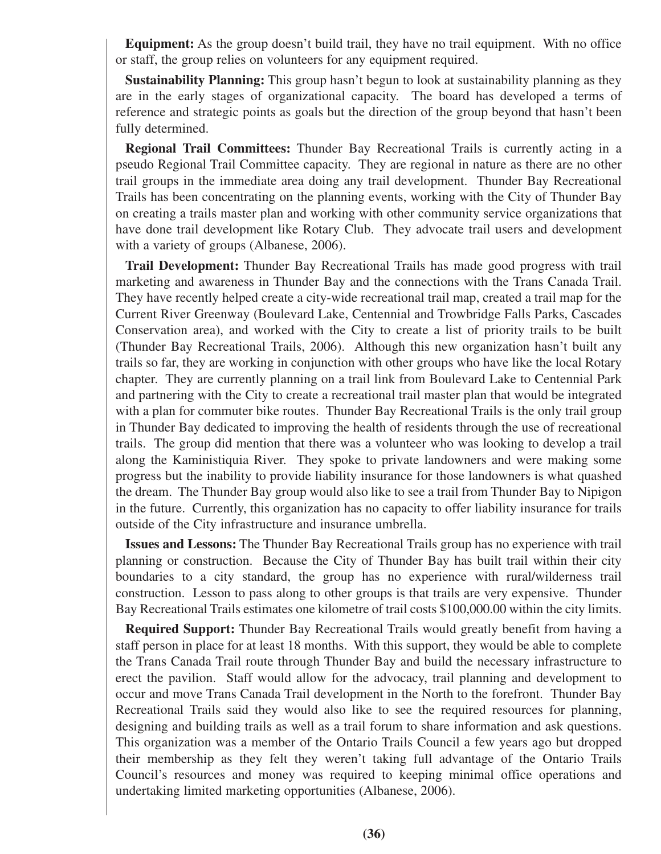**Equipment:** As the group doesn't build trail, they have no trail equipment. With no office or staff, the group relies on volunteers for any equipment required.

**Sustainability Planning:** This group hasn't begun to look at sustainability planning as they are in the early stages of organizational capacity. The board has developed a terms of reference and strategic points as goals but the direction of the group beyond that hasn't been fully determined.

**Regional Trail Committees:** Thunder Bay Recreational Trails is currently acting in a pseudo Regional Trail Committee capacity. They are regional in nature as there are no other trail groups in the immediate area doing any trail development. Thunder Bay Recreational Trails has been concentrating on the planning events, working with the City of Thunder Bay on creating a trails master plan and working with other community service organizations that have done trail development like Rotary Club. They advocate trail users and development with a variety of groups (Albanese, 2006).

**Trail Development:** Thunder Bay Recreational Trails has made good progress with trail marketing and awareness in Thunder Bay and the connections with the Trans Canada Trail. They have recently helped create a city-wide recreational trail map, created a trail map for the Current River Greenway (Boulevard Lake, Centennial and Trowbridge Falls Parks, Cascades Conservation area), and worked with the City to create a list of priority trails to be built (Thunder Bay Recreational Trails, 2006). Although this new organization hasn't built any trails so far, they are working in conjunction with other groups who have like the local Rotary chapter. They are currently planning on a trail link from Boulevard Lake to Centennial Park and partnering with the City to create a recreational trail master plan that would be integrated with a plan for commuter bike routes. Thunder Bay Recreational Trails is the only trail group in Thunder Bay dedicated to improving the health of residents through the use of recreational trails. The group did mention that there was a volunteer who was looking to develop a trail along the Kaministiquia River. They spoke to private landowners and were making some progress but the inability to provide liability insurance for those landowners is what quashed the dream. The Thunder Bay group would also like to see a trail from Thunder Bay to Nipigon in the future. Currently, this organization has no capacity to offer liability insurance for trails outside of the City infrastructure and insurance umbrella.

**Issues and Lessons:** The Thunder Bay Recreational Trails group has no experience with trail planning or construction. Because the City of Thunder Bay has built trail within their city boundaries to a city standard, the group has no experience with rural/wilderness trail construction. Lesson to pass along to other groups is that trails are very expensive. Thunder Bay Recreational Trails estimates one kilometre of trail costs \$100,000.00 within the city limits.

**Required Support:** Thunder Bay Recreational Trails would greatly benefit from having a staff person in place for at least 18 months. With this support, they would be able to complete the Trans Canada Trail route through Thunder Bay and build the necessary infrastructure to erect the pavilion. Staff would allow for the advocacy, trail planning and development to occur and move Trans Canada Trail development in the North to the forefront. Thunder Bay Recreational Trails said they would also like to see the required resources for planning, designing and building trails as well as a trail forum to share information and ask questions. This organization was a member of the Ontario Trails Council a few years ago but dropped their membership as they felt they weren't taking full advantage of the Ontario Trails Council's resources and money was required to keeping minimal office operations and undertaking limited marketing opportunities (Albanese, 2006).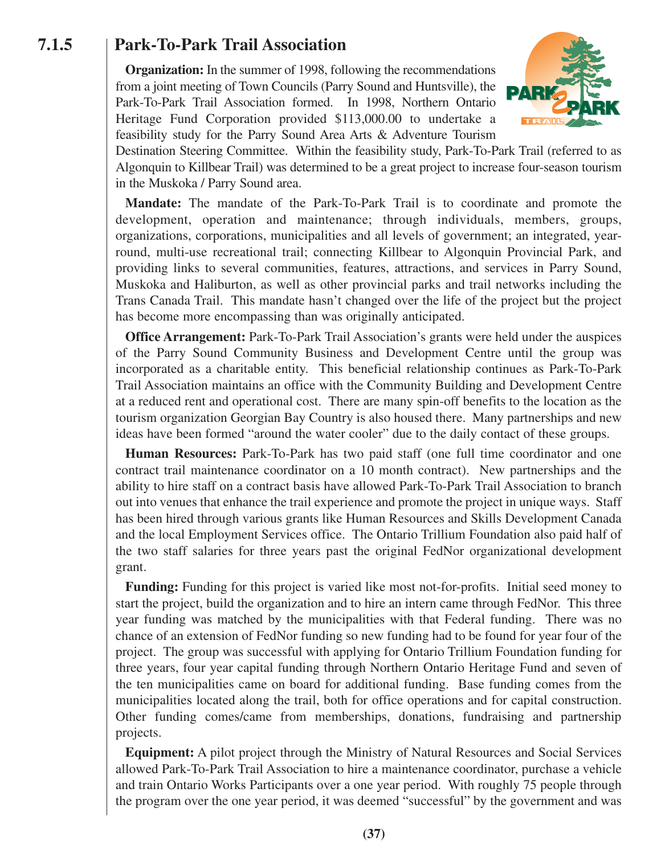#### **7.1.5 Park-To-Park Trail Association**

**Organization:** In the summer of 1998, following the recommendations from a joint meeting of Town Councils (Parry Sound and Huntsville), the Park-To-Park Trail Association formed. In 1998, Northern Ontario Heritage Fund Corporation provided \$113,000.00 to undertake a feasibility study for the Parry Sound Area Arts & Adventure Tourism



Destination Steering Committee. Within the feasibility study, Park-To-Park Trail (referred to as Algonquin to Killbear Trail) was determined to be a great project to increase four-season tourism in the Muskoka / Parry Sound area.

**Mandate:** The mandate of the Park-To-Park Trail is to coordinate and promote the development, operation and maintenance; through individuals, members, groups, organizations, corporations, municipalities and all levels of government; an integrated, yearround, multi-use recreational trail; connecting Killbear to Algonquin Provincial Park, and providing links to several communities, features, attractions, and services in Parry Sound, Muskoka and Haliburton, as well as other provincial parks and trail networks including the Trans Canada Trail. This mandate hasn't changed over the life of the project but the project has become more encompassing than was originally anticipated.

**Office Arrangement:** Park-To-Park Trail Association's grants were held under the auspices of the Parry Sound Community Business and Development Centre until the group was incorporated as a charitable entity. This beneficial relationship continues as Park-To-Park Trail Association maintains an office with the Community Building and Development Centre at a reduced rent and operational cost. There are many spin-off benefits to the location as the tourism organization Georgian Bay Country is also housed there. Many partnerships and new ideas have been formed "around the water cooler" due to the daily contact of these groups.

**Human Resources:** Park-To-Park has two paid staff (one full time coordinator and one contract trail maintenance coordinator on a 10 month contract). New partnerships and the ability to hire staff on a contract basis have allowed Park-To-Park Trail Association to branch out into venues that enhance the trail experience and promote the project in unique ways. Staff has been hired through various grants like Human Resources and Skills Development Canada and the local Employment Services office. The Ontario Trillium Foundation also paid half of the two staff salaries for three years past the original FedNor organizational development grant.

**Funding:** Funding for this project is varied like most not-for-profits. Initial seed money to start the project, build the organization and to hire an intern came through FedNor. This three year funding was matched by the municipalities with that Federal funding. There was no chance of an extension of FedNor funding so new funding had to be found for year four of the project. The group was successful with applying for Ontario Trillium Foundation funding for three years, four year capital funding through Northern Ontario Heritage Fund and seven of the ten municipalities came on board for additional funding. Base funding comes from the municipalities located along the trail, both for office operations and for capital construction. Other funding comes/came from memberships, donations, fundraising and partnership projects.

**Equipment:** A pilot project through the Ministry of Natural Resources and Social Services allowed Park-To-Park Trail Association to hire a maintenance coordinator, purchase a vehicle and train Ontario Works Participants over a one year period. With roughly 75 people through the program over the one year period, it was deemed "successful" by the government and was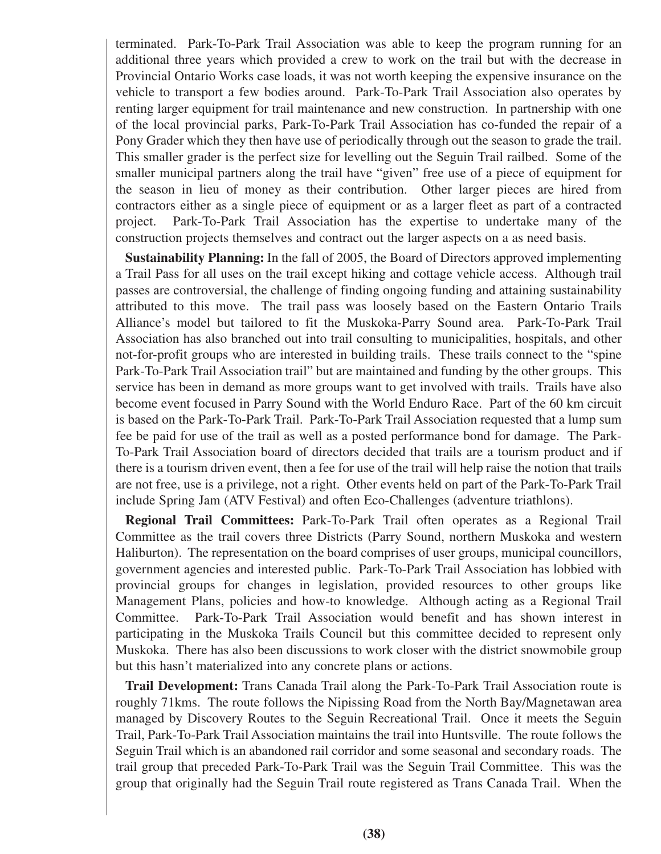terminated. Park-To-Park Trail Association was able to keep the program running for an additional three years which provided a crew to work on the trail but with the decrease in Provincial Ontario Works case loads, it was not worth keeping the expensive insurance on the vehicle to transport a few bodies around. Park-To-Park Trail Association also operates by renting larger equipment for trail maintenance and new construction. In partnership with one of the local provincial parks, Park-To-Park Trail Association has co-funded the repair of a Pony Grader which they then have use of periodically through out the season to grade the trail. This smaller grader is the perfect size for levelling out the Seguin Trail railbed. Some of the smaller municipal partners along the trail have "given" free use of a piece of equipment for the season in lieu of money as their contribution. Other larger pieces are hired from contractors either as a single piece of equipment or as a larger fleet as part of a contracted project. Park-To-Park Trail Association has the expertise to undertake many of the construction projects themselves and contract out the larger aspects on a as need basis.

**Sustainability Planning:** In the fall of 2005, the Board of Directors approved implementing a Trail Pass for all uses on the trail except hiking and cottage vehicle access. Although trail passes are controversial, the challenge of finding ongoing funding and attaining sustainability attributed to this move. The trail pass was loosely based on the Eastern Ontario Trails Alliance's model but tailored to fit the Muskoka-Parry Sound area. Park-To-Park Trail Association has also branched out into trail consulting to municipalities, hospitals, and other not-for-profit groups who are interested in building trails. These trails connect to the "spine Park-To-Park Trail Association trail" but are maintained and funding by the other groups. This service has been in demand as more groups want to get involved with trails. Trails have also become event focused in Parry Sound with the World Enduro Race. Part of the 60 km circuit is based on the Park-To-Park Trail. Park-To-Park Trail Association requested that a lump sum fee be paid for use of the trail as well as a posted performance bond for damage. The Park-To-Park Trail Association board of directors decided that trails are a tourism product and if there is a tourism driven event, then a fee for use of the trail will help raise the notion that trails are not free, use is a privilege, not a right. Other events held on part of the Park-To-Park Trail include Spring Jam (ATV Festival) and often Eco-Challenges (adventure triathlons).

**Regional Trail Committees:** Park-To-Park Trail often operates as a Regional Trail Committee as the trail covers three Districts (Parry Sound, northern Muskoka and western Haliburton). The representation on the board comprises of user groups, municipal councillors, government agencies and interested public. Park-To-Park Trail Association has lobbied with provincial groups for changes in legislation, provided resources to other groups like Management Plans, policies and how-to knowledge. Although acting as a Regional Trail Committee. Park-To-Park Trail Association would benefit and has shown interest in participating in the Muskoka Trails Council but this committee decided to represent only Muskoka. There has also been discussions to work closer with the district snowmobile group but this hasn't materialized into any concrete plans or actions.

**Trail Development:** Trans Canada Trail along the Park-To-Park Trail Association route is roughly 71kms. The route follows the Nipissing Road from the North Bay/Magnetawan area managed by Discovery Routes to the Seguin Recreational Trail. Once it meets the Seguin Trail, Park-To-Park Trail Association maintains the trail into Huntsville. The route follows the Seguin Trail which is an abandoned rail corridor and some seasonal and secondary roads. The trail group that preceded Park-To-Park Trail was the Seguin Trail Committee. This was the group that originally had the Seguin Trail route registered as Trans Canada Trail. When the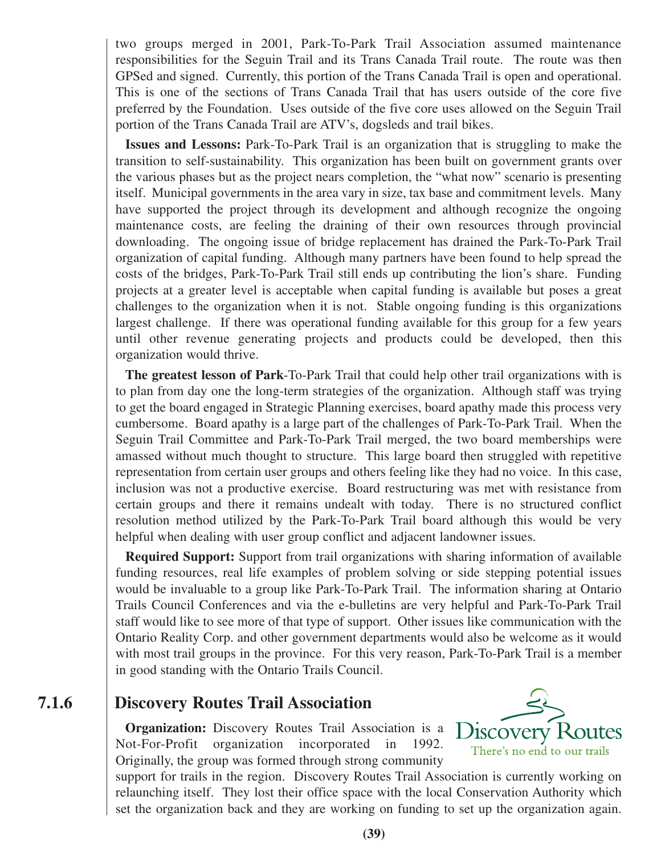two groups merged in 2001, Park-To-Park Trail Association assumed maintenance responsibilities for the Seguin Trail and its Trans Canada Trail route. The route was then GPSed and signed. Currently, this portion of the Trans Canada Trail is open and operational. This is one of the sections of Trans Canada Trail that has users outside of the core five preferred by the Foundation. Uses outside of the five core uses allowed on the Seguin Trail portion of the Trans Canada Trail are ATV's, dogsleds and trail bikes.

**Issues and Lessons:** Park-To-Park Trail is an organization that is struggling to make the transition to self-sustainability. This organization has been built on government grants over the various phases but as the project nears completion, the "what now" scenario is presenting itself. Municipal governments in the area vary in size, tax base and commitment levels. Many have supported the project through its development and although recognize the ongoing maintenance costs, are feeling the draining of their own resources through provincial downloading. The ongoing issue of bridge replacement has drained the Park-To-Park Trail organization of capital funding. Although many partners have been found to help spread the costs of the bridges, Park-To-Park Trail still ends up contributing the lion's share. Funding projects at a greater level is acceptable when capital funding is available but poses a great challenges to the organization when it is not. Stable ongoing funding is this organizations largest challenge. If there was operational funding available for this group for a few years until other revenue generating projects and products could be developed, then this organization would thrive.

**The greatest lesson of Park**-To-Park Trail that could help other trail organizations with is to plan from day one the long-term strategies of the organization. Although staff was trying to get the board engaged in Strategic Planning exercises, board apathy made this process very cumbersome. Board apathy is a large part of the challenges of Park-To-Park Trail. When the Seguin Trail Committee and Park-To-Park Trail merged, the two board memberships were amassed without much thought to structure. This large board then struggled with repetitive representation from certain user groups and others feeling like they had no voice. In this case, inclusion was not a productive exercise. Board restructuring was met with resistance from certain groups and there it remains undealt with today. There is no structured conflict resolution method utilized by the Park-To-Park Trail board although this would be very helpful when dealing with user group conflict and adjacent landowner issues.

**Required Support:** Support from trail organizations with sharing information of available funding resources, real life examples of problem solving or side stepping potential issues would be invaluable to a group like Park-To-Park Trail. The information sharing at Ontario Trails Council Conferences and via the e-bulletins are very helpful and Park-To-Park Trail staff would like to see more of that type of support. Other issues like communication with the Ontario Reality Corp. and other government departments would also be welcome as it would with most trail groups in the province. For this very reason, Park-To-Park Trail is a member in good standing with the Ontario Trails Council.

#### **7.1.6 Discovery Routes Trail Association**

**Organization:** Discovery Routes Trail Association is a Not-For-Profit organization incorporated in 1992. Originally, the group was formed through strong community



support for trails in the region. Discovery Routes Trail Association is currently working on relaunching itself. They lost their office space with the local Conservation Authority which set the organization back and they are working on funding to set up the organization again.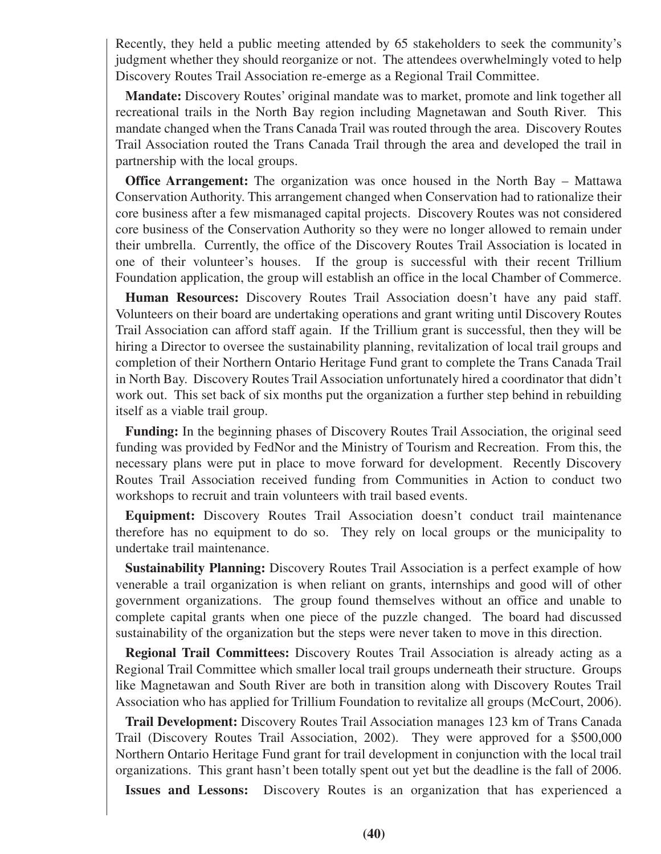Recently, they held a public meeting attended by 65 stakeholders to seek the community's judgment whether they should reorganize or not. The attendees overwhelmingly voted to help Discovery Routes Trail Association re-emerge as a Regional Trail Committee.

**Mandate:** Discovery Routes' original mandate was to market, promote and link together all recreational trails in the North Bay region including Magnetawan and South River. This mandate changed when the Trans Canada Trail was routed through the area. Discovery Routes Trail Association routed the Trans Canada Trail through the area and developed the trail in partnership with the local groups.

**Office Arrangement:** The organization was once housed in the North Bay – Mattawa Conservation Authority. This arrangement changed when Conservation had to rationalize their core business after a few mismanaged capital projects. Discovery Routes was not considered core business of the Conservation Authority so they were no longer allowed to remain under their umbrella. Currently, the office of the Discovery Routes Trail Association is located in one of their volunteer's houses. If the group is successful with their recent Trillium Foundation application, the group will establish an office in the local Chamber of Commerce.

**Human Resources:** Discovery Routes Trail Association doesn't have any paid staff. Volunteers on their board are undertaking operations and grant writing until Discovery Routes Trail Association can afford staff again. If the Trillium grant is successful, then they will be hiring a Director to oversee the sustainability planning, revitalization of local trail groups and completion of their Northern Ontario Heritage Fund grant to complete the Trans Canada Trail in North Bay. Discovery Routes Trail Association unfortunately hired a coordinator that didn't work out. This set back of six months put the organization a further step behind in rebuilding itself as a viable trail group.

**Funding:** In the beginning phases of Discovery Routes Trail Association, the original seed funding was provided by FedNor and the Ministry of Tourism and Recreation. From this, the necessary plans were put in place to move forward for development. Recently Discovery Routes Trail Association received funding from Communities in Action to conduct two workshops to recruit and train volunteers with trail based events.

**Equipment:** Discovery Routes Trail Association doesn't conduct trail maintenance therefore has no equipment to do so. They rely on local groups or the municipality to undertake trail maintenance.

**Sustainability Planning:** Discovery Routes Trail Association is a perfect example of how venerable a trail organization is when reliant on grants, internships and good will of other government organizations. The group found themselves without an office and unable to complete capital grants when one piece of the puzzle changed. The board had discussed sustainability of the organization but the steps were never taken to move in this direction.

**Regional Trail Committees:** Discovery Routes Trail Association is already acting as a Regional Trail Committee which smaller local trail groups underneath their structure. Groups like Magnetawan and South River are both in transition along with Discovery Routes Trail Association who has applied for Trillium Foundation to revitalize all groups (McCourt, 2006).

**Trail Development:** Discovery Routes Trail Association manages 123 km of Trans Canada Trail (Discovery Routes Trail Association, 2002). They were approved for a \$500,000 Northern Ontario Heritage Fund grant for trail development in conjunction with the local trail organizations. This grant hasn't been totally spent out yet but the deadline is the fall of 2006.

**Issues and Lessons:** Discovery Routes is an organization that has experienced a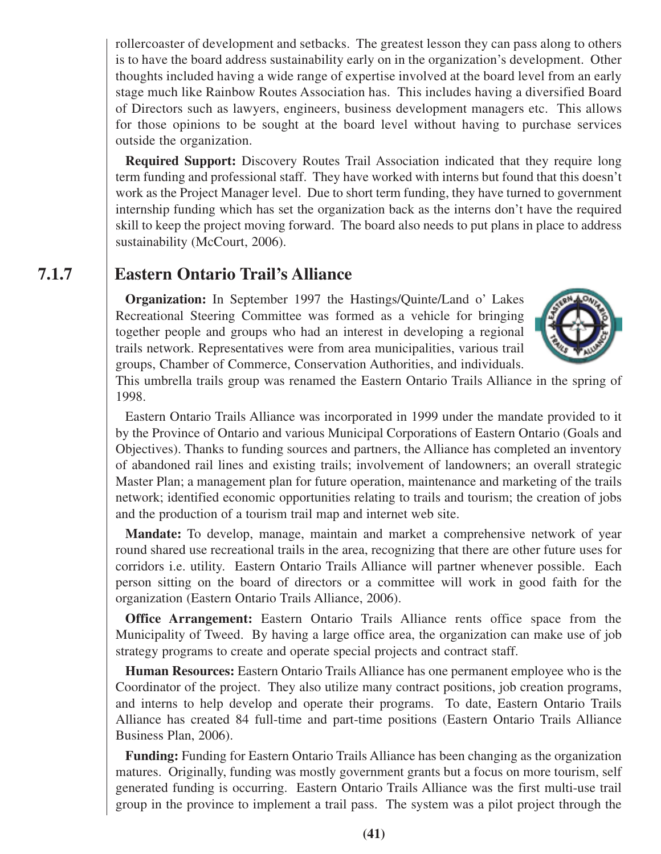rollercoaster of development and setbacks. The greatest lesson they can pass along to others is to have the board address sustainability early on in the organization's development. Other thoughts included having a wide range of expertise involved at the board level from an early stage much like Rainbow Routes Association has. This includes having a diversified Board of Directors such as lawyers, engineers, business development managers etc. This allows for those opinions to be sought at the board level without having to purchase services outside the organization.

**Required Support:** Discovery Routes Trail Association indicated that they require long term funding and professional staff. They have worked with interns but found that this doesn't work as the Project Manager level. Due to short term funding, they have turned to government internship funding which has set the organization back as the interns don't have the required skill to keep the project moving forward. The board also needs to put plans in place to address sustainability (McCourt, 2006).

#### **7.1.7 Eastern Ontario Trail's Alliance**

**Organization:** In September 1997 the Hastings/Quinte/Land o' Lakes Recreational Steering Committee was formed as a vehicle for bringing together people and groups who had an interest in developing a regional trails network. Representatives were from area municipalities, various trail groups, Chamber of Commerce, Conservation Authorities, and individuals.



This umbrella trails group was renamed the Eastern Ontario Trails Alliance in the spring of 1998.

Eastern Ontario Trails Alliance was incorporated in 1999 under the mandate provided to it by the Province of Ontario and various Municipal Corporations of Eastern Ontario (Goals and Objectives). Thanks to funding sources and partners, the Alliance has completed an inventory of abandoned rail lines and existing trails; involvement of landowners; an overall strategic Master Plan; a management plan for future operation, maintenance and marketing of the trails network; identified economic opportunities relating to trails and tourism; the creation of jobs and the production of a tourism trail map and internet web site.

**Mandate:** To develop, manage, maintain and market a comprehensive network of year round shared use recreational trails in the area, recognizing that there are other future uses for corridors i.e. utility. Eastern Ontario Trails Alliance will partner whenever possible. Each person sitting on the board of directors or a committee will work in good faith for the organization (Eastern Ontario Trails Alliance, 2006).

**Office Arrangement:** Eastern Ontario Trails Alliance rents office space from the Municipality of Tweed. By having a large office area, the organization can make use of job strategy programs to create and operate special projects and contract staff.

**Human Resources:** Eastern Ontario Trails Alliance has one permanent employee who is the Coordinator of the project. They also utilize many contract positions, job creation programs, and interns to help develop and operate their programs. To date, Eastern Ontario Trails Alliance has created 84 full-time and part-time positions (Eastern Ontario Trails Alliance Business Plan, 2006).

**Funding:** Funding for Eastern Ontario Trails Alliance has been changing as the organization matures. Originally, funding was mostly government grants but a focus on more tourism, self generated funding is occurring. Eastern Ontario Trails Alliance was the first multi-use trail group in the province to implement a trail pass. The system was a pilot project through the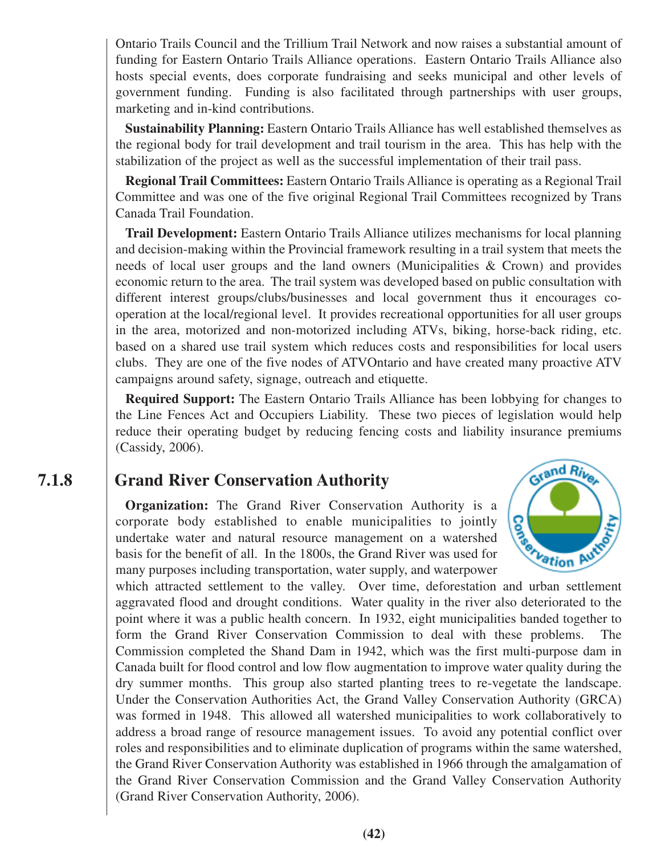Ontario Trails Council and the Trillium Trail Network and now raises a substantial amount of funding for Eastern Ontario Trails Alliance operations. Eastern Ontario Trails Alliance also hosts special events, does corporate fundraising and seeks municipal and other levels of government funding. Funding is also facilitated through partnerships with user groups, marketing and in-kind contributions.

**Sustainability Planning:** Eastern Ontario Trails Alliance has well established themselves as the regional body for trail development and trail tourism in the area. This has help with the stabilization of the project as well as the successful implementation of their trail pass.

**Regional Trail Committees:** Eastern Ontario Trails Alliance is operating as a Regional Trail Committee and was one of the five original Regional Trail Committees recognized by Trans Canada Trail Foundation.

**Trail Development:** Eastern Ontario Trails Alliance utilizes mechanisms for local planning and decision-making within the Provincial framework resulting in a trail system that meets the needs of local user groups and the land owners (Municipalities & Crown) and provides economic return to the area. The trail system was developed based on public consultation with different interest groups/clubs/businesses and local government thus it encourages cooperation at the local/regional level. It provides recreational opportunities for all user groups in the area, motorized and non-motorized including ATVs, biking, horse-back riding, etc. based on a shared use trail system which reduces costs and responsibilities for local users clubs. They are one of the five nodes of ATVOntario and have created many proactive ATV campaigns around safety, signage, outreach and etiquette.

**Required Support:** The Eastern Ontario Trails Alliance has been lobbying for changes to the Line Fences Act and Occupiers Liability. These two pieces of legislation would help reduce their operating budget by reducing fencing costs and liability insurance premiums (Cassidy, 2006).

#### **7.1.8 Grand River Conservation Authority**

**Organization:** The Grand River Conservation Authority is a corporate body established to enable municipalities to jointly undertake water and natural resource management on a watershed basis for the benefit of all. In the 1800s, the Grand River was used for many purposes including transportation, water supply, and waterpower



which attracted settlement to the valley. Over time, deforestation and urban settlement aggravated flood and drought conditions. Water quality in the river also deteriorated to the point where it was a public health concern. In 1932, eight municipalities banded together to form the Grand River Conservation Commission to deal with these problems. The Commission completed the Shand Dam in 1942, which was the first multi-purpose dam in Canada built for flood control and low flow augmentation to improve water quality during the dry summer months. This group also started planting trees to re-vegetate the landscape. Under the Conservation Authorities Act, the Grand Valley Conservation Authority (GRCA) was formed in 1948. This allowed all watershed municipalities to work collaboratively to address a broad range of resource management issues. To avoid any potential conflict over roles and responsibilities and to eliminate duplication of programs within the same watershed, the Grand River Conservation Authority was established in 1966 through the amalgamation of the Grand River Conservation Commission and the Grand Valley Conservation Authority (Grand River Conservation Authority, 2006).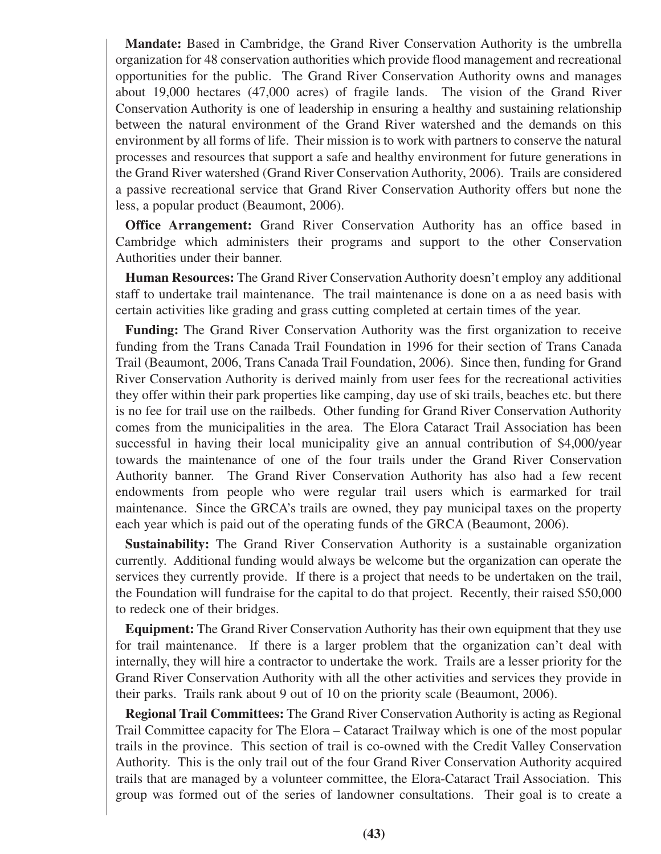**Mandate:** Based in Cambridge, the Grand River Conservation Authority is the umbrella organization for 48 conservation authorities which provide flood management and recreational opportunities for the public. The Grand River Conservation Authority owns and manages about 19,000 hectares (47,000 acres) of fragile lands. The vision of the Grand River Conservation Authority is one of leadership in ensuring a healthy and sustaining relationship between the natural environment of the Grand River watershed and the demands on this environment by all forms of life. Their mission is to work with partners to conserve the natural processes and resources that support a safe and healthy environment for future generations in the Grand River watershed (Grand River Conservation Authority, 2006). Trails are considered a passive recreational service that Grand River Conservation Authority offers but none the less, a popular product (Beaumont, 2006).

**Office Arrangement:** Grand River Conservation Authority has an office based in Cambridge which administers their programs and support to the other Conservation Authorities under their banner.

**Human Resources:** The Grand River Conservation Authority doesn't employ any additional staff to undertake trail maintenance. The trail maintenance is done on a as need basis with certain activities like grading and grass cutting completed at certain times of the year.

**Funding:** The Grand River Conservation Authority was the first organization to receive funding from the Trans Canada Trail Foundation in 1996 for their section of Trans Canada Trail (Beaumont, 2006, Trans Canada Trail Foundation, 2006). Since then, funding for Grand River Conservation Authority is derived mainly from user fees for the recreational activities they offer within their park properties like camping, day use of ski trails, beaches etc. but there is no fee for trail use on the railbeds. Other funding for Grand River Conservation Authority comes from the municipalities in the area. The Elora Cataract Trail Association has been successful in having their local municipality give an annual contribution of \$4,000/year towards the maintenance of one of the four trails under the Grand River Conservation Authority banner. The Grand River Conservation Authority has also had a few recent endowments from people who were regular trail users which is earmarked for trail maintenance. Since the GRCA's trails are owned, they pay municipal taxes on the property each year which is paid out of the operating funds of the GRCA (Beaumont, 2006).

**Sustainability:** The Grand River Conservation Authority is a sustainable organization currently. Additional funding would always be welcome but the organization can operate the services they currently provide. If there is a project that needs to be undertaken on the trail, the Foundation will fundraise for the capital to do that project. Recently, their raised \$50,000 to redeck one of their bridges.

**Equipment:** The Grand River Conservation Authority has their own equipment that they use for trail maintenance. If there is a larger problem that the organization can't deal with internally, they will hire a contractor to undertake the work. Trails are a lesser priority for the Grand River Conservation Authority with all the other activities and services they provide in their parks. Trails rank about 9 out of 10 on the priority scale (Beaumont, 2006).

**Regional Trail Committees:** The Grand River Conservation Authority is acting as Regional Trail Committee capacity for The Elora – Cataract Trailway which is one of the most popular trails in the province. This section of trail is co-owned with the Credit Valley Conservation Authority. This is the only trail out of the four Grand River Conservation Authority acquired trails that are managed by a volunteer committee, the Elora-Cataract Trail Association. This group was formed out of the series of landowner consultations. Their goal is to create a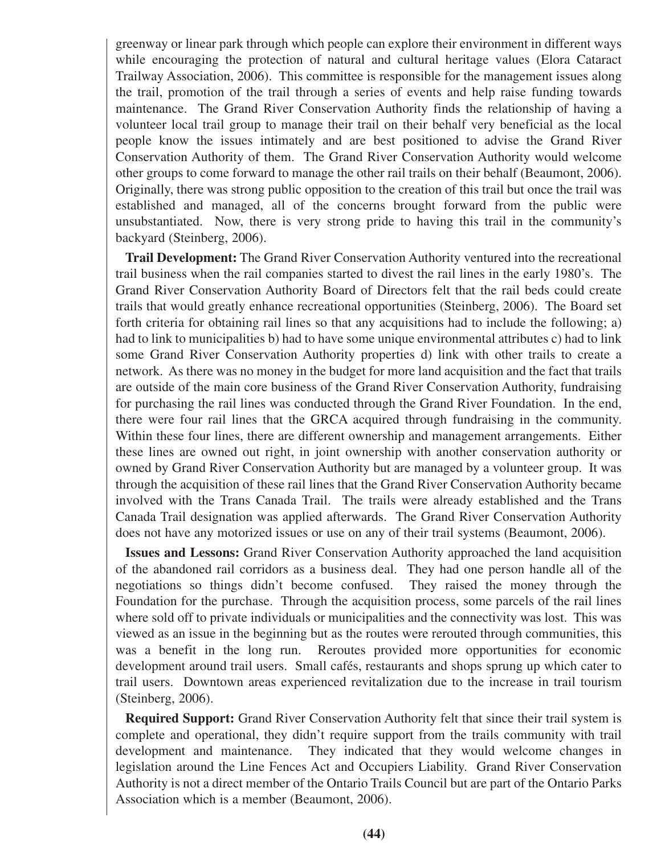greenway or linear park through which people can explore their environment in different ways while encouraging the protection of natural and cultural heritage values (Elora Cataract Trailway Association, 2006). This committee is responsible for the management issues along the trail, promotion of the trail through a series of events and help raise funding towards maintenance. The Grand River Conservation Authority finds the relationship of having a volunteer local trail group to manage their trail on their behalf very beneficial as the local people know the issues intimately and are best positioned to advise the Grand River Conservation Authority of them. The Grand River Conservation Authority would welcome other groups to come forward to manage the other rail trails on their behalf (Beaumont, 2006). Originally, there was strong public opposition to the creation of this trail but once the trail was established and managed, all of the concerns brought forward from the public were unsubstantiated. Now, there is very strong pride to having this trail in the community's backyard (Steinberg, 2006).

**Trail Development:** The Grand River Conservation Authority ventured into the recreational trail business when the rail companies started to divest the rail lines in the early 1980's. The Grand River Conservation Authority Board of Directors felt that the rail beds could create trails that would greatly enhance recreational opportunities (Steinberg, 2006). The Board set forth criteria for obtaining rail lines so that any acquisitions had to include the following; a) had to link to municipalities b) had to have some unique environmental attributes c) had to link some Grand River Conservation Authority properties d) link with other trails to create a network. As there was no money in the budget for more land acquisition and the fact that trails are outside of the main core business of the Grand River Conservation Authority, fundraising for purchasing the rail lines was conducted through the Grand River Foundation. In the end, there were four rail lines that the GRCA acquired through fundraising in the community. Within these four lines, there are different ownership and management arrangements. Either these lines are owned out right, in joint ownership with another conservation authority or owned by Grand River Conservation Authority but are managed by a volunteer group. It was through the acquisition of these rail lines that the Grand River Conservation Authority became involved with the Trans Canada Trail. The trails were already established and the Trans Canada Trail designation was applied afterwards. The Grand River Conservation Authority does not have any motorized issues or use on any of their trail systems (Beaumont, 2006).

**Issues and Lessons:** Grand River Conservation Authority approached the land acquisition of the abandoned rail corridors as a business deal. They had one person handle all of the negotiations so things didn't become confused. They raised the money through the Foundation for the purchase. Through the acquisition process, some parcels of the rail lines where sold off to private individuals or municipalities and the connectivity was lost. This was viewed as an issue in the beginning but as the routes were rerouted through communities, this was a benefit in the long run. Reroutes provided more opportunities for economic development around trail users. Small cafés, restaurants and shops sprung up which cater to trail users. Downtown areas experienced revitalization due to the increase in trail tourism (Steinberg, 2006).

**Required Support:** Grand River Conservation Authority felt that since their trail system is complete and operational, they didn't require support from the trails community with trail development and maintenance. They indicated that they would welcome changes in legislation around the Line Fences Act and Occupiers Liability. Grand River Conservation Authority is not a direct member of the Ontario Trails Council but are part of the Ontario Parks Association which is a member (Beaumont, 2006).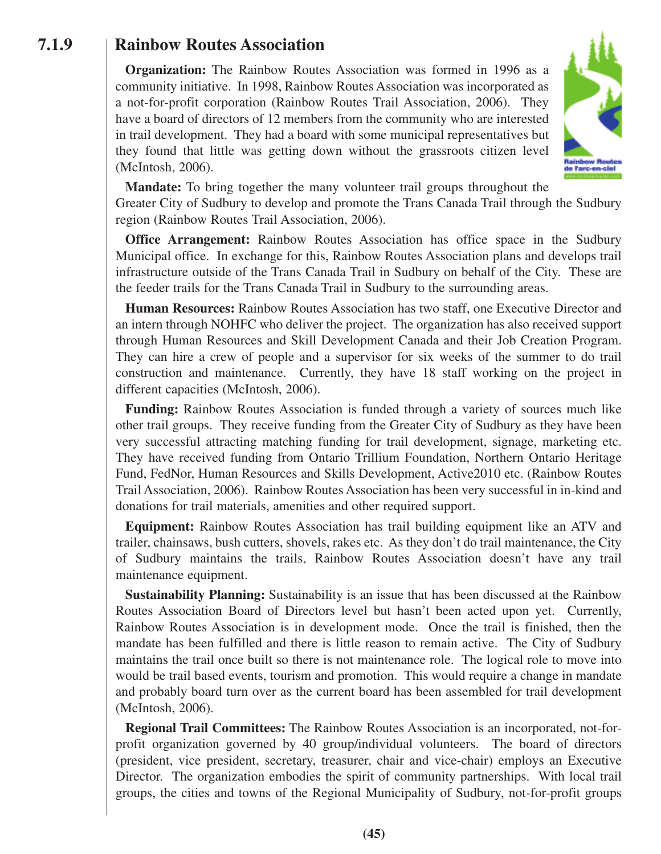#### **7.1.9 Rainbow Routes Association**

**Organization:** The Rainbow Routes Association was formed in 1996 as a community initiative. In 1998, Rainbow Routes Association was incorporated as a not-for-profit corporation (Rainbow Routes Trail Association, 2006). They have a board of directors of 12 members from the community who are interested in trail development. They had a board with some municipal representatives but they found that little was getting down without the grassroots citizen level (McIntosh, 2006).



**Mandate:** To bring together the many volunteer trail groups throughout the Greater City of Sudbury to develop and promote the Trans Canada Trail through the Sudbury region (Rainbow Routes Trail Association, 2006).

**Office Arrangement:** Rainbow Routes Association has office space in the Sudbury Municipal office. In exchange for this, Rainbow Routes Association plans and develops trail infrastructure outside of the Trans Canada Trail in Sudbury on behalf of the City. These are the feeder trails for the Trans Canada Trail in Sudbury to the surrounding areas.

**Human Resources:** Rainbow Routes Association has two staff, one Executive Director and an intern through NOHFC who deliver the project. The organization has also received support through Human Resources and Skill Development Canada and their Job Creation Program. They can hire a crew of people and a supervisor for six weeks of the summer to do trail construction and maintenance. Currently, they have 18 staff working on the project in different capacities (McIntosh, 2006).

**Funding:** Rainbow Routes Association is funded through a variety of sources much like other trail groups. They receive funding from the Greater City of Sudbury as they have been very successful attracting matching funding for trail development, signage, marketing etc. They have received funding from Ontario Trillium Foundation, Northern Ontario Heritage Fund, FedNor, Human Resources and Skills Development, Active2010 etc. (Rainbow Routes Trail Association, 2006). Rainbow Routes Association has been very successful in in-kind and donations for trail materials, amenities and other required support.

**Equipment:** Rainbow Routes Association has trail building equipment like an ATV and trailer, chainsaws, bush cutters, shovels, rakes etc. As they don't do trail maintenance, the City of Sudbury maintains the trails, Rainbow Routes Association doesn't have any trail maintenance equipment.

**Sustainability Planning:** Sustainability is an issue that has been discussed at the Rainbow Routes Association Board of Directors level but hasn't been acted upon yet. Currently, Rainbow Routes Association is in development mode. Once the trail is finished, then the mandate has been fulfilled and there is little reason to remain active. The City of Sudbury maintains the trail once built so there is not maintenance role. The logical role to move into would be trail based events, tourism and promotion. This would require a change in mandate and probably board turn over as the current board has been assembled for trail development (McIntosh, 2006).

**Regional Trail Committees:** The Rainbow Routes Association is an incorporated, not-forprofit organization governed by 40 group/individual volunteers. The board of directors (president, vice president, secretary, treasurer, chair and vice-chair) employs an Executive Director. The organization embodies the spirit of community partnerships. With local trail groups, the cities and towns of the Regional Municipality of Sudbury, not-for-profit groups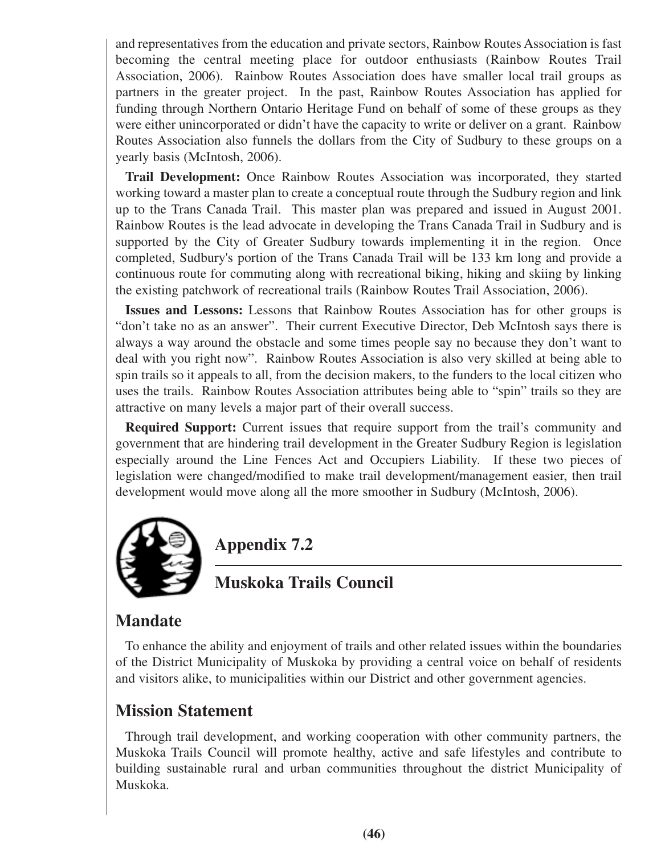and representatives from the education and private sectors, Rainbow Routes Association is fast becoming the central meeting place for outdoor enthusiasts (Rainbow Routes Trail Association, 2006). Rainbow Routes Association does have smaller local trail groups as partners in the greater project. In the past, Rainbow Routes Association has applied for funding through Northern Ontario Heritage Fund on behalf of some of these groups as they were either unincorporated or didn't have the capacity to write or deliver on a grant. Rainbow Routes Association also funnels the dollars from the City of Sudbury to these groups on a yearly basis (McIntosh, 2006).

**Trail Development:** Once Rainbow Routes Association was incorporated, they started working toward a master plan to create a conceptual route through the Sudbury region and link up to the Trans Canada Trail. This master plan was prepared and issued in August 2001. Rainbow Routes is the lead advocate in developing the Trans Canada Trail in Sudbury and is supported by the City of Greater Sudbury towards implementing it in the region. Once completed, Sudbury's portion of the Trans Canada Trail will be 133 km long and provide a continuous route for commuting along with recreational biking, hiking and skiing by linking the existing patchwork of recreational trails (Rainbow Routes Trail Association, 2006).

**Issues and Lessons:** Lessons that Rainbow Routes Association has for other groups is "don't take no as an answer". Their current Executive Director, Deb McIntosh says there is always a way around the obstacle and some times people say no because they don't want to deal with you right now". Rainbow Routes Association is also very skilled at being able to spin trails so it appeals to all, from the decision makers, to the funders to the local citizen who uses the trails. Rainbow Routes Association attributes being able to "spin" trails so they are attractive on many levels a major part of their overall success.

**Required Support:** Current issues that require support from the trail's community and government that are hindering trail development in the Greater Sudbury Region is legislation especially around the Line Fences Act and Occupiers Liability. If these two pieces of legislation were changed/modified to make trail development/management easier, then trail development would move along all the more smoother in Sudbury (McIntosh, 2006).



**Appendix 7.2**

#### **Muskoka Trails Council**

#### **Mandate**

To enhance the ability and enjoyment of trails and other related issues within the boundaries of the District Municipality of Muskoka by providing a central voice on behalf of residents and visitors alike, to municipalities within our District and other government agencies.

#### **Mission Statement**

Through trail development, and working cooperation with other community partners, the Muskoka Trails Council will promote healthy, active and safe lifestyles and contribute to building sustainable rural and urban communities throughout the district Municipality of Muskoka.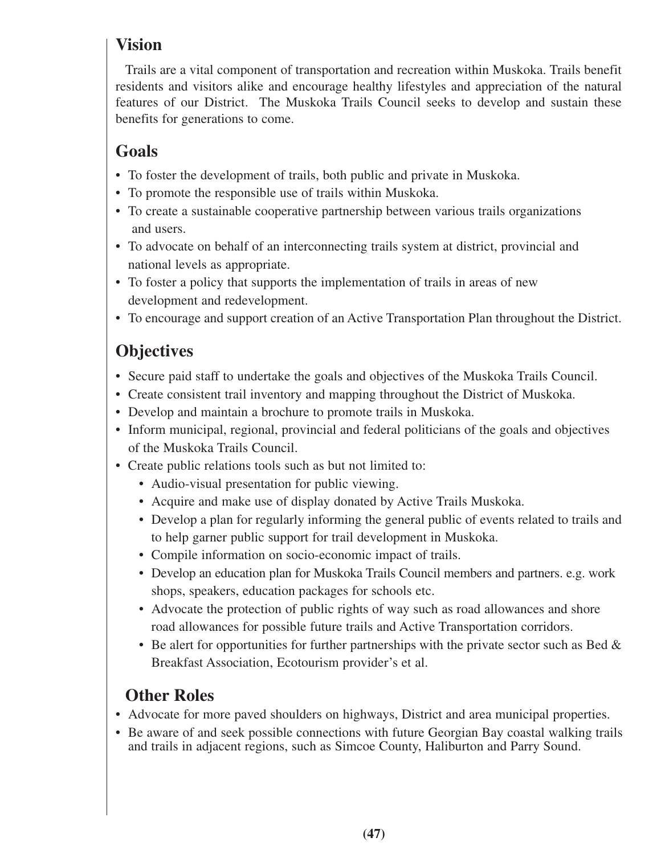#### **Vision**

Trails are a vital component of transportation and recreation within Muskoka. Trails benefit residents and visitors alike and encourage healthy lifestyles and appreciation of the natural features of our District. The Muskoka Trails Council seeks to develop and sustain these benefits for generations to come.

#### **Goals**

- To foster the development of trails, both public and private in Muskoka.
- To promote the responsible use of trails within Muskoka.
- To create a sustainable cooperative partnership between various trails organizations and users.
- To advocate on behalf of an interconnecting trails system at district, provincial and national levels as appropriate.
- To foster a policy that supports the implementation of trails in areas of new development and redevelopment.
- To encourage and support creation of an Active Transportation Plan throughout the District.

#### **Objectives**

- Secure paid staff to undertake the goals and objectives of the Muskoka Trails Council.
- Create consistent trail inventory and mapping throughout the District of Muskoka.
- Develop and maintain a brochure to promote trails in Muskoka.
- Inform municipal, regional, provincial and federal politicians of the goals and objectives of the Muskoka Trails Council.
- Create public relations tools such as but not limited to:
	- Audio-visual presentation for public viewing.
	- Acquire and make use of display donated by Active Trails Muskoka.
	- Develop a plan for regularly informing the general public of events related to trails and to help garner public support for trail development in Muskoka.
	- Compile information on socio-economic impact of trails.
	- Develop an education plan for Muskoka Trails Council members and partners. e.g. work shops, speakers, education packages for schools etc.
	- Advocate the protection of public rights of way such as road allowances and shore road allowances for possible future trails and Active Transportation corridors.
	- Be alert for opportunities for further partnerships with the private sector such as Bed  $\&$ Breakfast Association, Ecotourism provider's et al.

#### **Other Roles**

- Advocate for more paved shoulders on highways, District and area municipal properties.
- Be aware of and seek possible connections with future Georgian Bay coastal walking trails and trails in adjacent regions, such as Simcoe County, Haliburton and Parry Sound.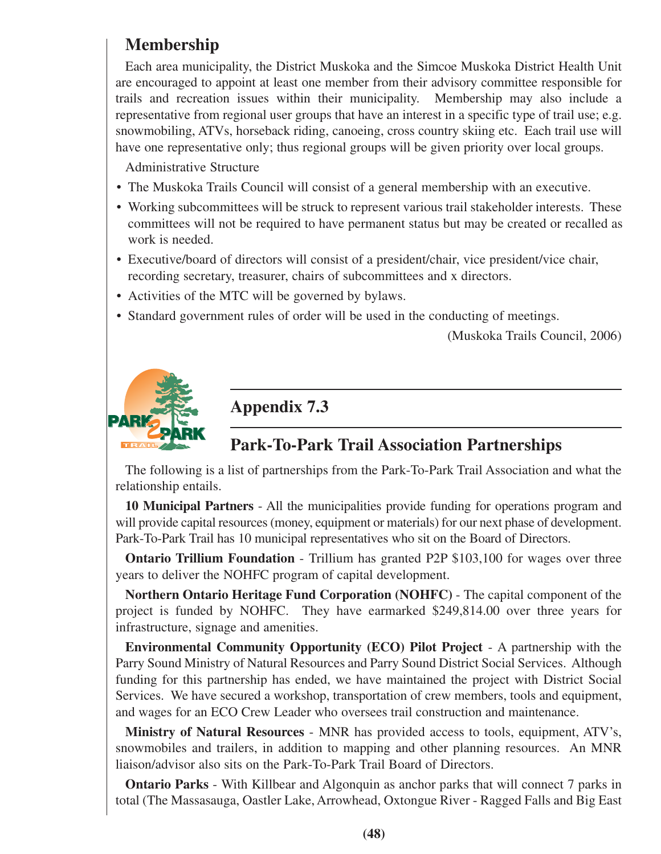#### **Membership**

Each area municipality, the District Muskoka and the Simcoe Muskoka District Health Unit are encouraged to appoint at least one member from their advisory committee responsible for trails and recreation issues within their municipality. Membership may also include a representative from regional user groups that have an interest in a specific type of trail use; e.g. snowmobiling, ATVs, horseback riding, canoeing, cross country skiing etc. Each trail use will have one representative only; thus regional groups will be given priority over local groups.

Administrative Structure

- The Muskoka Trails Council will consist of a general membership with an executive.
- Working subcommittees will be struck to represent various trail stakeholder interests. These committees will not be required to have permanent status but may be created or recalled as work is needed.
- Executive/board of directors will consist of a president/chair, vice president/vice chair, recording secretary, treasurer, chairs of subcommittees and x directors.
- Activities of the MTC will be governed by bylaws.
- Standard government rules of order will be used in the conducting of meetings.

(Muskoka Trails Council, 2006)



**Appendix 7.3**

#### **Park-To-Park Trail Association Partnerships**

The following is a list of partnerships from the Park-To-Park Trail Association and what the relationship entails.

**10 Municipal Partners** - All the municipalities provide funding for operations program and will provide capital resources (money, equipment or materials) for our next phase of development. Park-To-Park Trail has 10 municipal representatives who sit on the Board of Directors.

**Ontario Trillium Foundation** - Trillium has granted P2P \$103,100 for wages over three years to deliver the NOHFC program of capital development.

**Northern Ontario Heritage Fund Corporation (NOHFC)** - The capital component of the project is funded by NOHFC. They have earmarked \$249,814.00 over three years for infrastructure, signage and amenities.

**Environmental Community Opportunity (ECO) Pilot Project** - A partnership with the Parry Sound Ministry of Natural Resources and Parry Sound District Social Services. Although funding for this partnership has ended, we have maintained the project with District Social Services. We have secured a workshop, transportation of crew members, tools and equipment, and wages for an ECO Crew Leader who oversees trail construction and maintenance.

**Ministry of Natural Resources** - MNR has provided access to tools, equipment, ATV's, snowmobiles and trailers, in addition to mapping and other planning resources. An MNR liaison/advisor also sits on the Park-To-Park Trail Board of Directors.

**Ontario Parks** - With Killbear and Algonquin as anchor parks that will connect 7 parks in total (The Massasauga, Oastler Lake, Arrowhead, Oxtongue River - Ragged Falls and Big East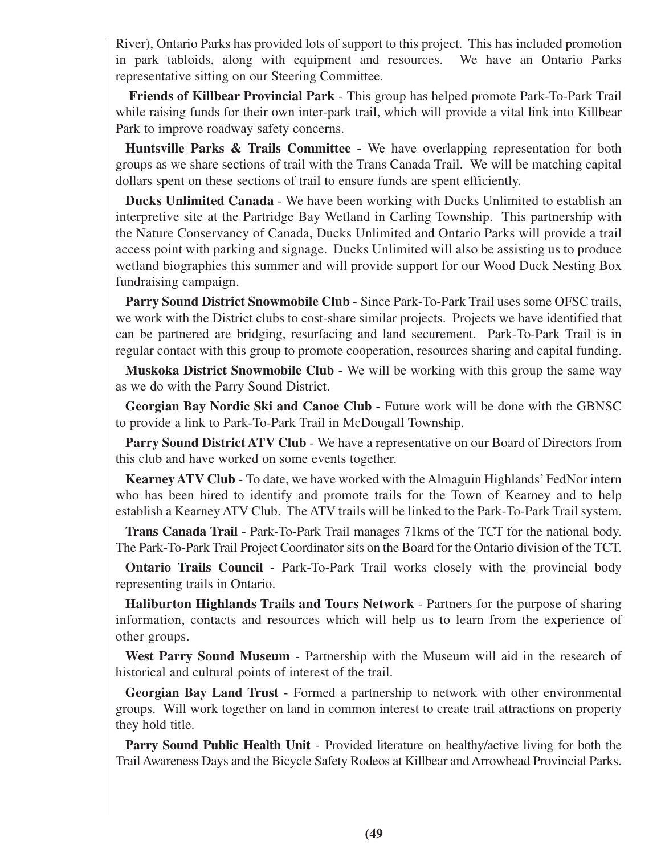River), Ontario Parks has provided lots of support to this project. This has included promotion in park tabloids, along with equipment and resources. We have an Ontario Parks representative sitting on our Steering Committee.

**Friends of Killbear Provincial Park** - This group has helped promote Park-To-Park Trail while raising funds for their own inter-park trail, which will provide a vital link into Killbear Park to improve roadway safety concerns.

**Huntsville Parks & Trails Committee** - We have overlapping representation for both groups as we share sections of trail with the Trans Canada Trail. We will be matching capital dollars spent on these sections of trail to ensure funds are spent efficiently.

**Ducks Unlimited Canada** - We have been working with Ducks Unlimited to establish an interpretive site at the Partridge Bay Wetland in Carling Township. This partnership with the Nature Conservancy of Canada, Ducks Unlimited and Ontario Parks will provide a trail access point with parking and signage. Ducks Unlimited will also be assisting us to produce wetland biographies this summer and will provide support for our Wood Duck Nesting Box fundraising campaign.

**Parry Sound District Snowmobile Club** - Since Park-To-Park Trail uses some OFSC trails, we work with the District clubs to cost-share similar projects. Projects we have identified that can be partnered are bridging, resurfacing and land securement. Park-To-Park Trail is in regular contact with this group to promote cooperation, resources sharing and capital funding.

**Muskoka District Snowmobile Club** - We will be working with this group the same way as we do with the Parry Sound District.

**Georgian Bay Nordic Ski and Canoe Club** - Future work will be done with the GBNSC to provide a link to Park-To-Park Trail in McDougall Township.

**Parry Sound District ATV Club** - We have a representative on our Board of Directors from this club and have worked on some events together.

**Kearney ATV Club** - To date, we have worked with the Almaguin Highlands' FedNor intern who has been hired to identify and promote trails for the Town of Kearney and to help establish a Kearney ATV Club. The ATV trails will be linked to the Park-To-Park Trail system.

**Trans Canada Trail** - Park-To-Park Trail manages 71kms of the TCT for the national body. The Park-To-Park Trail Project Coordinator sits on the Board for the Ontario division of the TCT.

**Ontario Trails Council** - Park-To-Park Trail works closely with the provincial body representing trails in Ontario.

**Haliburton Highlands Trails and Tours Network** - Partners for the purpose of sharing information, contacts and resources which will help us to learn from the experience of other groups.

**West Parry Sound Museum** - Partnership with the Museum will aid in the research of historical and cultural points of interest of the trail.

**Georgian Bay Land Trust** - Formed a partnership to network with other environmental groups. Will work together on land in common interest to create trail attractions on property they hold title.

**Parry Sound Public Health Unit** - Provided literature on healthy/active living for both the Trail Awareness Days and the Bicycle Safety Rodeos at Killbear and Arrowhead Provincial Parks.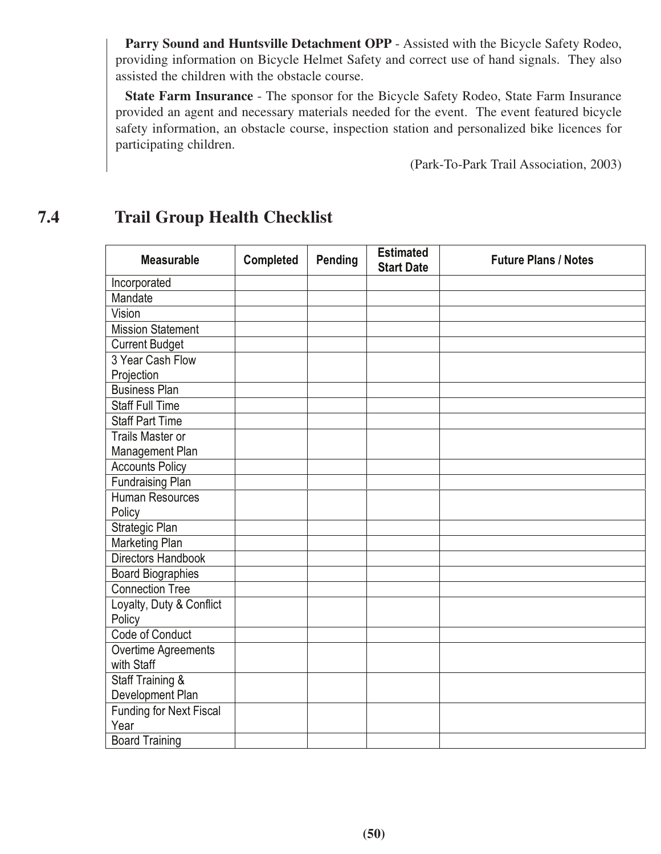**State Farm Insurance** - The sponsor for the Bicycle Safety Rodeo, State Farm Insurance provided an agent and necessary materials needed for the event. The event featured bicycle safety information, an obstacle course, inspection station and personalized bike licences for participating children. **PP** - Assisted with the Bicycle Safety Re<br> *R* and correct use of hand signals. They<br>
Bicycle Safety Rodeo, State Farm Insured for the event. The event featured bi<br>
on station and personalized bike licence<br>
(Park-To-Park

#### **7.4 Trail Group Health Checklist**

| assisted the children with the obstacle course.<br>safety information, an obstacle course, inspection station and personalized bike licences for<br>participating children. |                  |         |                   | Parry Sound and Huntsville Detachment OPP - Assisted with the Bicycle Safety Rodeo,<br>providing information on Bicycle Helmet Safety and correct use of hand signals. They also |
|-----------------------------------------------------------------------------------------------------------------------------------------------------------------------------|------------------|---------|-------------------|----------------------------------------------------------------------------------------------------------------------------------------------------------------------------------|
|                                                                                                                                                                             |                  |         |                   |                                                                                                                                                                                  |
|                                                                                                                                                                             |                  |         |                   |                                                                                                                                                                                  |
|                                                                                                                                                                             |                  |         |                   |                                                                                                                                                                                  |
|                                                                                                                                                                             |                  |         |                   |                                                                                                                                                                                  |
|                                                                                                                                                                             |                  |         |                   | <b>State Farm Insurance - The sponsor for the Bicycle Safety Rodeo, State Farm Insurance</b>                                                                                     |
|                                                                                                                                                                             |                  |         |                   | provided an agent and necessary materials needed for the event. The event featured bicycle                                                                                       |
|                                                                                                                                                                             |                  |         |                   |                                                                                                                                                                                  |
|                                                                                                                                                                             |                  |         |                   | (Park-To-Park Trail Association, 2003)                                                                                                                                           |
|                                                                                                                                                                             |                  |         |                   |                                                                                                                                                                                  |
|                                                                                                                                                                             |                  |         |                   |                                                                                                                                                                                  |
| <b>Trail Group Health Checklist</b>                                                                                                                                         |                  |         |                   |                                                                                                                                                                                  |
|                                                                                                                                                                             |                  |         |                   |                                                                                                                                                                                  |
| <b>Measurable</b>                                                                                                                                                           | <b>Completed</b> | Pending | <b>Estimated</b>  | <b>Future Plans / Notes</b>                                                                                                                                                      |
|                                                                                                                                                                             |                  |         | <b>Start Date</b> |                                                                                                                                                                                  |
| Incorporated<br>Mandate                                                                                                                                                     |                  |         |                   |                                                                                                                                                                                  |
| Vision                                                                                                                                                                      |                  |         |                   |                                                                                                                                                                                  |
| <b>Mission Statement</b>                                                                                                                                                    |                  |         |                   |                                                                                                                                                                                  |
| <b>Current Budget</b>                                                                                                                                                       |                  |         |                   |                                                                                                                                                                                  |
| 3 Year Cash Flow                                                                                                                                                            |                  |         |                   |                                                                                                                                                                                  |
| Projection<br><b>Business Plan</b>                                                                                                                                          |                  |         |                   |                                                                                                                                                                                  |
| Staff Full Time                                                                                                                                                             |                  |         |                   |                                                                                                                                                                                  |
| <b>Staff Part Time</b>                                                                                                                                                      |                  |         |                   |                                                                                                                                                                                  |
| <b>Trails Master or</b>                                                                                                                                                     |                  |         |                   |                                                                                                                                                                                  |
| Management Plan                                                                                                                                                             |                  |         |                   |                                                                                                                                                                                  |
| <b>Accounts Policy</b><br><b>Fundraising Plan</b>                                                                                                                           |                  |         |                   |                                                                                                                                                                                  |
| <b>Human Resources</b>                                                                                                                                                      |                  |         |                   |                                                                                                                                                                                  |
| Policy                                                                                                                                                                      |                  |         |                   |                                                                                                                                                                                  |
| Strategic Plan                                                                                                                                                              |                  |         |                   |                                                                                                                                                                                  |
| Marketing Plan                                                                                                                                                              |                  |         |                   |                                                                                                                                                                                  |
|                                                                                                                                                                             |                  |         |                   |                                                                                                                                                                                  |
|                                                                                                                                                                             |                  |         |                   |                                                                                                                                                                                  |
| <b>Directors Handbook</b><br><b>Board Biographies</b><br><b>Connection Tree</b>                                                                                             |                  |         |                   |                                                                                                                                                                                  |
|                                                                                                                                                                             |                  |         |                   |                                                                                                                                                                                  |
| Loyalty, Duty & Conflict<br>Policy                                                                                                                                          |                  |         |                   |                                                                                                                                                                                  |
| Code of Conduct                                                                                                                                                             |                  |         |                   |                                                                                                                                                                                  |
| Overtime Agreements<br>with Staff                                                                                                                                           |                  |         |                   |                                                                                                                                                                                  |
| Staff Training &                                                                                                                                                            |                  |         |                   |                                                                                                                                                                                  |
|                                                                                                                                                                             |                  |         |                   |                                                                                                                                                                                  |
| Development Plan<br><b>Funding for Next Fiscal</b><br>Year                                                                                                                  |                  |         |                   |                                                                                                                                                                                  |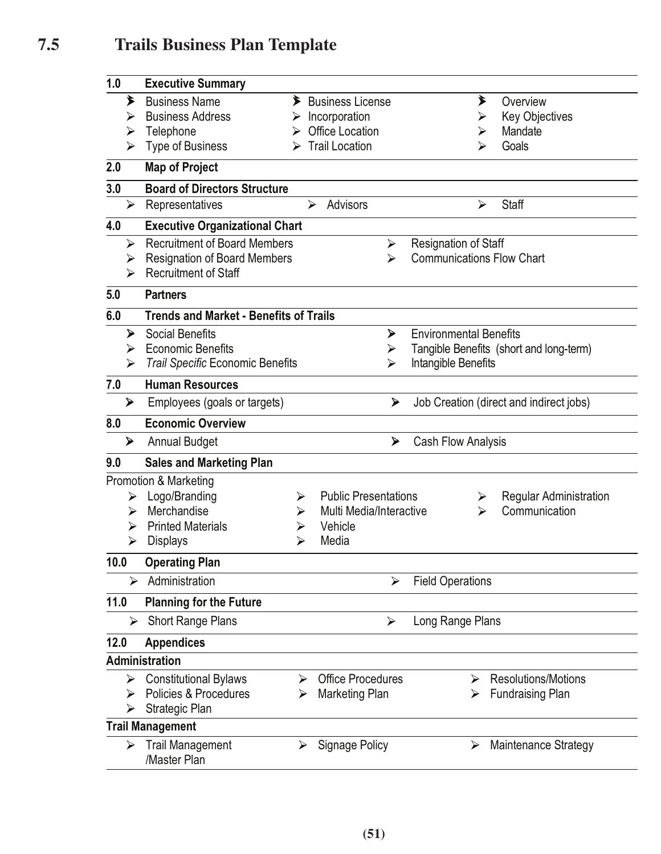#### **7.5 Trails Business Plan Template**

|      |                                 | <b>Trails Business Plan Template</b>                                                                      |                            |                                                   |                       |                                                                          |
|------|---------------------------------|-----------------------------------------------------------------------------------------------------------|----------------------------|---------------------------------------------------|-----------------------|--------------------------------------------------------------------------|
| 1.0  |                                 | <b>Executive Summary</b>                                                                                  |                            |                                                   |                       |                                                                          |
|      | ⋟                               | <b>Business Name</b>                                                                                      |                            | $\blacktriangleright$ Business License            |                       | ⋟<br>Overview                                                            |
|      | ➤<br>➤                          | <b>Business Address</b><br>Telephone                                                                      | ➤                          | Incorporation<br><b>Office Location</b>           |                       | Key Objectives<br>➤<br>Mandate<br>➢                                      |
|      | ➤                               | <b>Type of Business</b>                                                                                   |                            | $\triangleright$ Trail Location                   |                       | Goals                                                                    |
| 2.0  |                                 | <b>Map of Project</b>                                                                                     |                            |                                                   |                       |                                                                          |
| 3.0  | $\blacktriangleright$           | <b>Board of Directors Structure</b><br>Representatives                                                    |                            | Advisors<br>$\blacktriangleright$                 |                       | $\blacktriangleright$<br>Staff                                           |
| 4.0  |                                 | <b>Executive Organizational Chart</b>                                                                     |                            |                                                   |                       |                                                                          |
|      | $\blacktriangleright$<br>➤<br>↘ | <b>Recruitment of Board Members</b><br><b>Resignation of Board Members</b><br><b>Recruitment of Staff</b> |                            |                                                   | ➤<br>↘                | Resignation of Staff<br><b>Communications Flow Chart</b>                 |
| 5.0  |                                 | <b>Partners</b>                                                                                           |                            |                                                   |                       |                                                                          |
| 6.0  |                                 | <b>Trends and Market - Benefits of Trails</b>                                                             |                            |                                                   |                       |                                                                          |
|      | ➤<br>↘                          | <b>Social Benefits</b><br><b>Economic Benefits</b>                                                        |                            |                                                   | ➤<br>➤                | <b>Environmental Benefits</b><br>Tangible Benefits (short and long-term) |
|      | $\blacktriangleright$           | <b>Trail Specific Economic Benefits</b>                                                                   |                            |                                                   | ➤                     | Intangible Benefits                                                      |
| 7.0  | ➤                               | <b>Human Resources</b><br>Employees (goals or targets)                                                    |                            |                                                   | ➤                     | Job Creation (direct and indirect jobs)                                  |
| 8.0  |                                 | <b>Economic Overview</b>                                                                                  |                            |                                                   |                       |                                                                          |
|      | ➤                               | <b>Annual Budget</b>                                                                                      |                            |                                                   | ➤                     | <b>Cash Flow Analysis</b>                                                |
| 9.0  |                                 | <b>Sales and Marketing Plan</b>                                                                           |                            |                                                   |                       |                                                                          |
|      | ➤                               | <b>Promotion &amp; Marketing</b><br>Logo/Branding                                                         | ➤                          | <b>Public Presentations</b>                       |                       | <b>Regular Administration</b><br>➤                                       |
|      | ➤<br>➤                          | Merchandise<br><b>Printed Materials</b>                                                                   | ➤<br>➤                     | Multi Media/Interactive<br>Vehicle                |                       | Communication                                                            |
|      | $\blacktriangleright$           | <b>Displays</b>                                                                                           | ➤                          | Media                                             |                       |                                                                          |
| 10.0 |                                 | <b>Operating Plan</b>                                                                                     |                            |                                                   |                       |                                                                          |
|      | $\blacktriangleright$           | Administration                                                                                            |                            |                                                   | $\blacktriangleright$ | <b>Field Operations</b>                                                  |
| 11.0 | ➤                               | <b>Planning for the Future</b><br><b>Short Range Plans</b>                                                |                            |                                                   | $\blacktriangleright$ | Long Range Plans                                                         |
| 12.0 |                                 | <b>Appendices</b>                                                                                         |                            |                                                   |                       |                                                                          |
|      |                                 | <b>Administration</b>                                                                                     |                            |                                                   |                       |                                                                          |
|      | ➤<br>⋗<br>➤                     | <b>Constitutional Bylaws</b><br>Policies & Procedures<br>Strategic Plan                                   | $\blacktriangleright$<br>➤ | <b>Office Procedures</b><br><b>Marketing Plan</b> |                       | <b>Resolutions/Motions</b><br>➤<br><b>Fundraising Plan</b><br>➤          |
|      |                                 | <b>Trail Management</b>                                                                                   |                            |                                                   |                       |                                                                          |
|      | $\blacktriangleright$           | <b>Trail Management</b><br>/Master Plan                                                                   | ➤                          | Signage Policy                                    |                       | Maintenance Strategy<br>➤                                                |
|      |                                 |                                                                                                           |                            |                                                   |                       |                                                                          |
|      |                                 |                                                                                                           |                            |                                                   |                       |                                                                          |
|      |                                 |                                                                                                           |                            | (51)                                              |                       |                                                                          |
|      |                                 |                                                                                                           |                            |                                                   |                       |                                                                          |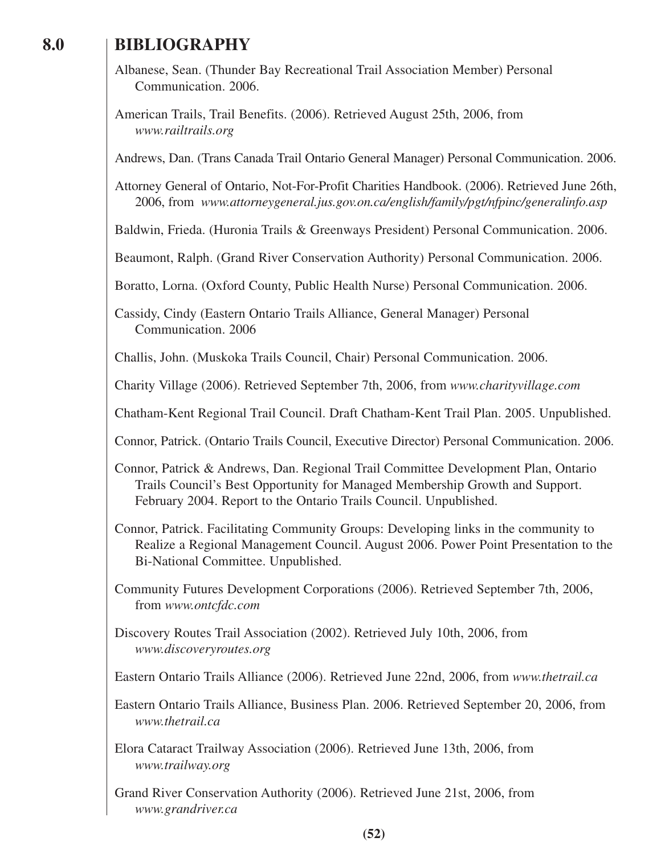#### **8.0 BIBLIOGRAPHY**

- Albanese, Sean. (Thunder Bay Recreational Trail Association Member) Personal Communication. 2006.
- American Trails, Trail Benefits. (2006). Retrieved August 25th, 2006, from *www.railtrails.org*
- Andrews, Dan. (Trans Canada Trail Ontario General Manager) Personal Communication. 2006.
- Attorney General of Ontario, Not-For-Profit Charities Handbook. (2006). Retrieved June 26th, 2006, from *www.attorneygeneral.jus.gov.on.ca/english/family/pgt/nfpinc/generalinfo.asp*
- Baldwin, Frieda. (Huronia Trails & Greenways President) Personal Communication. 2006.
- Beaumont, Ralph. (Grand River Conservation Authority) Personal Communication. 2006.
- Boratto, Lorna. (Oxford County, Public Health Nurse) Personal Communication. 2006.
- Cassidy, Cindy (Eastern Ontario Trails Alliance, General Manager) Personal Communication. 2006
- Challis, John. (Muskoka Trails Council, Chair) Personal Communication. 2006.
- Charity Village (2006). Retrieved September 7th, 2006, from *www.charityvillage.com*
- Chatham-Kent Regional Trail Council. Draft Chatham-Kent Trail Plan. 2005. Unpublished.
- Connor, Patrick. (Ontario Trails Council, Executive Director) Personal Communication. 2006.
- Connor, Patrick & Andrews, Dan. Regional Trail Committee Development Plan, Ontario Trails Council's Best Opportunity for Managed Membership Growth and Support. February 2004. Report to the Ontario Trails Council. Unpublished.
- Connor, Patrick. Facilitating Community Groups: Developing links in the community to Realize a Regional Management Council. August 2006. Power Point Presentation to the Bi-National Committee. Unpublished.
- Community Futures Development Corporations (2006). Retrieved September 7th, 2006, from *www.ontcfdc.com*
- Discovery Routes Trail Association (2002). Retrieved July 10th, 2006, from *www.discoveryroutes.org*
- Eastern Ontario Trails Alliance (2006). Retrieved June 22nd, 2006, from *www.thetrail.ca*
- Eastern Ontario Trails Alliance, Business Plan. 2006. Retrieved September 20, 2006, from *www.thetrail.ca*
- Elora Cataract Trailway Association (2006). Retrieved June 13th, 2006, from *www.trailway.org*
- Grand River Conservation Authority (2006). Retrieved June 21st, 2006, from *www.grandriver.ca*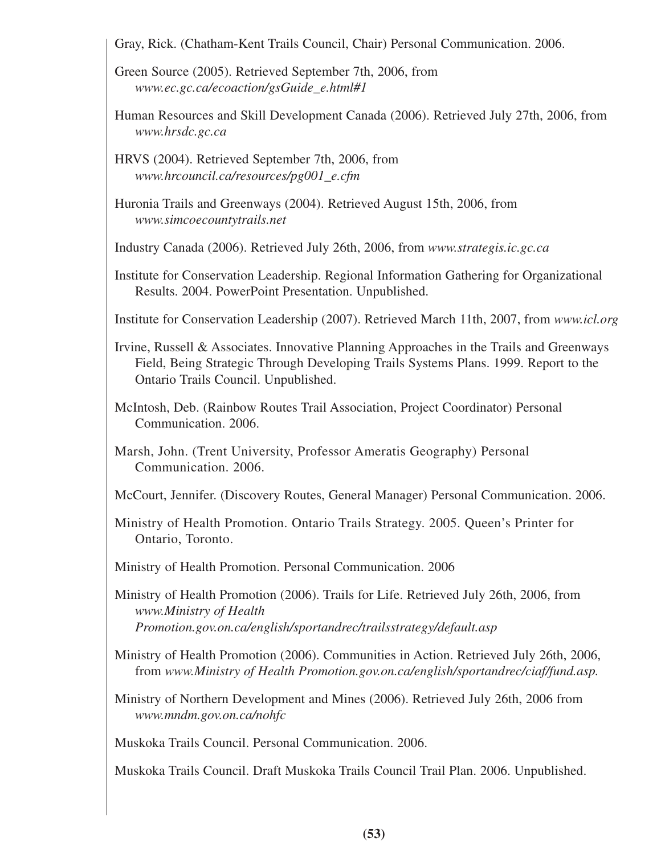Gray, Rick. (Chatham-Kent Trails Council, Chair) Personal Communication. 2006.

- Green Source (2005). Retrieved September 7th, 2006, from *www.ec.gc.ca/ecoaction/gsGuide\_e.html#1*
- Human Resources and Skill Development Canada (2006). Retrieved July 27th, 2006, from *www.hrsdc.gc.ca*
- HRVS (2004). Retrieved September 7th, 2006, from *www.hrcouncil.ca/resources/pg001\_e.cfm*
- Huronia Trails and Greenways (2004). Retrieved August 15th, 2006, from *www.simcoecountytrails.net*
- Industry Canada (2006). Retrieved July 26th, 2006, from *www.strategis.ic.gc.ca*
- Institute for Conservation Leadership. Regional Information Gathering for Organizational Results. 2004. PowerPoint Presentation. Unpublished.
- Institute for Conservation Leadership (2007). Retrieved March 11th, 2007, from *www.icl.org*
- Irvine, Russell & Associates. Innovative Planning Approaches in the Trails and Greenways Field, Being Strategic Through Developing Trails Systems Plans. 1999. Report to the Ontario Trails Council. Unpublished.
- McIntosh, Deb. (Rainbow Routes Trail Association, Project Coordinator) Personal Communication. 2006.
- Marsh, John. (Trent University, Professor Ameratis Geography) Personal Communication. 2006.

McCourt, Jennifer. (Discovery Routes, General Manager) Personal Communication. 2006.

- Ministry of Health Promotion. Ontario Trails Strategy. 2005. Queen's Printer for Ontario, Toronto.
- Ministry of Health Promotion. Personal Communication. 2006
- Ministry of Health Promotion (2006). Trails for Life. Retrieved July 26th, 2006, from *www.Ministry of Health Promotion.gov.on.ca/english/sportandrec/trailsstrategy/default.asp*
- Ministry of Health Promotion (2006). Communities in Action. Retrieved July 26th, 2006, from *www.Ministry of Health Promotion.gov.on.ca/english/sportandrec/ciaf/fund.asp.*
- Ministry of Northern Development and Mines (2006). Retrieved July 26th, 2006 from *www.mndm.gov.on.ca/nohfc*

Muskoka Trails Council. Personal Communication. 2006.

Muskoka Trails Council. Draft Muskoka Trails Council Trail Plan. 2006. Unpublished.